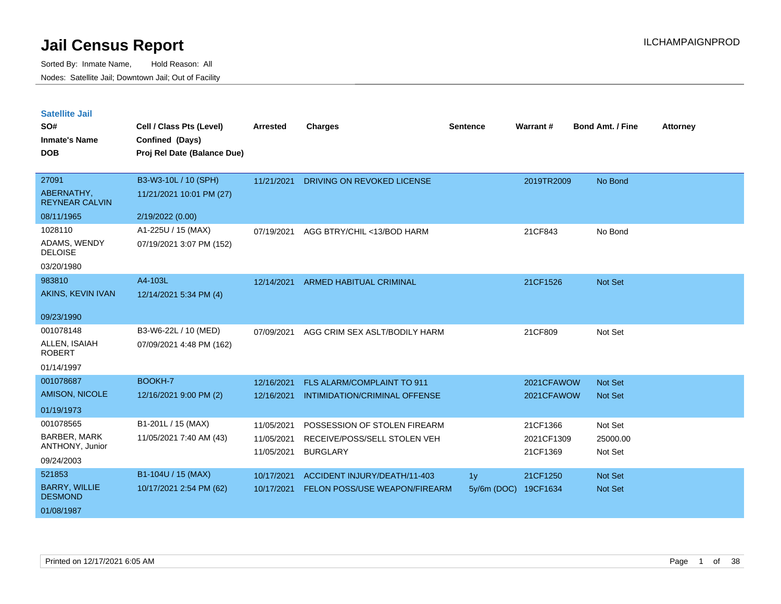| <b>Satellite Jail</b> |  |
|-----------------------|--|
|                       |  |

| UULUIILU VUII<br>SO#<br><b>Inmate's Name</b><br><b>DOB</b> | Cell / Class Pts (Level)<br>Confined (Days)<br>Proj Rel Date (Balance Due) | Arrested                 | <b>Charges</b>                                  | <b>Sentence</b> | Warrant#               | <b>Bond Amt. / Fine</b> | <b>Attorney</b> |
|------------------------------------------------------------|----------------------------------------------------------------------------|--------------------------|-------------------------------------------------|-----------------|------------------------|-------------------------|-----------------|
| 27091<br>ABERNATHY,<br><b>REYNEAR CALVIN</b>               | B3-W3-10L / 10 (SPH)<br>11/21/2021 10:01 PM (27)                           | 11/21/2021               | DRIVING ON REVOKED LICENSE                      |                 | 2019TR2009             | No Bond                 |                 |
| 08/11/1965                                                 | 2/19/2022 (0.00)                                                           |                          |                                                 |                 |                        |                         |                 |
| 1028110<br>ADAMS, WENDY<br><b>DELOISE</b><br>03/20/1980    | A1-225U / 15 (MAX)<br>07/19/2021 3:07 PM (152)                             | 07/19/2021               | AGG BTRY/CHIL <13/BOD HARM                      |                 | 21CF843                | No Bond                 |                 |
| 983810                                                     | A4-103L                                                                    | 12/14/2021               | <b>ARMED HABITUAL CRIMINAL</b>                  |                 | 21CF1526               | Not Set                 |                 |
| AKINS, KEVIN IVAN                                          | 12/14/2021 5:34 PM (4)                                                     |                          |                                                 |                 |                        |                         |                 |
| 09/23/1990                                                 |                                                                            |                          |                                                 |                 |                        |                         |                 |
| 001078148<br>ALLEN, ISAIAH<br><b>ROBERT</b><br>01/14/1997  | B3-W6-22L / 10 (MED)<br>07/09/2021 4:48 PM (162)                           | 07/09/2021               | AGG CRIM SEX ASLT/BODILY HARM                   |                 | 21CF809                | Not Set                 |                 |
| 001078687                                                  | <b>BOOKH-7</b>                                                             | 12/16/2021               | FLS ALARM/COMPLAINT TO 911                      |                 | 2021CFAWOW             | Not Set                 |                 |
| <b>AMISON, NICOLE</b>                                      | 12/16/2021 9:00 PM (2)                                                     | 12/16/2021               | INTIMIDATION/CRIMINAL OFFENSE                   |                 | 2021CFAWOW             | <b>Not Set</b>          |                 |
| 01/19/1973                                                 |                                                                            |                          |                                                 |                 |                        |                         |                 |
| 001078565                                                  | B1-201L / 15 (MAX)                                                         | 11/05/2021               | POSSESSION OF STOLEN FIREARM                    |                 | 21CF1366               | Not Set                 |                 |
| BARBER, MARK<br>ANTHONY, Junior                            | 11/05/2021 7:40 AM (43)                                                    | 11/05/2021<br>11/05/2021 | RECEIVE/POSS/SELL STOLEN VEH<br><b>BURGLARY</b> |                 | 2021CF1309<br>21CF1369 | 25000.00<br>Not Set     |                 |
| 09/24/2003                                                 |                                                                            |                          |                                                 |                 |                        |                         |                 |
| 521853                                                     | B1-104U / 15 (MAX)                                                         | 10/17/2021               | ACCIDENT INJURY/DEATH/11-403                    | 1 <sub>y</sub>  | 21CF1250               | Not Set                 |                 |
| <b>BARRY, WILLIE</b><br><b>DESMOND</b>                     | 10/17/2021 2:54 PM (62)                                                    | 10/17/2021               | <b>FELON POSS/USE WEAPON/FIREARM</b>            | $5y/6m$ (DOC)   | 19CF1634               | Not Set                 |                 |
| 01/08/1987                                                 |                                                                            |                          |                                                 |                 |                        |                         |                 |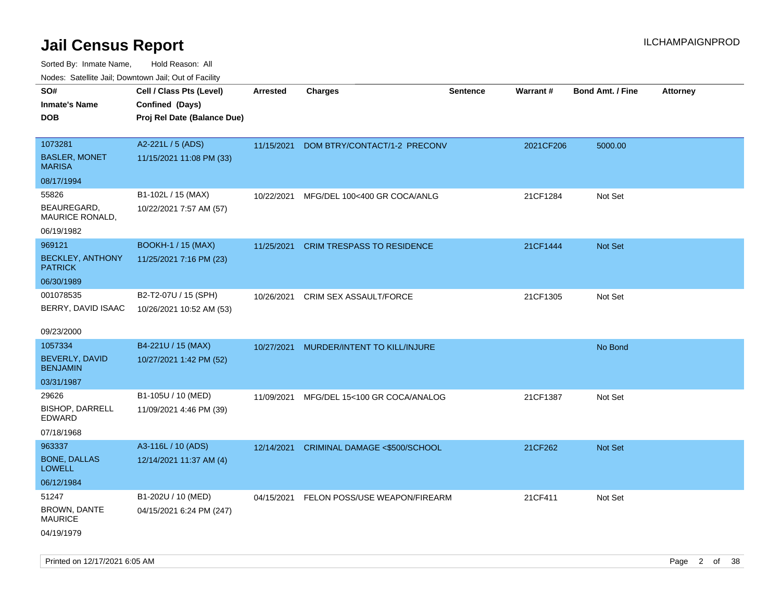| ivouss. Saleline Jali, Downtown Jali, Out of Facility |                             |                 |                                   |                 |                 |                         |                 |
|-------------------------------------------------------|-----------------------------|-----------------|-----------------------------------|-----------------|-----------------|-------------------------|-----------------|
| SO#                                                   | Cell / Class Pts (Level)    | <b>Arrested</b> | <b>Charges</b>                    | <b>Sentence</b> | <b>Warrant#</b> | <b>Bond Amt. / Fine</b> | <b>Attorney</b> |
| <b>Inmate's Name</b>                                  | Confined (Days)             |                 |                                   |                 |                 |                         |                 |
| <b>DOB</b>                                            | Proj Rel Date (Balance Due) |                 |                                   |                 |                 |                         |                 |
|                                                       |                             |                 |                                   |                 |                 |                         |                 |
| 1073281                                               | A2-221L / 5 (ADS)           | 11/15/2021      | DOM BTRY/CONTACT/1-2 PRECONV      |                 | 2021CF206       | 5000.00                 |                 |
| <b>BASLER, MONET</b><br><b>MARISA</b>                 | 11/15/2021 11:08 PM (33)    |                 |                                   |                 |                 |                         |                 |
| 08/17/1994                                            |                             |                 |                                   |                 |                 |                         |                 |
| 55826                                                 | B1-102L / 15 (MAX)          | 10/22/2021      | MFG/DEL 100<400 GR COCA/ANLG      |                 | 21CF1284        | Not Set                 |                 |
| BEAUREGARD.<br><b>MAURICE RONALD,</b>                 | 10/22/2021 7:57 AM (57)     |                 |                                   |                 |                 |                         |                 |
| 06/19/1982                                            |                             |                 |                                   |                 |                 |                         |                 |
| 969121                                                | <b>BOOKH-1 / 15 (MAX)</b>   | 11/25/2021      | <b>CRIM TRESPASS TO RESIDENCE</b> |                 | 21CF1444        | Not Set                 |                 |
| <b>BECKLEY, ANTHONY</b><br><b>PATRICK</b>             | 11/25/2021 7:16 PM (23)     |                 |                                   |                 |                 |                         |                 |
| 06/30/1989                                            |                             |                 |                                   |                 |                 |                         |                 |
| 001078535                                             | B2-T2-07U / 15 (SPH)        | 10/26/2021      | CRIM SEX ASSAULT/FORCE            |                 | 21CF1305        | Not Set                 |                 |
| BERRY, DAVID ISAAC                                    | 10/26/2021 10:52 AM (53)    |                 |                                   |                 |                 |                         |                 |
| 09/23/2000                                            |                             |                 |                                   |                 |                 |                         |                 |
| 1057334                                               | B4-221U / 15 (MAX)          | 10/27/2021      | MURDER/INTENT TO KILL/INJURE      |                 |                 | No Bond                 |                 |
| BEVERLY, DAVID<br><b>BENJAMIN</b>                     | 10/27/2021 1:42 PM (52)     |                 |                                   |                 |                 |                         |                 |
| 03/31/1987                                            |                             |                 |                                   |                 |                 |                         |                 |
| 29626                                                 | B1-105U / 10 (MED)          | 11/09/2021      | MFG/DEL 15<100 GR COCA/ANALOG     |                 | 21CF1387        | Not Set                 |                 |
| BISHOP, DARRELL<br>EDWARD                             | 11/09/2021 4:46 PM (39)     |                 |                                   |                 |                 |                         |                 |
| 07/18/1968                                            |                             |                 |                                   |                 |                 |                         |                 |
| 963337                                                | A3-116L / 10 (ADS)          | 12/14/2021      | CRIMINAL DAMAGE <\$500/SCHOOL     |                 | 21CF262         | Not Set                 |                 |
| <b>BONE, DALLAS</b><br>LOWELL                         | 12/14/2021 11:37 AM (4)     |                 |                                   |                 |                 |                         |                 |
| 06/12/1984                                            |                             |                 |                                   |                 |                 |                         |                 |
| 51247                                                 | B1-202U / 10 (MED)          | 04/15/2021      | FELON POSS/USE WEAPON/FIREARM     |                 | 21CF411         | Not Set                 |                 |
| BROWN, DANTE<br>MAURICE                               | 04/15/2021 6:24 PM (247)    |                 |                                   |                 |                 |                         |                 |
| 04/19/1979                                            |                             |                 |                                   |                 |                 |                         |                 |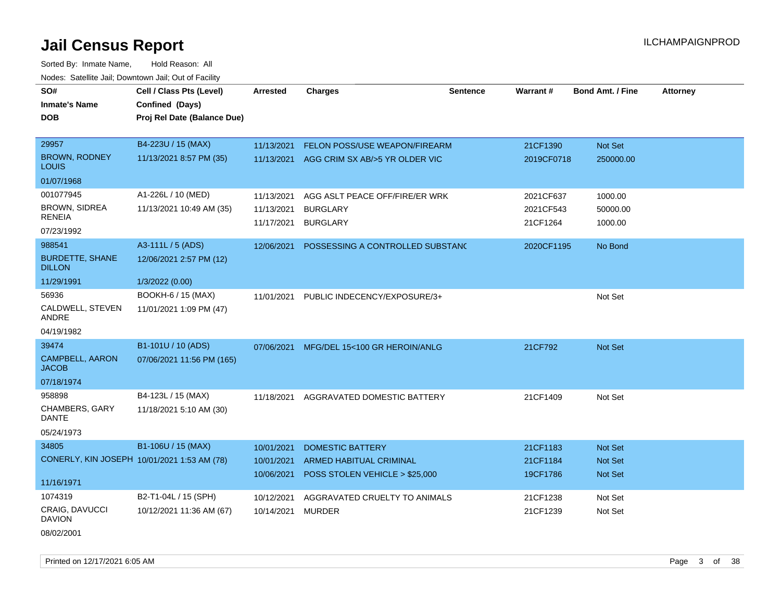Sorted By: Inmate Name, Hold Reason: All Nodes: Satellite Jail; Downtown Jail; Out of Facility

| SO#                                     | Cell / Class Pts (Level)                    | <b>Arrested</b> | <b>Charges</b>                            | <b>Sentence</b> | Warrant#   | <b>Bond Amt. / Fine</b> | <b>Attorney</b> |
|-----------------------------------------|---------------------------------------------|-----------------|-------------------------------------------|-----------------|------------|-------------------------|-----------------|
| <b>Inmate's Name</b>                    | Confined (Days)                             |                 |                                           |                 |            |                         |                 |
| <b>DOB</b>                              | Proj Rel Date (Balance Due)                 |                 |                                           |                 |            |                         |                 |
|                                         |                                             |                 |                                           |                 |            |                         |                 |
| 29957                                   | B4-223U / 15 (MAX)                          | 11/13/2021      | FELON POSS/USE WEAPON/FIREARM             |                 | 21CF1390   | Not Set                 |                 |
| <b>BROWN, RODNEY</b><br><b>LOUIS</b>    | 11/13/2021 8:57 PM (35)                     |                 | 11/13/2021 AGG CRIM SX AB/>5 YR OLDER VIC |                 | 2019CF0718 | 250000.00               |                 |
| 01/07/1968                              |                                             |                 |                                           |                 |            |                         |                 |
| 001077945                               | A1-226L / 10 (MED)                          | 11/13/2021      | AGG ASLT PEACE OFF/FIRE/ER WRK            |                 | 2021CF637  | 1000.00                 |                 |
| <b>BROWN, SIDREA</b>                    | 11/13/2021 10:49 AM (35)                    | 11/13/2021      | <b>BURGLARY</b>                           |                 | 2021CF543  | 50000.00                |                 |
| <b>RENEIA</b>                           |                                             | 11/17/2021      | <b>BURGLARY</b>                           |                 | 21CF1264   | 1000.00                 |                 |
| 07/23/1992                              |                                             |                 |                                           |                 |            |                         |                 |
| 988541                                  | A3-111L / 5 (ADS)                           | 12/06/2021      | POSSESSING A CONTROLLED SUBSTANC          |                 | 2020CF1195 | No Bond                 |                 |
| <b>BURDETTE, SHANE</b><br><b>DILLON</b> | 12/06/2021 2:57 PM (12)                     |                 |                                           |                 |            |                         |                 |
| 11/29/1991                              | 1/3/2022 (0.00)                             |                 |                                           |                 |            |                         |                 |
| 56936                                   | BOOKH-6 / 15 (MAX)                          | 11/01/2021      | PUBLIC INDECENCY/EXPOSURE/3+              |                 |            | Not Set                 |                 |
| CALDWELL, STEVEN<br>ANDRE               | 11/01/2021 1:09 PM (47)                     |                 |                                           |                 |            |                         |                 |
| 04/19/1982                              |                                             |                 |                                           |                 |            |                         |                 |
| 39474                                   | B1-101U / 10 (ADS)                          | 07/06/2021      | MFG/DEL 15<100 GR HEROIN/ANLG             |                 | 21CF792    | Not Set                 |                 |
| <b>CAMPBELL, AARON</b><br><b>JACOB</b>  | 07/06/2021 11:56 PM (165)                   |                 |                                           |                 |            |                         |                 |
| 07/18/1974                              |                                             |                 |                                           |                 |            |                         |                 |
| 958898                                  | B4-123L / 15 (MAX)                          | 11/18/2021      | AGGRAVATED DOMESTIC BATTERY               |                 | 21CF1409   | Not Set                 |                 |
| <b>CHAMBERS, GARY</b><br><b>DANTE</b>   | 11/18/2021 5:10 AM (30)                     |                 |                                           |                 |            |                         |                 |
| 05/24/1973                              |                                             |                 |                                           |                 |            |                         |                 |
| 34805                                   | B1-106U / 15 (MAX)                          | 10/01/2021      | <b>DOMESTIC BATTERY</b>                   |                 | 21CF1183   | Not Set                 |                 |
|                                         | CONERLY, KIN JOSEPH 10/01/2021 1:53 AM (78) | 10/01/2021      | <b>ARMED HABITUAL CRIMINAL</b>            |                 | 21CF1184   | Not Set                 |                 |
|                                         |                                             | 10/06/2021      | POSS STOLEN VEHICLE > \$25,000            |                 | 19CF1786   | Not Set                 |                 |
| 11/16/1971                              |                                             |                 |                                           |                 |            |                         |                 |
| 1074319                                 | B2-T1-04L / 15 (SPH)                        | 10/12/2021      | AGGRAVATED CRUELTY TO ANIMALS             |                 | 21CF1238   | Not Set                 |                 |
| <b>CRAIG, DAVUCCI</b><br><b>DAVION</b>  | 10/12/2021 11:36 AM (67)                    | 10/14/2021      | <b>MURDER</b>                             |                 | 21CF1239   | Not Set                 |                 |
| 08/02/2001                              |                                             |                 |                                           |                 |            |                         |                 |

Printed on 12/17/2021 6:05 AM Page 3 of 38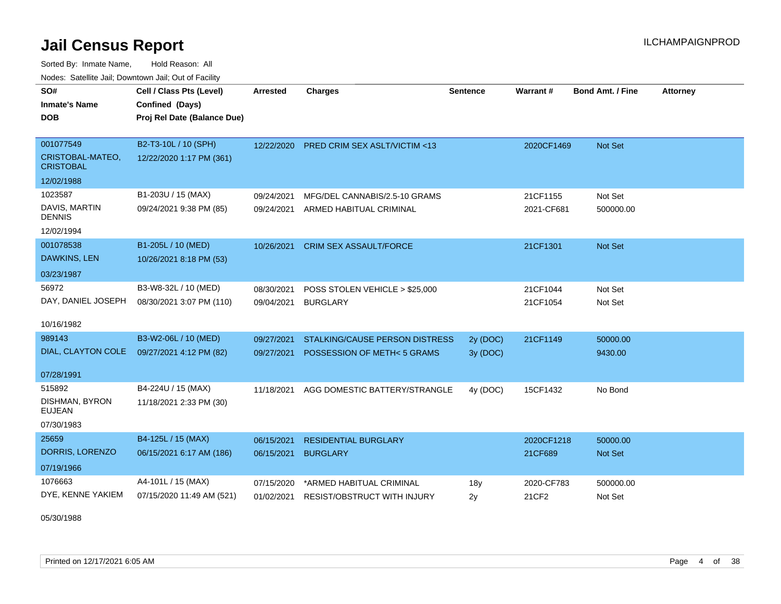Sorted By: Inmate Name, Hold Reason: All Nodes: Satellite Jail; Downtown Jail; Out of Facility

| SO#<br><b>Inmate's Name</b><br><b>DOB</b>         | Cell / Class Pts (Level)<br>Confined (Days)<br>Proj Rel Date (Balance Due) | <b>Arrested</b> | <b>Charges</b>                          | <b>Sentence</b> | Warrant#   | <b>Bond Amt. / Fine</b> | <b>Attorney</b> |
|---------------------------------------------------|----------------------------------------------------------------------------|-----------------|-----------------------------------------|-----------------|------------|-------------------------|-----------------|
| 001077549<br>CRISTOBAL-MATEO,<br><b>CRISTOBAL</b> | B2-T3-10L / 10 (SPH)<br>12/22/2020 1:17 PM (361)                           | 12/22/2020      | <b>PRED CRIM SEX ASLT/VICTIM &lt;13</b> |                 | 2020CF1469 | Not Set                 |                 |
| 12/02/1988                                        |                                                                            |                 |                                         |                 |            |                         |                 |
| 1023587                                           | B1-203U / 15 (MAX)                                                         | 09/24/2021      | MFG/DEL CANNABIS/2.5-10 GRAMS           |                 | 21CF1155   | Not Set                 |                 |
| DAVIS, MARTIN<br><b>DENNIS</b>                    | 09/24/2021 9:38 PM (85)                                                    | 09/24/2021      | ARMED HABITUAL CRIMINAL                 |                 | 2021-CF681 | 500000.00               |                 |
| 12/02/1994                                        |                                                                            |                 |                                         |                 |            |                         |                 |
| 001078538<br>DAWKINS, LEN                         | B1-205L / 10 (MED)<br>10/26/2021 8:18 PM (53)                              | 10/26/2021      | <b>CRIM SEX ASSAULT/FORCE</b>           |                 | 21CF1301   | Not Set                 |                 |
| 03/23/1987                                        |                                                                            |                 |                                         |                 |            |                         |                 |
| 56972                                             | B3-W8-32L / 10 (MED)                                                       | 08/30/2021      | POSS STOLEN VEHICLE > \$25,000          |                 | 21CF1044   | Not Set                 |                 |
| DAY, DANIEL JOSEPH                                | 08/30/2021 3:07 PM (110)                                                   | 09/04/2021      | <b>BURGLARY</b>                         |                 | 21CF1054   | Not Set                 |                 |
| 10/16/1982                                        |                                                                            |                 |                                         |                 |            |                         |                 |
| 989143                                            | B3-W2-06L / 10 (MED)                                                       | 09/27/2021      | STALKING/CAUSE PERSON DISTRESS          | 2y (DOC)        | 21CF1149   | 50000.00                |                 |
| DIAL, CLAYTON COLE                                | 09/27/2021 4:12 PM (82)                                                    | 09/27/2021      | POSSESSION OF METH<5 GRAMS              | 3y (DOC)        |            | 9430.00                 |                 |
| 07/28/1991                                        |                                                                            |                 |                                         |                 |            |                         |                 |
| 515892                                            | B4-224U / 15 (MAX)                                                         | 11/18/2021      | AGG DOMESTIC BATTERY/STRANGLE           | 4y (DOC)        | 15CF1432   | No Bond                 |                 |
| DISHMAN, BYRON<br><b>EUJEAN</b>                   | 11/18/2021 2:33 PM (30)                                                    |                 |                                         |                 |            |                         |                 |
| 07/30/1983                                        |                                                                            |                 |                                         |                 |            |                         |                 |
| 25659                                             | B4-125L / 15 (MAX)                                                         | 06/15/2021      | <b>RESIDENTIAL BURGLARY</b>             |                 | 2020CF1218 | 50000.00                |                 |
| DORRIS, LORENZO                                   | 06/15/2021 6:17 AM (186)                                                   | 06/15/2021      | <b>BURGLARY</b>                         |                 | 21CF689    | Not Set                 |                 |
| 07/19/1966                                        |                                                                            |                 |                                         |                 |            |                         |                 |
| 1076663                                           | A4-101L / 15 (MAX)                                                         | 07/15/2020      | *ARMED HABITUAL CRIMINAL                | 18y             | 2020-CF783 | 500000.00               |                 |
| DYE, KENNE YAKIEM                                 | 07/15/2020 11:49 AM (521)                                                  | 01/02/2021      | RESIST/OBSTRUCT WITH INJURY             | 2y              | 21CF2      | Not Set                 |                 |

05/30/1988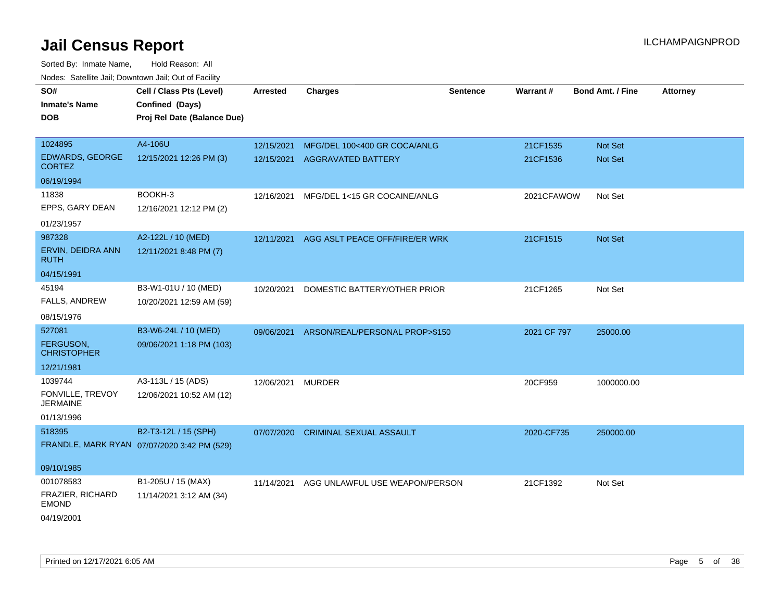| Hougo. Catolino can, Bowmown can, Cat or Fagint |                                                                            |                 |                                |                 |             |                         |                 |
|-------------------------------------------------|----------------------------------------------------------------------------|-----------------|--------------------------------|-----------------|-------------|-------------------------|-----------------|
| SO#<br><b>Inmate's Name</b><br><b>DOB</b>       | Cell / Class Pts (Level)<br>Confined (Days)<br>Proj Rel Date (Balance Due) | <b>Arrested</b> | <b>Charges</b>                 | <b>Sentence</b> | Warrant#    | <b>Bond Amt. / Fine</b> | <b>Attorney</b> |
| 1024895                                         | A4-106U                                                                    | 12/15/2021      | MFG/DEL 100<400 GR COCA/ANLG   |                 | 21CF1535    | <b>Not Set</b>          |                 |
| EDWARDS, GEORGE<br><b>CORTEZ</b>                | 12/15/2021 12:26 PM (3)                                                    | 12/15/2021      | AGGRAVATED BATTERY             |                 | 21CF1536    | Not Set                 |                 |
| 06/19/1994                                      |                                                                            |                 |                                |                 |             |                         |                 |
| 11838                                           | BOOKH-3                                                                    | 12/16/2021      | MFG/DEL 1<15 GR COCAINE/ANLG   |                 | 2021CFAWOW  | Not Set                 |                 |
| EPPS, GARY DEAN                                 | 12/16/2021 12:12 PM (2)                                                    |                 |                                |                 |             |                         |                 |
| 01/23/1957                                      |                                                                            |                 |                                |                 |             |                         |                 |
| 987328                                          | A2-122L / 10 (MED)                                                         | 12/11/2021      | AGG ASLT PEACE OFF/FIRE/ER WRK |                 | 21CF1515    | Not Set                 |                 |
| ERVIN, DEIDRA ANN<br><b>RUTH</b>                | 12/11/2021 8:48 PM (7)                                                     |                 |                                |                 |             |                         |                 |
| 04/15/1991                                      |                                                                            |                 |                                |                 |             |                         |                 |
| 45194                                           | B3-W1-01U / 10 (MED)                                                       | 10/20/2021      | DOMESTIC BATTERY/OTHER PRIOR   |                 | 21CF1265    | Not Set                 |                 |
| <b>FALLS, ANDREW</b>                            | 10/20/2021 12:59 AM (59)                                                   |                 |                                |                 |             |                         |                 |
| 08/15/1976                                      |                                                                            |                 |                                |                 |             |                         |                 |
| 527081                                          | B3-W6-24L / 10 (MED)                                                       | 09/06/2021      | ARSON/REAL/PERSONAL PROP>\$150 |                 | 2021 CF 797 | 25000.00                |                 |
| <b>FERGUSON,</b><br><b>CHRISTOPHER</b>          | 09/06/2021 1:18 PM (103)                                                   |                 |                                |                 |             |                         |                 |
| 12/21/1981                                      |                                                                            |                 |                                |                 |             |                         |                 |
| 1039744                                         | A3-113L / 15 (ADS)                                                         | 12/06/2021      | <b>MURDER</b>                  |                 | 20CF959     | 1000000.00              |                 |
| FONVILLE, TREVOY<br><b>JERMAINE</b>             | 12/06/2021 10:52 AM (12)                                                   |                 |                                |                 |             |                         |                 |
| 01/13/1996                                      |                                                                            |                 |                                |                 |             |                         |                 |
| 518395                                          | B2-T3-12L / 15 (SPH)                                                       | 07/07/2020      | <b>CRIMINAL SEXUAL ASSAULT</b> |                 | 2020-CF735  | 250000.00               |                 |
|                                                 | FRANDLE, MARK RYAN 07/07/2020 3:42 PM (529)                                |                 |                                |                 |             |                         |                 |
| 09/10/1985                                      |                                                                            |                 |                                |                 |             |                         |                 |
| 001078583                                       | B1-205U / 15 (MAX)                                                         | 11/14/2021      | AGG UNLAWFUL USE WEAPON/PERSON |                 | 21CF1392    | Not Set                 |                 |
| FRAZIER, RICHARD<br><b>EMOND</b>                | 11/14/2021 3:12 AM (34)                                                    |                 |                                |                 |             |                         |                 |
| 04/19/2001                                      |                                                                            |                 |                                |                 |             |                         |                 |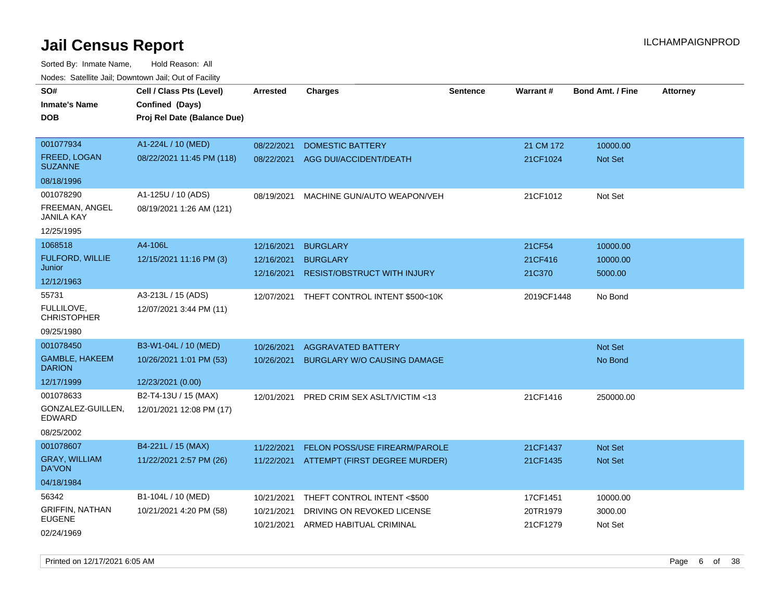Sorted By: Inmate Name, Hold Reason: All Nodes: Satellite Jail; Downtown Jail; Out of Facility

| wacs. Calcillic Jali, Downtown Jali, Out of Facility |                             |                 |                                           |                 |                 |                         |                 |
|------------------------------------------------------|-----------------------------|-----------------|-------------------------------------------|-----------------|-----------------|-------------------------|-----------------|
| SO#                                                  | Cell / Class Pts (Level)    | <b>Arrested</b> | <b>Charges</b>                            | <b>Sentence</b> | <b>Warrant#</b> | <b>Bond Amt. / Fine</b> | <b>Attorney</b> |
| <b>Inmate's Name</b>                                 | Confined (Days)             |                 |                                           |                 |                 |                         |                 |
| <b>DOB</b>                                           | Proj Rel Date (Balance Due) |                 |                                           |                 |                 |                         |                 |
|                                                      |                             |                 |                                           |                 |                 |                         |                 |
| 001077934                                            | A1-224L / 10 (MED)          | 08/22/2021      | <b>DOMESTIC BATTERY</b>                   |                 | 21 CM 172       | 10000.00                |                 |
| FREED, LOGAN<br><b>SUZANNE</b>                       | 08/22/2021 11:45 PM (118)   | 08/22/2021      | AGG DUI/ACCIDENT/DEATH                    |                 | 21CF1024        | <b>Not Set</b>          |                 |
| 08/18/1996                                           |                             |                 |                                           |                 |                 |                         |                 |
| 001078290                                            | A1-125U / 10 (ADS)          | 08/19/2021      | MACHINE GUN/AUTO WEAPON/VEH               |                 | 21CF1012        | Not Set                 |                 |
| FREEMAN, ANGEL<br><b>JANILA KAY</b>                  | 08/19/2021 1:26 AM (121)    |                 |                                           |                 |                 |                         |                 |
| 12/25/1995                                           |                             |                 |                                           |                 |                 |                         |                 |
| 1068518                                              | A4-106L                     | 12/16/2021      | <b>BURGLARY</b>                           |                 | 21CF54          | 10000.00                |                 |
| FULFORD, WILLIE                                      | 12/15/2021 11:16 PM (3)     | 12/16/2021      | <b>BURGLARY</b>                           |                 | 21CF416         | 10000.00                |                 |
| Junior                                               |                             | 12/16/2021      | RESIST/OBSTRUCT WITH INJURY               |                 | 21C370          | 5000.00                 |                 |
| 12/12/1963                                           |                             |                 |                                           |                 |                 |                         |                 |
| 55731                                                | A3-213L / 15 (ADS)          |                 | 12/07/2021 THEFT CONTROL INTENT \$500<10K |                 | 2019CF1448      | No Bond                 |                 |
| FULLILOVE,<br>CHRISTOPHER                            | 12/07/2021 3:44 PM (11)     |                 |                                           |                 |                 |                         |                 |
| 09/25/1980                                           |                             |                 |                                           |                 |                 |                         |                 |
| 001078450                                            | B3-W1-04L / 10 (MED)        | 10/26/2021      | <b>AGGRAVATED BATTERY</b>                 |                 |                 | <b>Not Set</b>          |                 |
| GAMBLE, HAKEEM<br><b>DARION</b>                      | 10/26/2021 1:01 PM (53)     | 10/26/2021      | <b>BURGLARY W/O CAUSING DAMAGE</b>        |                 |                 | No Bond                 |                 |
| 12/17/1999                                           | 12/23/2021 (0.00)           |                 |                                           |                 |                 |                         |                 |
| 001078633                                            | B2-T4-13U / 15 (MAX)        | 12/01/2021      | PRED CRIM SEX ASLT/VICTIM <13             |                 | 21CF1416        | 250000.00               |                 |
| GONZALEZ-GUILLEN,<br>EDWARD                          | 12/01/2021 12:08 PM (17)    |                 |                                           |                 |                 |                         |                 |
| 08/25/2002                                           |                             |                 |                                           |                 |                 |                         |                 |
| 001078607                                            | B4-221L / 15 (MAX)          | 11/22/2021      | FELON POSS/USE FIREARM/PAROLE             |                 | 21CF1437        | <b>Not Set</b>          |                 |
| <b>GRAY, WILLIAM</b><br>DA'VON                       | 11/22/2021 2:57 PM (26)     |                 | 11/22/2021 ATTEMPT (FIRST DEGREE MURDER)  |                 | 21CF1435        | <b>Not Set</b>          |                 |
| 04/18/1984                                           |                             |                 |                                           |                 |                 |                         |                 |
| 56342                                                | B1-104L / 10 (MED)          | 10/21/2021      | THEFT CONTROL INTENT <\$500               |                 | 17CF1451        | 10000.00                |                 |
| <b>GRIFFIN, NATHAN</b>                               | 10/21/2021 4:20 PM (58)     | 10/21/2021      | DRIVING ON REVOKED LICENSE                |                 | 20TR1979        | 3000.00                 |                 |
| <b>EUGENE</b>                                        |                             | 10/21/2021      | ARMED HABITUAL CRIMINAL                   |                 | 21CF1279        | Not Set                 |                 |
| 02/24/1969                                           |                             |                 |                                           |                 |                 |                         |                 |

Printed on 12/17/2021 6:05 AM **Page 6** of 38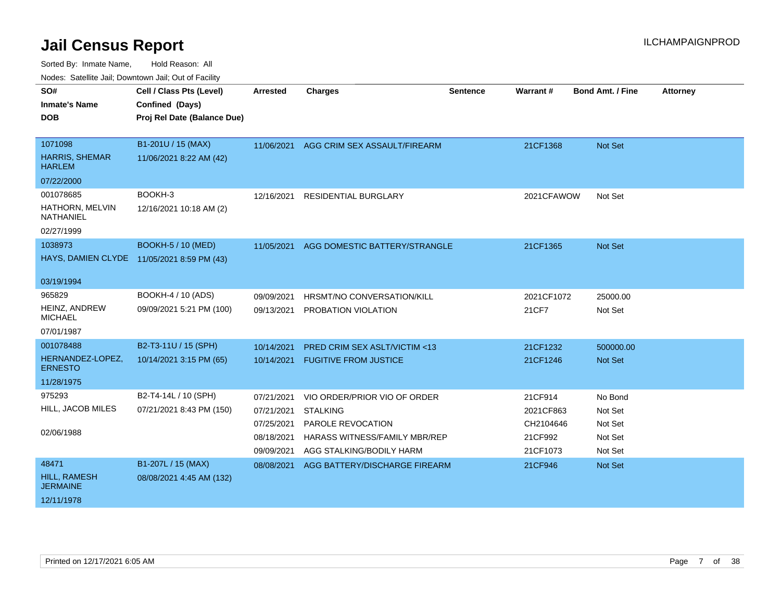| <u>Houce.</u> Catellite ball, Downtown ball, Out of Fabilit |                                            |                 |                                         |                 |            |                         |                 |
|-------------------------------------------------------------|--------------------------------------------|-----------------|-----------------------------------------|-----------------|------------|-------------------------|-----------------|
| SO#                                                         | Cell / Class Pts (Level)                   | <b>Arrested</b> | <b>Charges</b>                          | <b>Sentence</b> | Warrant#   | <b>Bond Amt. / Fine</b> | <b>Attorney</b> |
| <b>Inmate's Name</b>                                        | Confined (Days)                            |                 |                                         |                 |            |                         |                 |
| DOB.                                                        | Proj Rel Date (Balance Due)                |                 |                                         |                 |            |                         |                 |
|                                                             |                                            |                 |                                         |                 |            |                         |                 |
| 1071098                                                     | B1-201U / 15 (MAX)                         | 11/06/2021      | AGG CRIM SEX ASSAULT/FIREARM            |                 | 21CF1368   | Not Set                 |                 |
| <b>HARRIS, SHEMAR</b><br><b>HARLEM</b>                      | 11/06/2021 8:22 AM (42)                    |                 |                                         |                 |            |                         |                 |
| 07/22/2000                                                  |                                            |                 |                                         |                 |            |                         |                 |
| 001078685                                                   | BOOKH-3                                    | 12/16/2021      | RESIDENTIAL BURGLARY                    |                 | 2021CFAWOW | Not Set                 |                 |
| HATHORN, MELVIN<br>NATHANIEL                                | 12/16/2021 10:18 AM (2)                    |                 |                                         |                 |            |                         |                 |
| 02/27/1999                                                  |                                            |                 |                                         |                 |            |                         |                 |
| 1038973                                                     | <b>BOOKH-5 / 10 (MED)</b>                  | 11/05/2021      | AGG DOMESTIC BATTERY/STRANGLE           |                 | 21CF1365   | <b>Not Set</b>          |                 |
|                                                             | HAYS, DAMIEN CLYDE 11/05/2021 8:59 PM (43) |                 |                                         |                 |            |                         |                 |
|                                                             |                                            |                 |                                         |                 |            |                         |                 |
| 03/19/1994                                                  |                                            |                 |                                         |                 |            |                         |                 |
| 965829                                                      | BOOKH-4 / 10 (ADS)                         | 09/09/2021      | HRSMT/NO CONVERSATION/KILL              |                 | 2021CF1072 | 25000.00                |                 |
| HEINZ, ANDREW<br><b>MICHAEL</b>                             | 09/09/2021 5:21 PM (100)                   | 09/13/2021      | PROBATION VIOLATION                     |                 | 21CF7      | Not Set                 |                 |
| 07/01/1987                                                  |                                            |                 |                                         |                 |            |                         |                 |
| 001078488                                                   | B2-T3-11U / 15 (SPH)                       | 10/14/2021      | <b>PRED CRIM SEX ASLT/VICTIM &lt;13</b> |                 | 21CF1232   | 500000.00               |                 |
| HERNANDEZ-LOPEZ,<br><b>ERNESTO</b>                          | 10/14/2021 3:15 PM (65)                    | 10/14/2021      | <b>FUGITIVE FROM JUSTICE</b>            |                 | 21CF1246   | Not Set                 |                 |
| 11/28/1975                                                  |                                            |                 |                                         |                 |            |                         |                 |
| 975293                                                      | B2-T4-14L / 10 (SPH)                       | 07/21/2021      | VIO ORDER/PRIOR VIO OF ORDER            |                 | 21CF914    | No Bond                 |                 |
| HILL, JACOB MILES                                           | 07/21/2021 8:43 PM (150)                   | 07/21/2021      | <b>STALKING</b>                         |                 | 2021CF863  | Not Set                 |                 |
|                                                             |                                            | 07/25/2021      | PAROLE REVOCATION                       |                 | CH2104646  | Not Set                 |                 |
| 02/06/1988                                                  |                                            | 08/18/2021      | HARASS WITNESS/FAMILY MBR/REP           |                 | 21CF992    | Not Set                 |                 |
|                                                             |                                            | 09/09/2021      | AGG STALKING/BODILY HARM                |                 | 21CF1073   | Not Set                 |                 |
| 48471                                                       | B1-207L / 15 (MAX)                         | 08/08/2021      | AGG BATTERY/DISCHARGE FIREARM           |                 | 21CF946    | <b>Not Set</b>          |                 |
| HILL, RAMESH<br><b>JERMAINE</b>                             | 08/08/2021 4:45 AM (132)                   |                 |                                         |                 |            |                         |                 |
| 12/11/1978                                                  |                                            |                 |                                         |                 |            |                         |                 |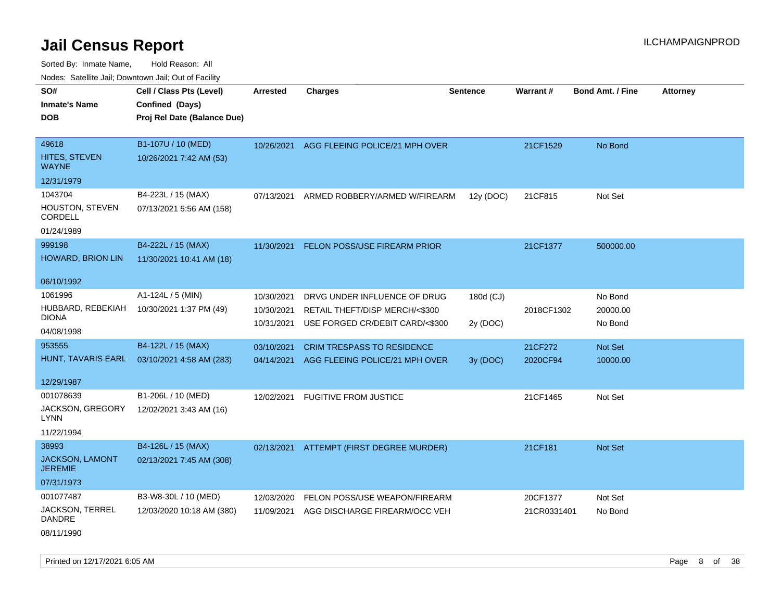| rougs. Calcinic Jan, Downtown Jan, Out of Facility |                             |                 |                                           |                 |                 |                         |                 |
|----------------------------------------------------|-----------------------------|-----------------|-------------------------------------------|-----------------|-----------------|-------------------------|-----------------|
| SO#                                                | Cell / Class Pts (Level)    | <b>Arrested</b> | <b>Charges</b>                            | <b>Sentence</b> | <b>Warrant#</b> | <b>Bond Amt. / Fine</b> | <b>Attorney</b> |
| <b>Inmate's Name</b>                               | Confined (Days)             |                 |                                           |                 |                 |                         |                 |
| <b>DOB</b>                                         | Proj Rel Date (Balance Due) |                 |                                           |                 |                 |                         |                 |
|                                                    |                             |                 |                                           |                 |                 |                         |                 |
| 49618                                              | B1-107U / 10 (MED)          |                 | 10/26/2021 AGG FLEEING POLICE/21 MPH OVER |                 | 21CF1529        | No Bond                 |                 |
| HITES, STEVEN<br><b>WAYNE</b>                      | 10/26/2021 7:42 AM (53)     |                 |                                           |                 |                 |                         |                 |
| 12/31/1979                                         |                             |                 |                                           |                 |                 |                         |                 |
| 1043704                                            | B4-223L / 15 (MAX)          | 07/13/2021      | ARMED ROBBERY/ARMED W/FIREARM             | 12y (DOC)       | 21CF815         | Not Set                 |                 |
| HOUSTON, STEVEN<br>CORDELL                         | 07/13/2021 5:56 AM (158)    |                 |                                           |                 |                 |                         |                 |
| 01/24/1989                                         |                             |                 |                                           |                 |                 |                         |                 |
| 999198                                             | B4-222L / 15 (MAX)          | 11/30/2021      | FELON POSS/USE FIREARM PRIOR              |                 | 21CF1377        | 500000.00               |                 |
| <b>HOWARD, BRION LIN</b>                           | 11/30/2021 10:41 AM (18)    |                 |                                           |                 |                 |                         |                 |
|                                                    |                             |                 |                                           |                 |                 |                         |                 |
| 06/10/1992                                         |                             |                 |                                           |                 |                 |                         |                 |
| 1061996                                            | A1-124L / 5 (MIN)           | 10/30/2021      | DRVG UNDER INFLUENCE OF DRUG              | 180d (CJ)       |                 | No Bond                 |                 |
| HUBBARD, REBEKIAH                                  | 10/30/2021 1:37 PM (49)     | 10/30/2021      | RETAIL THEFT/DISP MERCH/<\$300            |                 | 2018CF1302      | 20000.00                |                 |
| <b>DIONA</b>                                       |                             | 10/31/2021      | USE FORGED CR/DEBIT CARD/<\$300           | 2y (DOC)        |                 | No Bond                 |                 |
| 04/08/1998                                         |                             |                 |                                           |                 |                 |                         |                 |
| 953555                                             | B4-122L / 15 (MAX)          | 03/10/2021      | <b>CRIM TRESPASS TO RESIDENCE</b>         |                 | 21CF272         | Not Set                 |                 |
| HUNT, TAVARIS EARL                                 | 03/10/2021 4:58 AM (283)    |                 | 04/14/2021 AGG FLEEING POLICE/21 MPH OVER | 3y (DOC)        | 2020CF94        | 10000.00                |                 |
| 12/29/1987                                         |                             |                 |                                           |                 |                 |                         |                 |
| 001078639                                          | B1-206L / 10 (MED)          |                 |                                           |                 |                 |                         |                 |
|                                                    |                             | 12/02/2021      | <b>FUGITIVE FROM JUSTICE</b>              |                 | 21CF1465        | Not Set                 |                 |
| JACKSON, GREGORY<br><b>LYNN</b>                    | 12/02/2021 3:43 AM (16)     |                 |                                           |                 |                 |                         |                 |
| 11/22/1994                                         |                             |                 |                                           |                 |                 |                         |                 |
| 38993                                              | B4-126L / 15 (MAX)          |                 | 02/13/2021 ATTEMPT (FIRST DEGREE MURDER)  |                 | 21CF181         | Not Set                 |                 |
| JACKSON, LAMONT<br><b>JEREMIE</b>                  | 02/13/2021 7:45 AM (308)    |                 |                                           |                 |                 |                         |                 |
| 07/31/1973                                         |                             |                 |                                           |                 |                 |                         |                 |
| 001077487                                          | B3-W8-30L / 10 (MED)        | 12/03/2020      | FELON POSS/USE WEAPON/FIREARM             |                 | 20CF1377        | Not Set                 |                 |
| <b>JACKSON, TERREL</b><br>DANDRE                   | 12/03/2020 10:18 AM (380)   | 11/09/2021      | AGG DISCHARGE FIREARM/OCC VEH             |                 | 21CR0331401     | No Bond                 |                 |
| 08/11/1990                                         |                             |                 |                                           |                 |                 |                         |                 |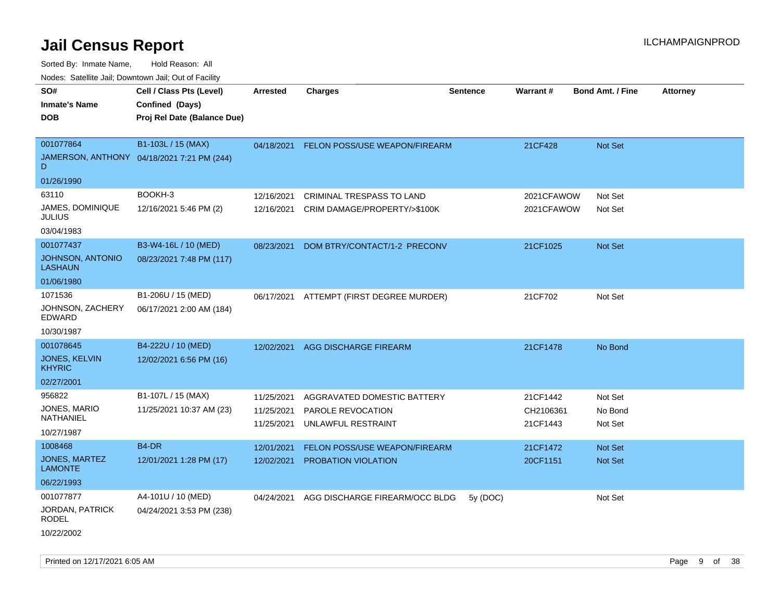| SO#<br><b>Inmate's Name</b><br><b>DOB</b>                        | Cell / Class Pts (Level)<br>Confined (Days)<br>Proj Rel Date (Balance Due) | <b>Arrested</b>                        | <b>Charges</b>                                                         | <b>Sentence</b> | Warrant#                          | <b>Bond Amt. / Fine</b>          | <b>Attorney</b> |
|------------------------------------------------------------------|----------------------------------------------------------------------------|----------------------------------------|------------------------------------------------------------------------|-----------------|-----------------------------------|----------------------------------|-----------------|
| 001077864<br>D.<br>01/26/1990                                    | B1-103L / 15 (MAX)<br>JAMERSON, ANTHONY 04/18/2021 7:21 PM (244)           | 04/18/2021                             | FELON POSS/USE WEAPON/FIREARM                                          |                 | 21CF428                           | <b>Not Set</b>                   |                 |
| 63110<br>JAMES, DOMINIQUE<br><b>JULIUS</b><br>03/04/1983         | BOOKH-3<br>12/16/2021 5:46 PM (2)                                          | 12/16/2021<br>12/16/2021               | <b>CRIMINAL TRESPASS TO LAND</b><br>CRIM DAMAGE/PROPERTY/>\$100K       |                 | 2021CFAWOW<br>2021CFAWOW          | Not Set<br>Not Set               |                 |
| 001077437<br>JOHNSON, ANTONIO<br><b>LASHAUN</b><br>01/06/1980    | B3-W4-16L / 10 (MED)<br>08/23/2021 7:48 PM (117)                           | 08/23/2021                             | DOM BTRY/CONTACT/1-2 PRECONV                                           |                 | 21CF1025                          | Not Set                          |                 |
| 1071536<br>JOHNSON, ZACHERY<br>EDWARD<br>10/30/1987              | B1-206U / 15 (MED)<br>06/17/2021 2:00 AM (184)                             | 06/17/2021                             | ATTEMPT (FIRST DEGREE MURDER)                                          |                 | 21CF702                           | Not Set                          |                 |
| 001078645<br><b>JONES, KELVIN</b><br><b>KHYRIC</b><br>02/27/2001 | B4-222U / 10 (MED)<br>12/02/2021 6:56 PM (16)                              | 12/02/2021                             | AGG DISCHARGE FIREARM                                                  |                 | 21CF1478                          | No Bond                          |                 |
| 956822<br>JONES, MARIO<br>NATHANIEL<br>10/27/1987                | B1-107L / 15 (MAX)<br>11/25/2021 10:37 AM (23)                             | 11/25/2021<br>11/25/2021<br>11/25/2021 | AGGRAVATED DOMESTIC BATTERY<br>PAROLE REVOCATION<br>UNLAWFUL RESTRAINT |                 | 21CF1442<br>CH2106361<br>21CF1443 | Not Set<br>No Bond<br>Not Set    |                 |
| 1008468<br><b>JONES, MARTEZ</b><br><b>LAMONTE</b><br>06/22/1993  | B <sub>4</sub> -DR<br>12/01/2021 1:28 PM (17)                              | 12/01/2021<br>12/02/2021               | FELON POSS/USE WEAPON/FIREARM<br>PROBATION VIOLATION                   |                 | 21CF1472<br>20CF1151              | <b>Not Set</b><br><b>Not Set</b> |                 |
| 001077877<br>JORDAN, PATRICK<br><b>RODEL</b><br>10/22/2002       | A4-101U / 10 (MED)<br>04/24/2021 3:53 PM (238)                             | 04/24/2021                             | AGG DISCHARGE FIREARM/OCC BLDG                                         | 5y(DOC)         |                                   | Not Set                          |                 |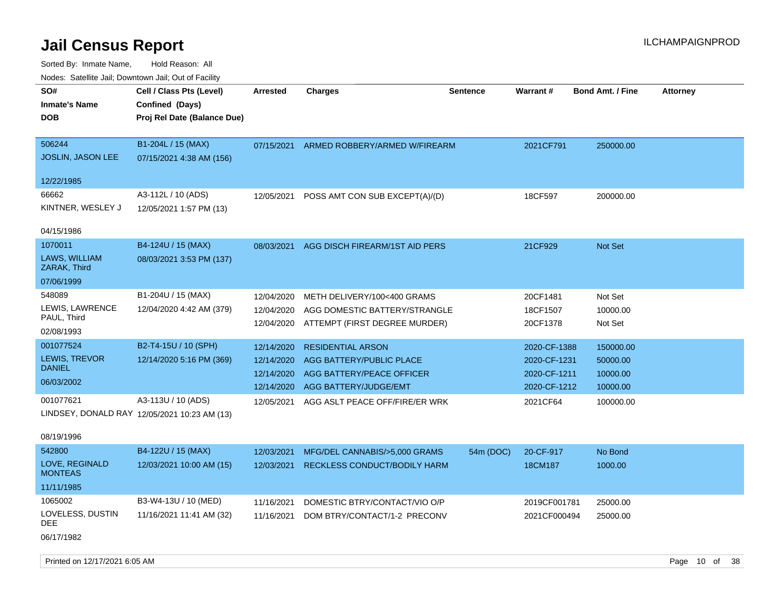Sorted By: Inmate Name, Hold Reason: All Nodes: Satellite Jail; Downtown Jail; Out of Facility

| SO#                           | Cell / Class Pts (Level)                     | <b>Arrested</b> | <b>Charges</b>                 | <b>Sentence</b> | Warrant#     | <b>Bond Amt. / Fine</b> | <b>Attorney</b> |
|-------------------------------|----------------------------------------------|-----------------|--------------------------------|-----------------|--------------|-------------------------|-----------------|
| <b>Inmate's Name</b>          | Confined (Days)                              |                 |                                |                 |              |                         |                 |
| <b>DOB</b>                    | Proj Rel Date (Balance Due)                  |                 |                                |                 |              |                         |                 |
|                               |                                              |                 |                                |                 |              |                         |                 |
| 506244                        | B1-204L / 15 (MAX)                           | 07/15/2021      | ARMED ROBBERY/ARMED W/FIREARM  |                 | 2021CF791    | 250000.00               |                 |
| <b>JOSLIN, JASON LEE</b>      | 07/15/2021 4:38 AM (156)                     |                 |                                |                 |              |                         |                 |
| 12/22/1985                    |                                              |                 |                                |                 |              |                         |                 |
| 66662                         | A3-112L / 10 (ADS)                           | 12/05/2021      | POSS AMT CON SUB EXCEPT(A)/(D) |                 | 18CF597      | 200000.00               |                 |
| KINTNER, WESLEY J             | 12/05/2021 1:57 PM (13)                      |                 |                                |                 |              |                         |                 |
| 04/15/1986                    |                                              |                 |                                |                 |              |                         |                 |
| 1070011                       | B4-124U / 15 (MAX)                           | 08/03/2021      | AGG DISCH FIREARM/1ST AID PERS |                 | 21CF929      | Not Set                 |                 |
| LAWS, WILLIAM<br>ZARAK, Third | 08/03/2021 3:53 PM (137)                     |                 |                                |                 |              |                         |                 |
| 07/06/1999                    |                                              |                 |                                |                 |              |                         |                 |
| 548089                        | B1-204U / 15 (MAX)                           | 12/04/2020      | METH DELIVERY/100<400 GRAMS    |                 | 20CF1481     | Not Set                 |                 |
| LEWIS, LAWRENCE               | 12/04/2020 4:42 AM (379)                     | 12/04/2020      | AGG DOMESTIC BATTERY/STRANGLE  |                 | 18CF1507     | 10000.00                |                 |
| PAUL, Third                   |                                              | 12/04/2020      | ATTEMPT (FIRST DEGREE MURDER)  |                 | 20CF1378     | Not Set                 |                 |
| 02/08/1993                    |                                              |                 |                                |                 |              |                         |                 |
| 001077524                     | B2-T4-15U / 10 (SPH)                         | 12/14/2020      | <b>RESIDENTIAL ARSON</b>       |                 | 2020-CF-1388 | 150000.00               |                 |
| <b>LEWIS, TREVOR</b>          | 12/14/2020 5:16 PM (369)                     | 12/14/2020      | AGG BATTERY/PUBLIC PLACE       |                 | 2020-CF-1231 | 50000.00                |                 |
| <b>DANIEL</b>                 |                                              | 12/14/2020      | AGG BATTERY/PEACE OFFICER      |                 | 2020-CF-1211 | 10000.00                |                 |
| 06/03/2002                    |                                              | 12/14/2020      | AGG BATTERY/JUDGE/EMT          |                 | 2020-CF-1212 | 10000.00                |                 |
| 001077621                     | A3-113U / 10 (ADS)                           | 12/05/2021      | AGG ASLT PEACE OFF/FIRE/ER WRK |                 | 2021CF64     | 100000.00               |                 |
|                               | LINDSEY, DONALD RAY 12/05/2021 10:23 AM (13) |                 |                                |                 |              |                         |                 |

### 08/19/1996

| 542800                           | B4-122U / 15 (MAX)       | 12/03/2021 | MFG/DEL CANNABIS/>5,000 GRAMS       | 54m (DOC) | 20-CF-917    | No Bond  |
|----------------------------------|--------------------------|------------|-------------------------------------|-----------|--------------|----------|
| LOVE, REGINALD<br><b>MONTEAS</b> | 12/03/2021 10:00 AM (15) | 12/03/2021 | <b>RECKLESS CONDUCT/BODILY HARM</b> |           | 18CM187      | 1000.00  |
| 11/11/1985                       |                          |            |                                     |           |              |          |
| 1065002                          | B3-W4-13U / 10 (MED)     | 11/16/2021 | DOMESTIC BTRY/CONTACT/VIO O/P       |           | 2019CF001781 | 25000.00 |
| LOVELESS, DUSTIN<br>DEE.         | 11/16/2021 11:41 AM (32) | 11/16/2021 | DOM BTRY/CONTACT/1-2 PRECONV        |           | 2021CF000494 | 25000.00 |

06/17/1982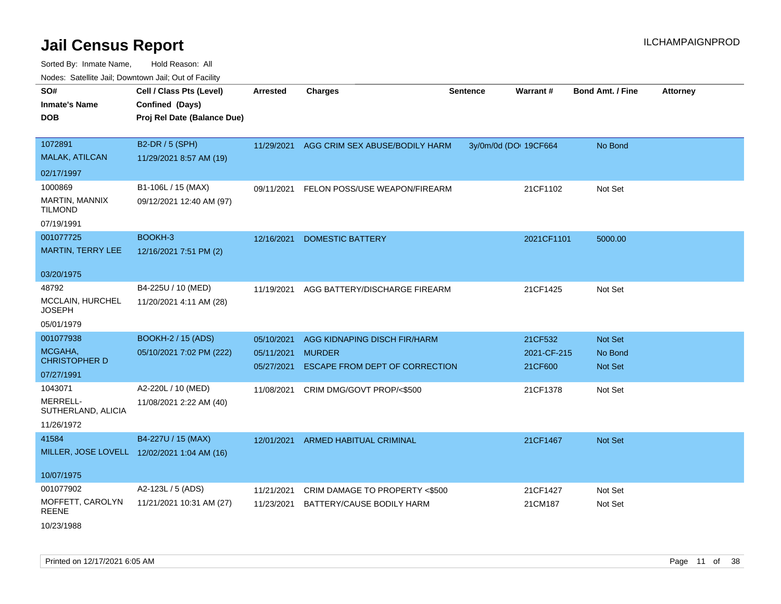| Hougo. Catolino can, Bowmown can, Cat or Fagint<br>SO# | Cell / Class Pts (Level)                    | <b>Arrested</b> | <b>Charges</b>                        |                       | <b>Warrant#</b> | <b>Bond Amt. / Fine</b> | <b>Attorney</b> |
|--------------------------------------------------------|---------------------------------------------|-----------------|---------------------------------------|-----------------------|-----------------|-------------------------|-----------------|
|                                                        |                                             |                 |                                       | <b>Sentence</b>       |                 |                         |                 |
| <b>Inmate's Name</b>                                   | Confined (Days)                             |                 |                                       |                       |                 |                         |                 |
| <b>DOB</b>                                             | Proj Rel Date (Balance Due)                 |                 |                                       |                       |                 |                         |                 |
| 1072891                                                | B2-DR / 5 (SPH)                             | 11/29/2021      | AGG CRIM SEX ABUSE/BODILY HARM        | 3y/0m/0d (DOI 19CF664 |                 | No Bond                 |                 |
| <b>MALAK, ATILCAN</b>                                  | 11/29/2021 8:57 AM (19)                     |                 |                                       |                       |                 |                         |                 |
| 02/17/1997                                             |                                             |                 |                                       |                       |                 |                         |                 |
| 1000869                                                | B1-106L / 15 (MAX)                          | 09/11/2021      | FELON POSS/USE WEAPON/FIREARM         |                       | 21CF1102        | Not Set                 |                 |
| <b>MARTIN, MANNIX</b><br>TILMOND                       | 09/12/2021 12:40 AM (97)                    |                 |                                       |                       |                 |                         |                 |
| 07/19/1991                                             |                                             |                 |                                       |                       |                 |                         |                 |
| 001077725                                              | BOOKH-3                                     | 12/16/2021      | <b>DOMESTIC BATTERY</b>               |                       | 2021CF1101      | 5000.00                 |                 |
| <b>MARTIN, TERRY LEE</b>                               | 12/16/2021 7:51 PM (2)                      |                 |                                       |                       |                 |                         |                 |
|                                                        |                                             |                 |                                       |                       |                 |                         |                 |
| 03/20/1975                                             |                                             |                 |                                       |                       |                 |                         |                 |
| 48792                                                  | B4-225U / 10 (MED)                          | 11/19/2021      | AGG BATTERY/DISCHARGE FIREARM         |                       | 21CF1425        | Not Set                 |                 |
| MCCLAIN, HURCHEL<br><b>JOSEPH</b>                      | 11/20/2021 4:11 AM (28)                     |                 |                                       |                       |                 |                         |                 |
| 05/01/1979                                             |                                             |                 |                                       |                       |                 |                         |                 |
| 001077938                                              | <b>BOOKH-2 / 15 (ADS)</b>                   | 05/10/2021      | AGG KIDNAPING DISCH FIR/HARM          |                       | 21CF532         | Not Set                 |                 |
| MCGAHA,                                                | 05/10/2021 7:02 PM (222)                    | 05/11/2021      | <b>MURDER</b>                         |                       | 2021-CF-215     | No Bond                 |                 |
| <b>CHRISTOPHER D</b>                                   |                                             | 05/27/2021      | <b>ESCAPE FROM DEPT OF CORRECTION</b> |                       | 21CF600         | <b>Not Set</b>          |                 |
| 07/27/1991                                             |                                             |                 |                                       |                       |                 |                         |                 |
| 1043071                                                | A2-220L / 10 (MED)                          | 11/08/2021      | CRIM DMG/GOVT PROP/<\$500             |                       | 21CF1378        | Not Set                 |                 |
| MERRELL-<br>SUTHERLAND, ALICIA                         | 11/08/2021 2:22 AM (40)                     |                 |                                       |                       |                 |                         |                 |
| 11/26/1972                                             |                                             |                 |                                       |                       |                 |                         |                 |
| 41584                                                  | B4-227U / 15 (MAX)                          | 12/01/2021      | ARMED HABITUAL CRIMINAL               |                       | 21CF1467        | <b>Not Set</b>          |                 |
|                                                        | MILLER, JOSE LOVELL 12/02/2021 1:04 AM (16) |                 |                                       |                       |                 |                         |                 |
| 10/07/1975                                             |                                             |                 |                                       |                       |                 |                         |                 |
| 001077902                                              | A2-123L / 5 (ADS)                           | 11/21/2021      | CRIM DAMAGE TO PROPERTY <\$500        |                       | 21CF1427        | Not Set                 |                 |
| MOFFETT, CAROLYN<br>REENE                              | 11/21/2021 10:31 AM (27)                    | 11/23/2021      | BATTERY/CAUSE BODILY HARM             |                       | 21CM187         | Not Set                 |                 |
| 10/23/1988                                             |                                             |                 |                                       |                       |                 |                         |                 |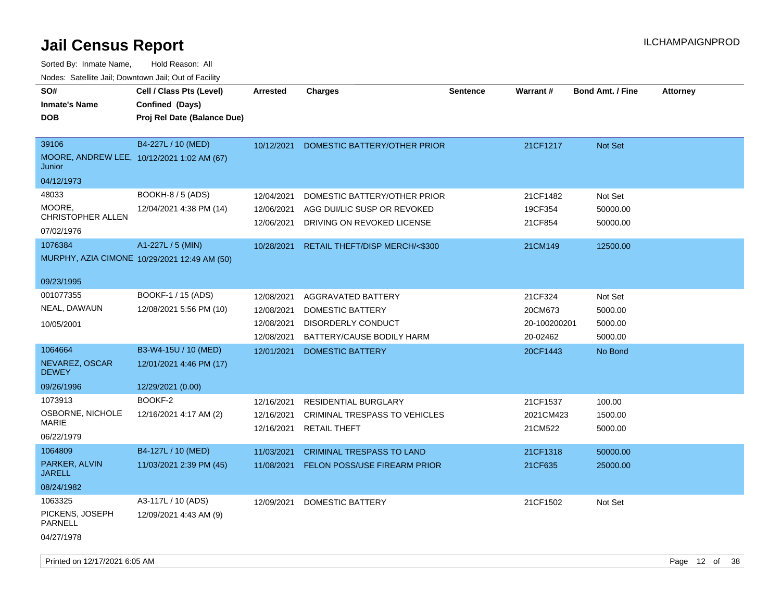| SO#<br><b>Inmate's Name</b>                                   | Cell / Class Pts (Level)<br>Confined (Days)                       | <b>Arrested</b>                        | <b>Charges</b>                                                                            | <b>Sentence</b> | <b>Warrant#</b>                | <b>Bond Amt. / Fine</b>         | <b>Attorney</b> |
|---------------------------------------------------------------|-------------------------------------------------------------------|----------------------------------------|-------------------------------------------------------------------------------------------|-----------------|--------------------------------|---------------------------------|-----------------|
| <b>DOB</b>                                                    | Proj Rel Date (Balance Due)                                       |                                        |                                                                                           |                 |                                |                                 |                 |
| 39106<br>MOORE, ANDREW LEE, 10/12/2021 1:02 AM (67)<br>Junior | B4-227L / 10 (MED)                                                | 10/12/2021                             | DOMESTIC BATTERY/OTHER PRIOR                                                              |                 | 21CF1217                       | <b>Not Set</b>                  |                 |
| 04/12/1973                                                    |                                                                   |                                        |                                                                                           |                 |                                |                                 |                 |
| 48033<br>MOORE,<br>CHRISTOPHER ALLEN<br>07/02/1976            | <b>BOOKH-8 / 5 (ADS)</b><br>12/04/2021 4:38 PM (14)               | 12/04/2021<br>12/06/2021<br>12/06/2021 | DOMESTIC BATTERY/OTHER PRIOR<br>AGG DUI/LIC SUSP OR REVOKED<br>DRIVING ON REVOKED LICENSE |                 | 21CF1482<br>19CF354<br>21CF854 | Not Set<br>50000.00<br>50000.00 |                 |
| 1076384                                                       | A1-227L / 5 (MIN)<br>MURPHY, AZIA CIMONE 10/29/2021 12:49 AM (50) | 10/28/2021                             | RETAIL THEFT/DISP MERCH/<\$300                                                            |                 | 21CM149                        | 12500.00                        |                 |
| 09/23/1995                                                    |                                                                   |                                        |                                                                                           |                 |                                |                                 |                 |
| 001077355<br>NEAL, DAWAUN                                     | BOOKF-1 / 15 (ADS)<br>12/08/2021 5:56 PM (10)                     | 12/08/2021<br>12/08/2021               | <b>AGGRAVATED BATTERY</b><br><b>DOMESTIC BATTERY</b>                                      |                 | 21CF324<br>20CM673             | Not Set<br>5000.00              |                 |
| 10/05/2001                                                    |                                                                   | 12/08/2021<br>12/08/2021               | <b>DISORDERLY CONDUCT</b><br>BATTERY/CAUSE BODILY HARM                                    |                 | 20-100200201<br>20-02462       | 5000.00<br>5000.00              |                 |
| 1064664                                                       | B3-W4-15U / 10 (MED)                                              | 12/01/2021                             | <b>DOMESTIC BATTERY</b>                                                                   |                 | 20CF1443                       | No Bond                         |                 |
| NEVAREZ, OSCAR<br><b>DEWEY</b>                                | 12/01/2021 4:46 PM (17)                                           |                                        |                                                                                           |                 |                                |                                 |                 |
| 09/26/1996                                                    | 12/29/2021 (0.00)                                                 |                                        |                                                                                           |                 |                                |                                 |                 |
| 1073913                                                       | BOOKF-2                                                           | 12/16/2021                             | <b>RESIDENTIAL BURGLARY</b>                                                               |                 | 21CF1537                       | 100.00                          |                 |
| OSBORNE, NICHOLE<br><b>MARIE</b>                              | 12/16/2021 4:17 AM (2)                                            | 12/16/2021<br>12/16/2021               | <b>CRIMINAL TRESPASS TO VEHICLES</b><br><b>RETAIL THEFT</b>                               |                 | 2021CM423<br>21CM522           | 1500.00<br>5000.00              |                 |
| 06/22/1979                                                    |                                                                   |                                        |                                                                                           |                 |                                |                                 |                 |
| 1064809<br>PARKER, ALVIN<br><b>JARELL</b>                     | B4-127L / 10 (MED)<br>11/03/2021 2:39 PM (45)                     | 11/03/2021<br>11/08/2021               | <b>CRIMINAL TRESPASS TO LAND</b><br><b>FELON POSS/USE FIREARM PRIOR</b>                   |                 | 21CF1318<br>21CF635            | 50000.00<br>25000.00            |                 |
| 08/24/1982                                                    |                                                                   |                                        |                                                                                           |                 |                                |                                 |                 |
| 1063325<br>PICKENS, JOSEPH<br><b>PARNELL</b><br>04/27/1978    | A3-117L / 10 (ADS)<br>12/09/2021 4:43 AM (9)                      | 12/09/2021                             | DOMESTIC BATTERY                                                                          |                 | 21CF1502                       | Not Set                         |                 |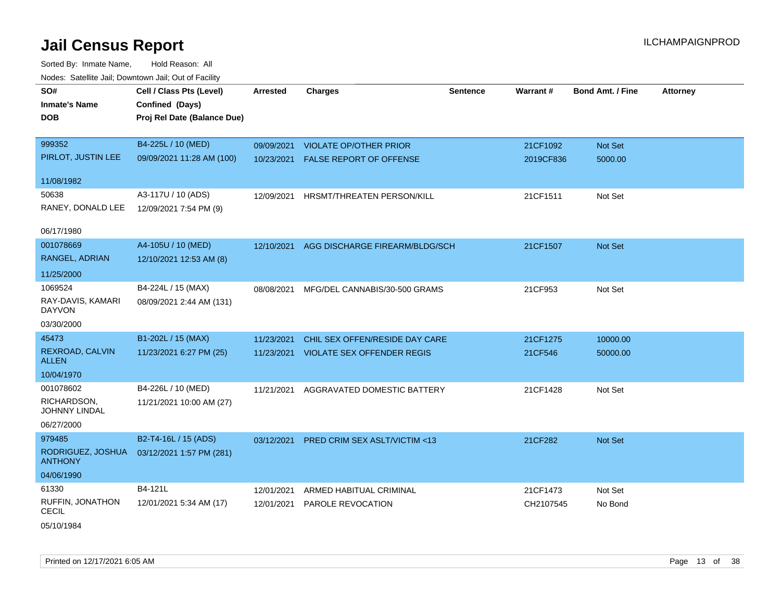| SO#<br><b>Inmate's Name</b><br><b>DOB</b> | Cell / Class Pts (Level)<br>Confined (Days)<br>Proj Rel Date (Balance Due) | <b>Arrested</b> | <b>Charges</b>                            | <b>Sentence</b> | Warrant#  | <b>Bond Amt. / Fine</b> | <b>Attorney</b> |
|-------------------------------------------|----------------------------------------------------------------------------|-----------------|-------------------------------------------|-----------------|-----------|-------------------------|-----------------|
|                                           |                                                                            |                 |                                           |                 |           |                         |                 |
| 999352                                    | B4-225L / 10 (MED)                                                         | 09/09/2021      | <b>VIOLATE OP/OTHER PRIOR</b>             |                 | 21CF1092  | Not Set                 |                 |
| PIRLOT, JUSTIN LEE                        | 09/09/2021 11:28 AM (100)                                                  |                 | 10/23/2021 FALSE REPORT OF OFFENSE        |                 | 2019CF836 | 5000.00                 |                 |
| 11/08/1982                                |                                                                            |                 |                                           |                 |           |                         |                 |
| 50638                                     | A3-117U / 10 (ADS)                                                         |                 | 12/09/2021 HRSMT/THREATEN PERSON/KILL     |                 | 21CF1511  | Not Set                 |                 |
| RANEY, DONALD LEE                         | 12/09/2021 7:54 PM (9)                                                     |                 |                                           |                 |           |                         |                 |
| 06/17/1980                                |                                                                            |                 |                                           |                 |           |                         |                 |
| 001078669                                 | A4-105U / 10 (MED)                                                         |                 | 12/10/2021 AGG DISCHARGE FIREARM/BLDG/SCH |                 | 21CF1507  | Not Set                 |                 |
| RANGEL, ADRIAN                            | 12/10/2021 12:53 AM (8)                                                    |                 |                                           |                 |           |                         |                 |
| 11/25/2000                                |                                                                            |                 |                                           |                 |           |                         |                 |
| 1069524                                   | B4-224L / 15 (MAX)                                                         | 08/08/2021      | MFG/DEL CANNABIS/30-500 GRAMS             |                 | 21CF953   | Not Set                 |                 |
| RAY-DAVIS, KAMARI<br><b>DAYVON</b>        | 08/09/2021 2:44 AM (131)                                                   |                 |                                           |                 |           |                         |                 |
| 03/30/2000                                |                                                                            |                 |                                           |                 |           |                         |                 |
| 45473                                     | B1-202L / 15 (MAX)                                                         | 11/23/2021      | CHIL SEX OFFEN/RESIDE DAY CARE            |                 | 21CF1275  | 10000.00                |                 |
| REXROAD, CALVIN<br><b>ALLEN</b>           | 11/23/2021 6:27 PM (25)                                                    | 11/23/2021      | VIOLATE SEX OFFENDER REGIS                |                 | 21CF546   | 50000.00                |                 |
| 10/04/1970                                |                                                                            |                 |                                           |                 |           |                         |                 |
| 001078602                                 | B4-226L / 10 (MED)                                                         | 11/21/2021      | AGGRAVATED DOMESTIC BATTERY               |                 | 21CF1428  | Not Set                 |                 |
| RICHARDSON,<br><b>JOHNNY LINDAL</b>       | 11/21/2021 10:00 AM (27)                                                   |                 |                                           |                 |           |                         |                 |
| 06/27/2000                                |                                                                            |                 |                                           |                 |           |                         |                 |
| 979485                                    | B2-T4-16L / 15 (ADS)                                                       | 03/12/2021      | <b>PRED CRIM SEX ASLT/VICTIM &lt;13</b>   |                 | 21CF282   | Not Set                 |                 |
| RODRIGUEZ, JOSHUA<br><b>ANTHONY</b>       | 03/12/2021 1:57 PM (281)                                                   |                 |                                           |                 |           |                         |                 |
| 04/06/1990                                |                                                                            |                 |                                           |                 |           |                         |                 |
| 61330                                     | B4-121L                                                                    | 12/01/2021      | ARMED HABITUAL CRIMINAL                   |                 | 21CF1473  | Not Set                 |                 |
| RUFFIN, JONATHON<br><b>CECIL</b>          | 12/01/2021 5:34 AM (17)                                                    | 12/01/2021      | PAROLE REVOCATION                         |                 | CH2107545 | No Bond                 |                 |
| 05/10/1984                                |                                                                            |                 |                                           |                 |           |                         |                 |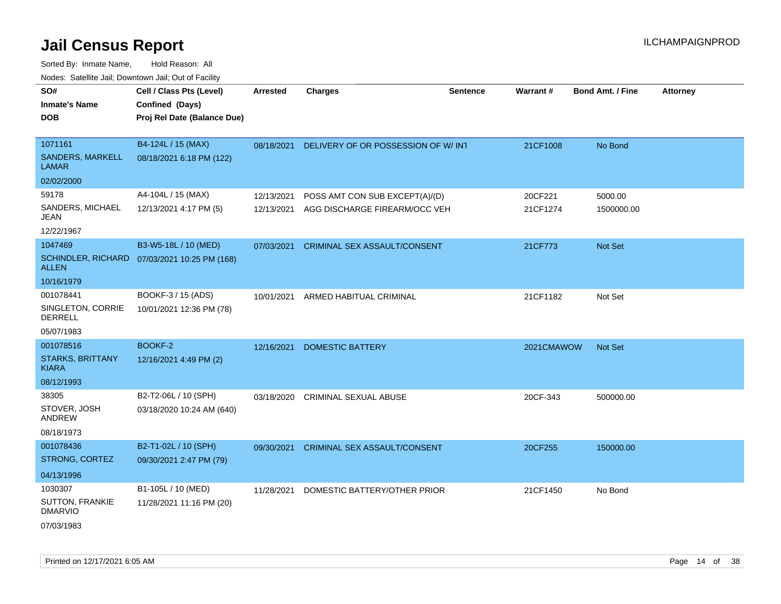| <b>Nedee:</b> Catoline can, Domnomi can, Oat or I domt      |                                                                            |                          |                                                                 |                 |                     |                         |                 |
|-------------------------------------------------------------|----------------------------------------------------------------------------|--------------------------|-----------------------------------------------------------------|-----------------|---------------------|-------------------------|-----------------|
| SO#<br>Inmate's Name<br>DOB                                 | Cell / Class Pts (Level)<br>Confined (Days)<br>Proj Rel Date (Balance Due) | <b>Arrested</b>          | <b>Charges</b>                                                  | <b>Sentence</b> | Warrant#            | <b>Bond Amt. / Fine</b> | <b>Attorney</b> |
| 1071161<br>SANDERS, MARKELL<br>LAMAR                        | B4-124L / 15 (MAX)<br>08/18/2021 6:18 PM (122)                             |                          | 08/18/2021 DELIVERY OF OR POSSESSION OF W/INT                   |                 | 21CF1008            | No Bond                 |                 |
| 02/02/2000                                                  |                                                                            |                          |                                                                 |                 |                     |                         |                 |
| 59178<br>SANDERS, MICHAEL<br>JEAN                           | A4-104L / 15 (MAX)<br>12/13/2021 4:17 PM (5)                               | 12/13/2021<br>12/13/2021 | POSS AMT CON SUB EXCEPT(A)/(D)<br>AGG DISCHARGE FIREARM/OCC VEH |                 | 20CF221<br>21CF1274 | 5000.00<br>1500000.00   |                 |
| 12/22/1967                                                  |                                                                            |                          |                                                                 |                 |                     |                         |                 |
| 1047469<br>ALLEN                                            | B3-W5-18L / 10 (MED)<br>SCHINDLER, RICHARD 07/03/2021 10:25 PM (168)       | 07/03/2021               | CRIMINAL SEX ASSAULT/CONSENT                                    |                 | 21CF773             | Not Set                 |                 |
| 10/16/1979                                                  |                                                                            |                          |                                                                 |                 |                     |                         |                 |
| 001078441<br>SINGLETON, CORRIE<br>DERRELL<br>05/07/1983     | BOOKF-3 / 15 (ADS)<br>10/01/2021 12:36 PM (78)                             | 10/01/2021               | ARMED HABITUAL CRIMINAL                                         |                 | 21CF1182            | Not Set                 |                 |
| 001078516<br><b>STARKS, BRITTANY</b><br>KIARA<br>08/12/1993 | BOOKF-2<br>12/16/2021 4:49 PM (2)                                          | 12/16/2021               | <b>DOMESTIC BATTERY</b>                                         |                 | 2021CMAWOW          | <b>Not Set</b>          |                 |
| 38305<br>STOVER, JOSH<br>ANDREW<br>08/18/1973               | B2-T2-06L / 10 (SPH)<br>03/18/2020 10:24 AM (640)                          | 03/18/2020               | <b>CRIMINAL SEXUAL ABUSE</b>                                    |                 | 20CF-343            | 500000.00               |                 |
| 001078436<br>STRONG, CORTEZ<br>04/13/1996                   | B2-T1-02L / 10 (SPH)<br>09/30/2021 2:47 PM (79)                            | 09/30/2021               | CRIMINAL SEX ASSAULT/CONSENT                                    |                 | 20CF255             | 150000.00               |                 |
| 1030307<br>SUTTON, FRANKIE<br><b>DMARVIO</b><br>07/03/1983  | B1-105L / 10 (MED)<br>11/28/2021 11:16 PM (20)                             | 11/28/2021               | DOMESTIC BATTERY/OTHER PRIOR                                    |                 | 21CF1450            | No Bond                 |                 |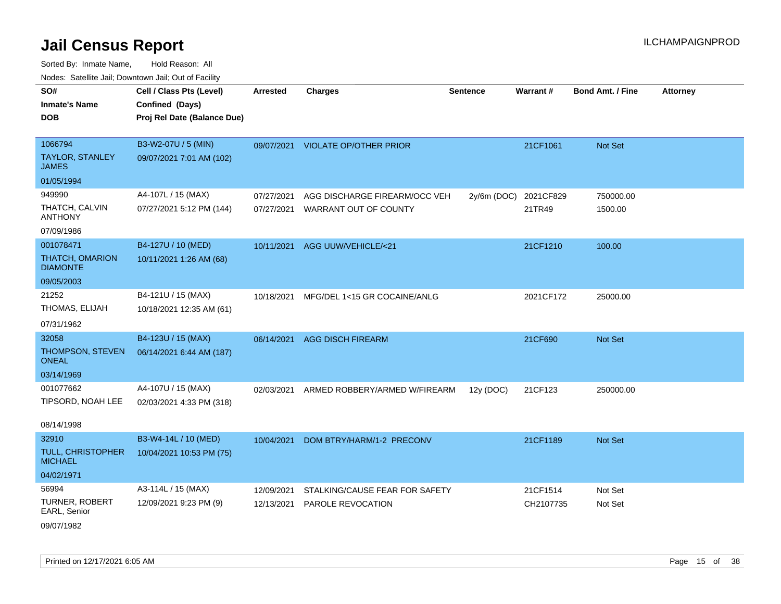| Hougo. Catolino can, Bowmown can, Cat or Fagint |                                             |                 |                                   |                 |           |                         |                 |
|-------------------------------------------------|---------------------------------------------|-----------------|-----------------------------------|-----------------|-----------|-------------------------|-----------------|
| SO#<br><b>Inmate's Name</b>                     | Cell / Class Pts (Level)<br>Confined (Days) | <b>Arrested</b> | <b>Charges</b>                    | <b>Sentence</b> | Warrant#  | <b>Bond Amt. / Fine</b> | <b>Attorney</b> |
| <b>DOB</b>                                      | Proj Rel Date (Balance Due)                 |                 |                                   |                 |           |                         |                 |
|                                                 |                                             |                 |                                   |                 |           |                         |                 |
| 1066794                                         | B3-W2-07U / 5 (MIN)                         |                 | 09/07/2021 VIOLATE OP/OTHER PRIOR |                 | 21CF1061  | <b>Not Set</b>          |                 |
| TAYLOR, STANLEY<br><b>JAMES</b>                 | 09/07/2021 7:01 AM (102)                    |                 |                                   |                 |           |                         |                 |
| 01/05/1994                                      |                                             |                 |                                   |                 |           |                         |                 |
| 949990                                          | A4-107L / 15 (MAX)                          | 07/27/2021      | AGG DISCHARGE FIREARM/OCC VEH     | 2y/6m (DOC)     | 2021CF829 | 750000.00               |                 |
| THATCH, CALVIN<br><b>ANTHONY</b>                | 07/27/2021 5:12 PM (144)                    | 07/27/2021      | WARRANT OUT OF COUNTY             |                 | 21TR49    | 1500.00                 |                 |
| 07/09/1986                                      |                                             |                 |                                   |                 |           |                         |                 |
| 001078471                                       | B4-127U / 10 (MED)                          | 10/11/2021      | AGG UUW/VEHICLE/<21               |                 | 21CF1210  | 100.00                  |                 |
| <b>THATCH, OMARION</b><br><b>DIAMONTE</b>       | 10/11/2021 1:26 AM (68)                     |                 |                                   |                 |           |                         |                 |
| 09/05/2003                                      |                                             |                 |                                   |                 |           |                         |                 |
| 21252                                           | B4-121U / 15 (MAX)                          | 10/18/2021      | MFG/DEL 1<15 GR COCAINE/ANLG      |                 | 2021CF172 | 25000.00                |                 |
| THOMAS, ELIJAH                                  | 10/18/2021 12:35 AM (61)                    |                 |                                   |                 |           |                         |                 |
| 07/31/1962                                      |                                             |                 |                                   |                 |           |                         |                 |
| 32058                                           | B4-123U / 15 (MAX)                          | 06/14/2021      | <b>AGG DISCH FIREARM</b>          |                 | 21CF690   | Not Set                 |                 |
| <b>THOMPSON, STEVEN</b><br><b>ONEAL</b>         | 06/14/2021 6:44 AM (187)                    |                 |                                   |                 |           |                         |                 |
| 03/14/1969                                      |                                             |                 |                                   |                 |           |                         |                 |
| 001077662                                       | A4-107U / 15 (MAX)                          | 02/03/2021      | ARMED ROBBERY/ARMED W/FIREARM     | 12y (DOC)       | 21CF123   | 250000.00               |                 |
| TIPSORD, NOAH LEE                               | 02/03/2021 4:33 PM (318)                    |                 |                                   |                 |           |                         |                 |
|                                                 |                                             |                 |                                   |                 |           |                         |                 |
| 08/14/1998                                      |                                             |                 |                                   |                 |           |                         |                 |
| 32910                                           | B3-W4-14L / 10 (MED)                        | 10/04/2021      | DOM BTRY/HARM/1-2 PRECONV         |                 | 21CF1189  | <b>Not Set</b>          |                 |
| <b>TULL, CHRISTOPHER</b><br><b>MICHAEL</b>      | 10/04/2021 10:53 PM (75)                    |                 |                                   |                 |           |                         |                 |
| 04/02/1971                                      |                                             |                 |                                   |                 |           |                         |                 |
| 56994                                           | A3-114L / 15 (MAX)                          | 12/09/2021      | STALKING/CAUSE FEAR FOR SAFETY    |                 | 21CF1514  | Not Set                 |                 |
| <b>TURNER, ROBERT</b><br>EARL, Senior           | 12/09/2021 9:23 PM (9)                      | 12/13/2021      | <b>PAROLE REVOCATION</b>          |                 | CH2107735 | Not Set                 |                 |
| 09/07/1982                                      |                                             |                 |                                   |                 |           |                         |                 |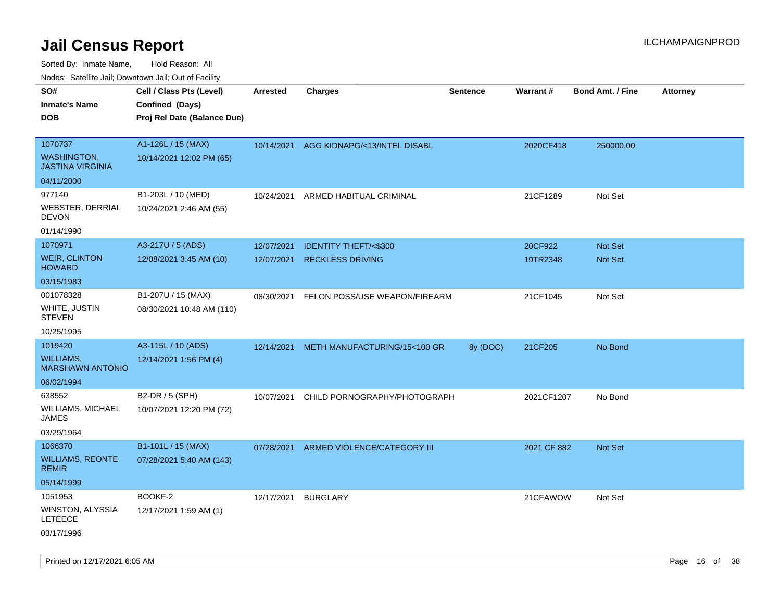Sorted By: Inmate Name, Hold Reason: All

|  |  | Nodes: Satellite Jail; Downtown Jail; Out of Facility |  |  |
|--|--|-------------------------------------------------------|--|--|
|--|--|-------------------------------------------------------|--|--|

| SO#<br><b>Inmate's Name</b>                   | Cell / Class Pts (Level)<br>Confined (Days) | <b>Arrested</b> | <b>Charges</b>                          | <b>Sentence</b> | Warrant#    | <b>Bond Amt. / Fine</b> | <b>Attorney</b> |
|-----------------------------------------------|---------------------------------------------|-----------------|-----------------------------------------|-----------------|-------------|-------------------------|-----------------|
| <b>DOB</b>                                    | Proj Rel Date (Balance Due)                 |                 |                                         |                 |             |                         |                 |
| 1070737                                       | A1-126L / 15 (MAX)                          |                 | 10/14/2021 AGG KIDNAPG/<13/INTEL DISABL |                 | 2020CF418   | 250000.00               |                 |
| <b>WASHINGTON,</b><br><b>JASTINA VIRGINIA</b> | 10/14/2021 12:02 PM (65)                    |                 |                                         |                 |             |                         |                 |
| 04/11/2000                                    |                                             |                 |                                         |                 |             |                         |                 |
| 977140                                        | B1-203L / 10 (MED)                          | 10/24/2021      | ARMED HABITUAL CRIMINAL                 |                 | 21CF1289    | Not Set                 |                 |
| WEBSTER, DERRIAL<br><b>DEVON</b>              | 10/24/2021 2:46 AM (55)                     |                 |                                         |                 |             |                         |                 |
| 01/14/1990                                    |                                             |                 |                                         |                 |             |                         |                 |
| 1070971                                       | A3-217U / 5 (ADS)                           | 12/07/2021      | <b>IDENTITY THEFT/&lt;\$300</b>         |                 | 20CF922     | Not Set                 |                 |
| <b>WEIR, CLINTON</b><br><b>HOWARD</b>         | 12/08/2021 3:45 AM (10)                     | 12/07/2021      | <b>RECKLESS DRIVING</b>                 |                 | 19TR2348    | Not Set                 |                 |
| 03/15/1983                                    |                                             |                 |                                         |                 |             |                         |                 |
| 001078328                                     | B1-207U / 15 (MAX)                          | 08/30/2021      | FELON POSS/USE WEAPON/FIREARM           |                 | 21CF1045    | Not Set                 |                 |
| WHITE, JUSTIN<br><b>STEVEN</b>                | 08/30/2021 10:48 AM (110)                   |                 |                                         |                 |             |                         |                 |
| 10/25/1995                                    |                                             |                 |                                         |                 |             |                         |                 |
| 1019420                                       | A3-115L / 10 (ADS)                          | 12/14/2021      | METH MANUFACTURING/15<100 GR            | 8y (DOC)        | 21CF205     | No Bond                 |                 |
| WILLIAMS,<br><b>MARSHAWN ANTONIO</b>          | 12/14/2021 1:56 PM (4)                      |                 |                                         |                 |             |                         |                 |
| 06/02/1994                                    |                                             |                 |                                         |                 |             |                         |                 |
| 638552                                        | B2-DR / 5 (SPH)                             | 10/07/2021      | CHILD PORNOGRAPHY/PHOTOGRAPH            |                 | 2021CF1207  | No Bond                 |                 |
| <b>WILLIAMS, MICHAEL</b><br><b>JAMES</b>      | 10/07/2021 12:20 PM (72)                    |                 |                                         |                 |             |                         |                 |
| 03/29/1964                                    |                                             |                 |                                         |                 |             |                         |                 |
| 1066370                                       | B1-101L / 15 (MAX)                          | 07/28/2021      | ARMED VIOLENCE/CATEGORY III             |                 | 2021 CF 882 | Not Set                 |                 |
| <b>WILLIAMS, REONTE</b><br><b>REMIR</b>       | 07/28/2021 5:40 AM (143)                    |                 |                                         |                 |             |                         |                 |
| 05/14/1999                                    |                                             |                 |                                         |                 |             |                         |                 |
| 1051953                                       | BOOKF-2                                     | 12/17/2021      | <b>BURGLARY</b>                         |                 | 21CFAWOW    | Not Set                 |                 |
| WINSTON, ALYSSIA<br>LETEECE                   | 12/17/2021 1:59 AM (1)                      |                 |                                         |                 |             |                         |                 |
| 03/17/1996                                    |                                             |                 |                                         |                 |             |                         |                 |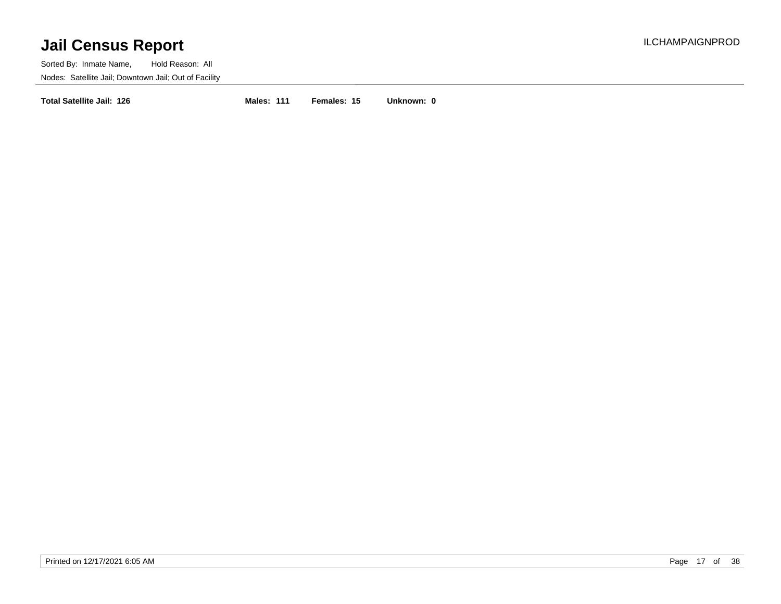Sorted By: Inmate Name, Hold Reason: All Nodes: Satellite Jail; Downtown Jail; Out of Facility

**Total Satellite Jail: 126 Males: 111 Females: 15 Unknown: 0**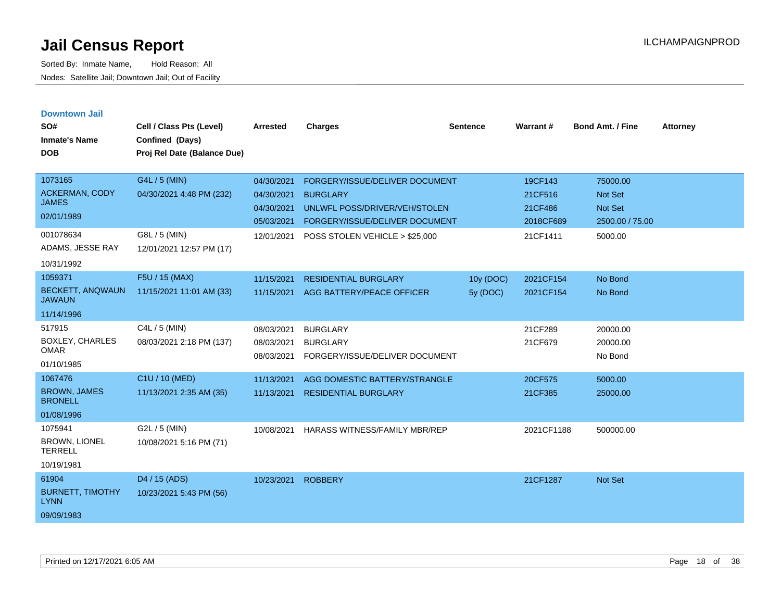| <b>Downtown Jail</b><br>SO#<br><b>Inmate's Name</b><br><b>DOB</b> | Cell / Class Pts (Level)<br>Confined (Days)<br>Proj Rel Date (Balance Due) | <b>Arrested</b>                        | <b>Charges</b>                                                       | <b>Sentence</b> | Warrant#             | <b>Bond Amt. / Fine</b>         | <b>Attorney</b> |
|-------------------------------------------------------------------|----------------------------------------------------------------------------|----------------------------------------|----------------------------------------------------------------------|-----------------|----------------------|---------------------------------|-----------------|
| 1073165                                                           | G4L / 5 (MIN)                                                              | 04/30/2021                             | FORGERY/ISSUE/DELIVER DOCUMENT                                       |                 | 19CF143              | 75000.00                        |                 |
| ACKERMAN, CODY<br><b>JAMES</b>                                    | 04/30/2021 4:48 PM (232)                                                   | 04/30/2021                             | <b>BURGLARY</b>                                                      |                 | 21CF516              | <b>Not Set</b>                  |                 |
| 02/01/1989                                                        |                                                                            | 04/30/2021<br>05/03/2021               | UNLWFL POSS/DRIVER/VEH/STOLEN<br>FORGERY/ISSUE/DELIVER DOCUMENT      |                 | 21CF486<br>2018CF689 | Not Set<br>2500.00 / 75.00      |                 |
| 001078634<br>ADAMS, JESSE RAY<br>10/31/1992                       | G8L / 5 (MIN)<br>12/01/2021 12:57 PM (17)                                  | 12/01/2021                             | POSS STOLEN VEHICLE > \$25,000                                       |                 | 21CF1411             | 5000.00                         |                 |
| 1059371                                                           | F5U / 15 (MAX)                                                             | 11/15/2021                             | <b>RESIDENTIAL BURGLARY</b>                                          | 10y (DOC)       | 2021CF154            | No Bond                         |                 |
| <b>BECKETT, ANQWAUN</b><br><b>JAWAUN</b>                          | 11/15/2021 11:01 AM (33)                                                   | 11/15/2021                             | AGG BATTERY/PEACE OFFICER                                            | 5y (DOC)        | 2021CF154            | No Bond                         |                 |
| 11/14/1996                                                        |                                                                            |                                        |                                                                      |                 |                      |                                 |                 |
| 517915<br><b>BOXLEY, CHARLES</b><br><b>OMAR</b><br>01/10/1985     | C4L / 5 (MIN)<br>08/03/2021 2:18 PM (137)                                  | 08/03/2021<br>08/03/2021<br>08/03/2021 | <b>BURGLARY</b><br><b>BURGLARY</b><br>FORGERY/ISSUE/DELIVER DOCUMENT |                 | 21CF289<br>21CF679   | 20000.00<br>20000.00<br>No Bond |                 |
| 1067476                                                           | C1U / 10 (MED)                                                             | 11/13/2021                             | AGG DOMESTIC BATTERY/STRANGLE                                        |                 | 20CF575              | 5000.00                         |                 |
| <b>BROWN, JAMES</b><br><b>BRONELL</b>                             | 11/13/2021 2:35 AM (35)                                                    | 11/13/2021                             | <b>RESIDENTIAL BURGLARY</b>                                          |                 | 21CF385              | 25000.00                        |                 |
| 01/08/1996                                                        |                                                                            |                                        |                                                                      |                 |                      |                                 |                 |
| 1075941<br><b>BROWN, LIONEL</b><br><b>TERRELL</b>                 | G2L / 5 (MIN)<br>10/08/2021 5:16 PM (71)                                   | 10/08/2021                             | <b>HARASS WITNESS/FAMILY MBR/REP</b>                                 |                 | 2021CF1188           | 500000.00                       |                 |
| 10/19/1981                                                        |                                                                            |                                        |                                                                      |                 |                      |                                 |                 |
| 61904<br><b>BURNETT, TIMOTHY</b><br><b>LYNN</b><br>09/09/1983     | D <sub>4</sub> / 15 (ADS)<br>10/23/2021 5:43 PM (56)                       | 10/23/2021                             | <b>ROBBERY</b>                                                       |                 | 21CF1287             | Not Set                         |                 |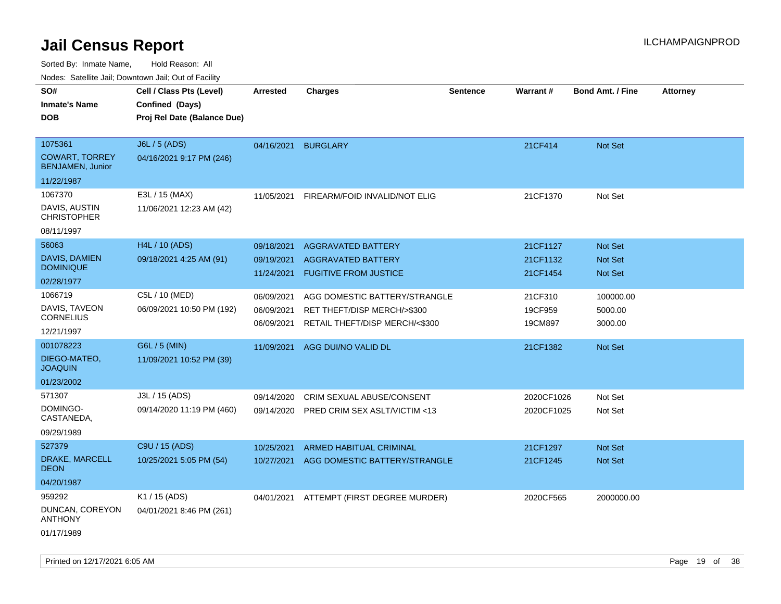Sorted By: Inmate Name, Hold Reason: All Nodes: Satellite Jail; Downtown Jail; Out of Facility

| rougs. Calcing Jan, Downtown Jan, Out of Facility            |                                                                            |                                        |                                                                                                |                 |                                  |                                                    |                 |
|--------------------------------------------------------------|----------------------------------------------------------------------------|----------------------------------------|------------------------------------------------------------------------------------------------|-----------------|----------------------------------|----------------------------------------------------|-----------------|
| SO#<br><b>Inmate's Name</b><br><b>DOB</b>                    | Cell / Class Pts (Level)<br>Confined (Days)<br>Proj Rel Date (Balance Due) | <b>Arrested</b>                        | <b>Charges</b>                                                                                 | <b>Sentence</b> | <b>Warrant#</b>                  | <b>Bond Amt. / Fine</b>                            | <b>Attorney</b> |
|                                                              |                                                                            |                                        |                                                                                                |                 |                                  |                                                    |                 |
| 1075361<br><b>COWART, TORREY</b><br><b>BENJAMEN, Junior</b>  | <b>J6L / 5 (ADS)</b><br>04/16/2021 9:17 PM (246)                           | 04/16/2021                             | <b>BURGLARY</b>                                                                                |                 | 21CF414                          | Not Set                                            |                 |
| 11/22/1987                                                   |                                                                            |                                        |                                                                                                |                 |                                  |                                                    |                 |
| 1067370<br>DAVIS, AUSTIN<br><b>CHRISTOPHER</b><br>08/11/1997 | E3L / 15 (MAX)<br>11/06/2021 12:23 AM (42)                                 | 11/05/2021                             | FIREARM/FOID INVALID/NOT ELIG                                                                  |                 | 21CF1370                         | Not Set                                            |                 |
| 56063                                                        | H4L / 10 (ADS)                                                             |                                        |                                                                                                |                 |                                  |                                                    |                 |
| <b>DAVIS, DAMIEN</b><br><b>DOMINIQUE</b>                     | 09/18/2021 4:25 AM (91)                                                    | 09/18/2021<br>09/19/2021<br>11/24/2021 | <b>AGGRAVATED BATTERY</b><br><b>AGGRAVATED BATTERY</b><br><b>FUGITIVE FROM JUSTICE</b>         |                 | 21CF1127<br>21CF1132<br>21CF1454 | <b>Not Set</b><br><b>Not Set</b><br><b>Not Set</b> |                 |
| 02/28/1977                                                   |                                                                            |                                        |                                                                                                |                 |                                  |                                                    |                 |
| 1066719<br>DAVIS, TAVEON<br><b>CORNELIUS</b><br>12/21/1997   | C5L / 10 (MED)<br>06/09/2021 10:50 PM (192)                                | 06/09/2021<br>06/09/2021<br>06/09/2021 | AGG DOMESTIC BATTERY/STRANGLE<br>RET THEFT/DISP MERCH/>\$300<br>RETAIL THEFT/DISP MERCH/<\$300 |                 | 21CF310<br>19CF959<br>19CM897    | 100000.00<br>5000.00<br>3000.00                    |                 |
| 001078223                                                    | G6L / 5 (MIN)                                                              | 11/09/2021                             | AGG DUI/NO VALID DL                                                                            |                 | 21CF1382                         | <b>Not Set</b>                                     |                 |
| DIEGO-MATEO,<br><b>JOAQUIN</b>                               | 11/09/2021 10:52 PM (39)                                                   |                                        |                                                                                                |                 |                                  |                                                    |                 |
| 01/23/2002                                                   |                                                                            |                                        |                                                                                                |                 |                                  |                                                    |                 |
| 571307<br>DOMINGO-<br>CASTANEDA,<br>09/29/1989               | J3L / 15 (ADS)<br>09/14/2020 11:19 PM (460)                                | 09/14/2020<br>09/14/2020               | CRIM SEXUAL ABUSE/CONSENT<br>PRED CRIM SEX ASLT/VICTIM <13                                     |                 | 2020CF1026<br>2020CF1025         | Not Set<br>Not Set                                 |                 |
| 527379                                                       | C9U / 15 (ADS)                                                             | 10/25/2021                             | ARMED HABITUAL CRIMINAL                                                                        |                 | 21CF1297                         | Not Set                                            |                 |
| DRAKE, MARCELL<br><b>DEON</b>                                | 10/25/2021 5:05 PM (54)                                                    | 10/27/2021                             | AGG DOMESTIC BATTERY/STRANGLE                                                                  |                 | 21CF1245                         | Not Set                                            |                 |
| 04/20/1987                                                   |                                                                            |                                        |                                                                                                |                 |                                  |                                                    |                 |
| 959292                                                       | K1 / 15 (ADS)                                                              |                                        | 04/01/2021 ATTEMPT (FIRST DEGREE MURDER)                                                       |                 | 2020CF565                        | 2000000.00                                         |                 |
| DUNCAN, COREYON<br><b>ANTHONY</b><br>01/17/1989              | 04/01/2021 8:46 PM (261)                                                   |                                        |                                                                                                |                 |                                  |                                                    |                 |
|                                                              |                                                                            |                                        |                                                                                                |                 |                                  |                                                    |                 |

Printed on 12/17/2021 6:05 AM **Page 19 of 38**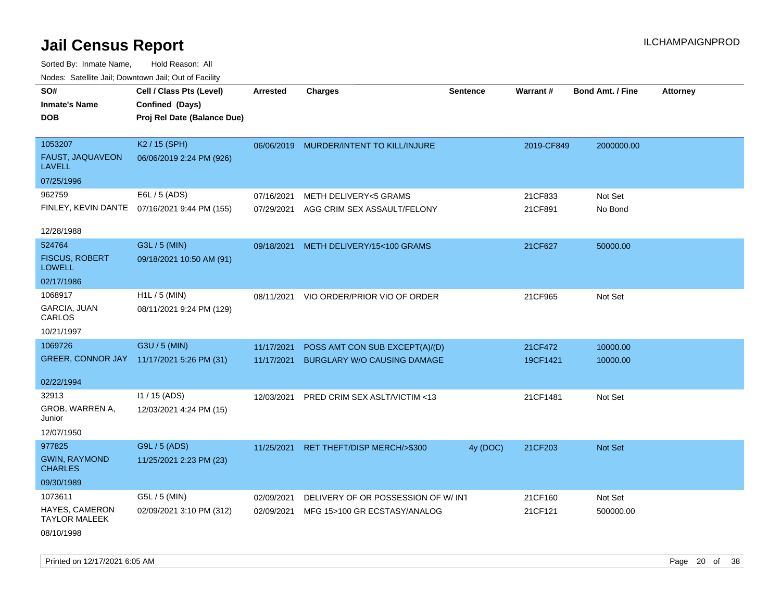Sorted By: Inmate Name, Hold Reason: All Nodes: Satellite Jail; Downtown Jail; Out of Facility

| SO#<br><b>Inmate's Name</b><br><b>DOB</b>     | Cell / Class Pts (Level)<br>Confined (Days)<br>Proj Rel Date (Balance Due) | <b>Arrested</b> | <b>Charges</b>                     | <b>Sentence</b> | Warrant#   | <b>Bond Amt. / Fine</b> | <b>Attorney</b> |
|-----------------------------------------------|----------------------------------------------------------------------------|-----------------|------------------------------------|-----------------|------------|-------------------------|-----------------|
|                                               |                                                                            |                 |                                    |                 |            |                         |                 |
| 1053207                                       | K2 / 15 (SPH)                                                              | 06/06/2019      | MURDER/INTENT TO KILL/INJURE       |                 | 2019-CF849 | 2000000.00              |                 |
| FAUST, JAQUAVEON<br><b>LAVELL</b>             | 06/06/2019 2:24 PM (926)                                                   |                 |                                    |                 |            |                         |                 |
| 07/25/1996                                    |                                                                            |                 |                                    |                 |            |                         |                 |
| 962759                                        | E6L / 5 (ADS)                                                              | 07/16/2021      | <b>METH DELIVERY&lt;5 GRAMS</b>    |                 | 21CF833    | Not Set                 |                 |
|                                               | FINLEY, KEVIN DANTE 07/16/2021 9:44 PM (155)                               | 07/29/2021      | AGG CRIM SEX ASSAULT/FELONY        |                 | 21CF891    | No Bond                 |                 |
| 12/28/1988                                    |                                                                            |                 |                                    |                 |            |                         |                 |
| 524764                                        | G3L / 5 (MIN)                                                              | 09/18/2021      | METH DELIVERY/15<100 GRAMS         |                 | 21CF627    | 50000.00                |                 |
| <b>FISCUS, ROBERT</b><br><b>LOWELL</b>        | 09/18/2021 10:50 AM (91)                                                   |                 |                                    |                 |            |                         |                 |
| 02/17/1986                                    |                                                                            |                 |                                    |                 |            |                         |                 |
| 1068917                                       | $H1L / 5$ (MIN)                                                            | 08/11/2021      | VIO ORDER/PRIOR VIO OF ORDER       |                 | 21CF965    | Not Set                 |                 |
| <b>GARCIA, JUAN</b><br>CARLOS                 | 08/11/2021 9:24 PM (129)                                                   |                 |                                    |                 |            |                         |                 |
| 10/21/1997                                    |                                                                            |                 |                                    |                 |            |                         |                 |
| 1069726                                       | G3U / 5 (MIN)                                                              | 11/17/2021      | POSS AMT CON SUB EXCEPT(A)/(D)     |                 | 21CF472    | 10000.00                |                 |
|                                               | GREER, CONNOR JAY 11/17/2021 5:26 PM (31)                                  | 11/17/2021      | BURGLARY W/O CAUSING DAMAGE        |                 | 19CF1421   | 10000.00                |                 |
| 02/22/1994                                    |                                                                            |                 |                                    |                 |            |                         |                 |
| 32913                                         | I1 / 15 (ADS)                                                              | 12/03/2021      | PRED CRIM SEX ASLT/VICTIM <13      |                 | 21CF1481   | Not Set                 |                 |
| GROB, WARREN A,<br>Junior                     | 12/03/2021 4:24 PM (15)                                                    |                 |                                    |                 |            |                         |                 |
| 12/07/1950                                    |                                                                            |                 |                                    |                 |            |                         |                 |
| 977825                                        | G9L / 5 (ADS)                                                              | 11/25/2021      | RET THEFT/DISP MERCH/>\$300        | 4y (DOC)        | 21CF203    | Not Set                 |                 |
| <b>GWIN, RAYMOND</b><br><b>CHARLES</b>        | 11/25/2021 2:23 PM (23)                                                    |                 |                                    |                 |            |                         |                 |
| 09/30/1989                                    |                                                                            |                 |                                    |                 |            |                         |                 |
| 1073611                                       | G5L / 5 (MIN)                                                              | 02/09/2021      | DELIVERY OF OR POSSESSION OF W/INT |                 | 21CF160    | Not Set                 |                 |
| <b>HAYES, CAMERON</b><br><b>TAYLOR MALEEK</b> | 02/09/2021 3:10 PM (312)                                                   | 02/09/2021      | MFG 15>100 GR ECSTASY/ANALOG       |                 | 21CF121    | 500000.00               |                 |
| 08/10/1998                                    |                                                                            |                 |                                    |                 |            |                         |                 |

Printed on 12/17/2021 6:05 AM **Page 20 of 38**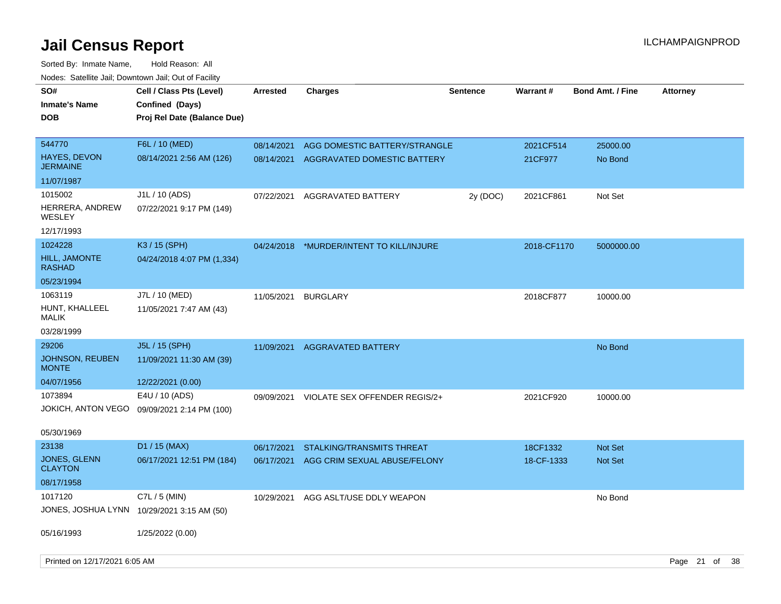| SO#<br><b>Inmate's Name</b><br><b>DOB</b> | Cell / Class Pts (Level)<br>Confined (Days)<br>Proj Rel Date (Balance Due) | <b>Arrested</b>          | <b>Charges</b>                                               | <b>Sentence</b> | <b>Warrant#</b>      | <b>Bond Amt. / Fine</b> | <b>Attorney</b> |  |
|-------------------------------------------|----------------------------------------------------------------------------|--------------------------|--------------------------------------------------------------|-----------------|----------------------|-------------------------|-----------------|--|
| 544770                                    | F6L / 10 (MED)                                                             |                          |                                                              |                 |                      |                         |                 |  |
| HAYES, DEVON<br>JERMAINE                  | 08/14/2021 2:56 AM (126)                                                   | 08/14/2021<br>08/14/2021 | AGG DOMESTIC BATTERY/STRANGLE<br>AGGRAVATED DOMESTIC BATTERY |                 | 2021CF514<br>21CF977 | 25000.00<br>No Bond     |                 |  |
| 11/07/1987                                |                                                                            |                          |                                                              |                 |                      |                         |                 |  |
| 1015002                                   | J1L / 10 (ADS)                                                             | 07/22/2021               | AGGRAVATED BATTERY                                           | 2y (DOC)        | 2021CF861            | Not Set                 |                 |  |
| HERRERA, ANDREW<br>WESLEY                 | 07/22/2021 9:17 PM (149)                                                   |                          |                                                              |                 |                      |                         |                 |  |
| 12/17/1993                                |                                                                            |                          |                                                              |                 |                      |                         |                 |  |
| 1024228                                   | K3 / 15 (SPH)                                                              | 04/24/2018               | *MURDER/INTENT TO KILL/INJURE                                |                 | 2018-CF1170          | 5000000.00              |                 |  |
| <b>HILL, JAMONTE</b><br>RASHAD            | 04/24/2018 4:07 PM (1,334)                                                 |                          |                                                              |                 |                      |                         |                 |  |
| 05/23/1994                                |                                                                            |                          |                                                              |                 |                      |                         |                 |  |
| 1063119                                   | J7L / 10 (MED)                                                             | 11/05/2021               | <b>BURGLARY</b>                                              |                 | 2018CF877            | 10000.00                |                 |  |
| HUNT, KHALLEEL<br>MALIK                   | 11/05/2021 7:47 AM (43)                                                    |                          |                                                              |                 |                      |                         |                 |  |
| 03/28/1999                                |                                                                            |                          |                                                              |                 |                      |                         |                 |  |
| 29206                                     | J5L / 15 (SPH)                                                             | 11/09/2021               | <b>AGGRAVATED BATTERY</b>                                    |                 |                      | No Bond                 |                 |  |
| JOHNSON, REUBEN<br><b>MONTE</b>           | 11/09/2021 11:30 AM (39)                                                   |                          |                                                              |                 |                      |                         |                 |  |
| 04/07/1956                                | 12/22/2021 (0.00)                                                          |                          |                                                              |                 |                      |                         |                 |  |
| 1073894                                   | E4U / 10 (ADS)                                                             | 09/09/2021               | VIOLATE SEX OFFENDER REGIS/2+                                |                 | 2021CF920            | 10000.00                |                 |  |
| JOKICH, ANTON VEGO                        | 09/09/2021 2:14 PM (100)                                                   |                          |                                                              |                 |                      |                         |                 |  |
| 05/30/1969                                |                                                                            |                          |                                                              |                 |                      |                         |                 |  |
| 23138                                     | D1 / 15 (MAX)                                                              | 06/17/2021               | <b>STALKING/TRANSMITS THREAT</b>                             |                 | 18CF1332             | <b>Not Set</b>          |                 |  |
| <b>JONES, GLENN</b><br><b>CLAYTON</b>     | 06/17/2021 12:51 PM (184)                                                  | 06/17/2021               | AGG CRIM SEXUAL ABUSE/FELONY                                 |                 | 18-CF-1333           | <b>Not Set</b>          |                 |  |
| 08/17/1958                                |                                                                            |                          |                                                              |                 |                      |                         |                 |  |
| 1017120                                   | C7L $/$ 5 (MIN)                                                            | 10/29/2021               | AGG ASLT/USE DDLY WEAPON                                     |                 |                      | No Bond                 |                 |  |
|                                           | JONES, JOSHUA LYNN 10/29/2021 3:15 AM (50)                                 |                          |                                                              |                 |                      |                         |                 |  |
| 05/16/1993                                | 1/25/2022 (0.00)                                                           |                          |                                                              |                 |                      |                         |                 |  |
| Printed on 12/17/2021 6:05 AM             |                                                                            |                          |                                                              |                 |                      |                         | Page 21 of 38   |  |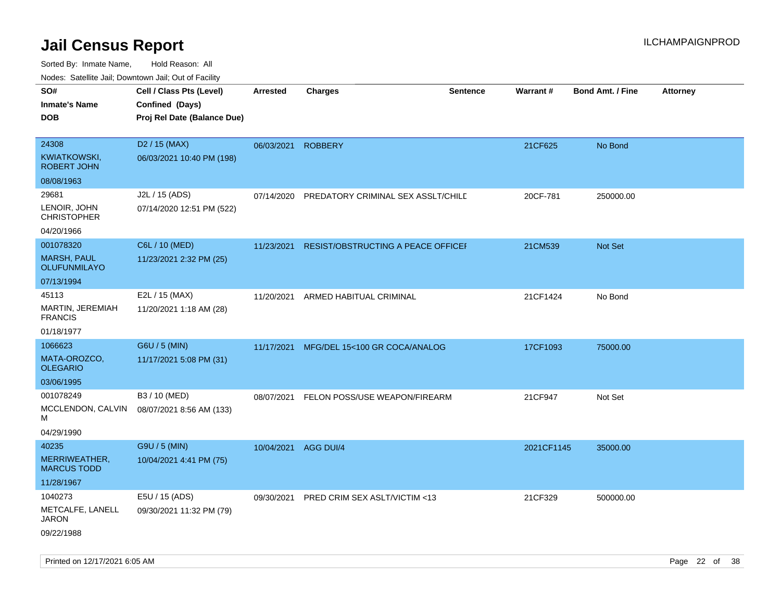| SO#                                 | Cell / Class Pts (Level)    | <b>Arrested</b> | <b>Charges</b>                            | <b>Sentence</b> | <b>Warrant#</b> | <b>Bond Amt. / Fine</b> | <b>Attorney</b> |
|-------------------------------------|-----------------------------|-----------------|-------------------------------------------|-----------------|-----------------|-------------------------|-----------------|
| <b>Inmate's Name</b>                | Confined (Days)             |                 |                                           |                 |                 |                         |                 |
| <b>DOB</b>                          | Proj Rel Date (Balance Due) |                 |                                           |                 |                 |                         |                 |
|                                     |                             |                 |                                           |                 |                 |                         |                 |
| 24308                               | D <sub>2</sub> / 15 (MAX)   | 06/03/2021      | <b>ROBBERY</b>                            |                 | 21CF625         | No Bond                 |                 |
| KWIATKOWSKI,<br><b>ROBERT JOHN</b>  | 06/03/2021 10:40 PM (198)   |                 |                                           |                 |                 |                         |                 |
| 08/08/1963                          |                             |                 |                                           |                 |                 |                         |                 |
| 29681                               | J2L / 15 (ADS)              | 07/14/2020      | PREDATORY CRIMINAL SEX ASSLT/CHILD        |                 | 20CF-781        | 250000.00               |                 |
| LENOIR, JOHN<br><b>CHRISTOPHER</b>  | 07/14/2020 12:51 PM (522)   |                 |                                           |                 |                 |                         |                 |
| 04/20/1966                          |                             |                 |                                           |                 |                 |                         |                 |
| 001078320                           | C6L / 10 (MED)              | 11/23/2021      | <b>RESIST/OBSTRUCTING A PEACE OFFICEF</b> |                 | 21CM539         | Not Set                 |                 |
| <b>MARSH, PAUL</b><br>OLUFUNMILAYO  | 11/23/2021 2:32 PM (25)     |                 |                                           |                 |                 |                         |                 |
| 07/13/1994                          |                             |                 |                                           |                 |                 |                         |                 |
| 45113                               | E2L / 15 (MAX)              | 11/20/2021      | ARMED HABITUAL CRIMINAL                   |                 | 21CF1424        | No Bond                 |                 |
| MARTIN, JEREMIAH<br><b>FRANCIS</b>  | 11/20/2021 1:18 AM (28)     |                 |                                           |                 |                 |                         |                 |
| 01/18/1977                          |                             |                 |                                           |                 |                 |                         |                 |
| 1066623                             | G6U / 5 (MIN)               | 11/17/2021      | MFG/DEL 15<100 GR COCA/ANALOG             |                 | 17CF1093        | 75000.00                |                 |
| MATA-OROZCO,<br><b>OLEGARIO</b>     | 11/17/2021 5:08 PM (31)     |                 |                                           |                 |                 |                         |                 |
| 03/06/1995                          |                             |                 |                                           |                 |                 |                         |                 |
| 001078249                           | B3 / 10 (MED)               | 08/07/2021      | FELON POSS/USE WEAPON/FIREARM             |                 | 21CF947         | Not Set                 |                 |
| MCCLENDON, CALVIN<br>М              | 08/07/2021 8:56 AM (133)    |                 |                                           |                 |                 |                         |                 |
| 04/29/1990                          |                             |                 |                                           |                 |                 |                         |                 |
| 40235                               | G9U / 5 (MIN)               | 10/04/2021      | AGG DUI/4                                 |                 | 2021CF1145      | 35000.00                |                 |
| MERRIWEATHER,<br><b>MARCUS TODD</b> | 10/04/2021 4:41 PM (75)     |                 |                                           |                 |                 |                         |                 |
| 11/28/1967                          |                             |                 |                                           |                 |                 |                         |                 |
| 1040273                             | E5U / 15 (ADS)              | 09/30/2021      | <b>PRED CRIM SEX ASLT/VICTIM &lt;13</b>   |                 | 21CF329         | 500000.00               |                 |
| METCALFE, LANELL<br>JARON           | 09/30/2021 11:32 PM (79)    |                 |                                           |                 |                 |                         |                 |
| 09/22/1988                          |                             |                 |                                           |                 |                 |                         |                 |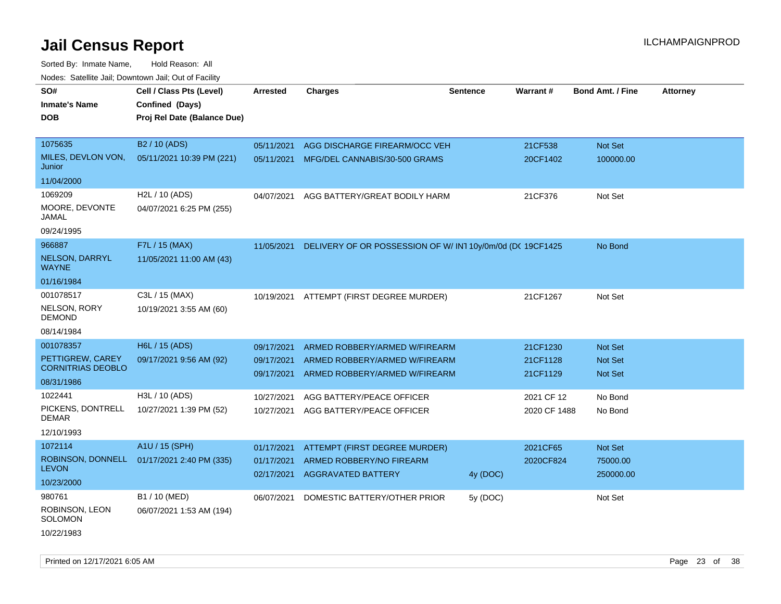| rougs. Calcing Jan, Downtown Jan, Out of Facility                                                                                     |                                                                                        |                                                                    |                                                                                                                                                           |                 |                                                                |                                                                   |                 |
|---------------------------------------------------------------------------------------------------------------------------------------|----------------------------------------------------------------------------------------|--------------------------------------------------------------------|-----------------------------------------------------------------------------------------------------------------------------------------------------------|-----------------|----------------------------------------------------------------|-------------------------------------------------------------------|-----------------|
| SO#<br><b>Inmate's Name</b><br><b>DOB</b>                                                                                             | Cell / Class Pts (Level)<br>Confined (Days)<br>Proj Rel Date (Balance Due)             | <b>Arrested</b>                                                    | <b>Charges</b>                                                                                                                                            | <b>Sentence</b> | <b>Warrant#</b>                                                | <b>Bond Amt. / Fine</b>                                           | <b>Attorney</b> |
| 1075635<br>MILES, DEVLON VON,<br>Junior<br>11/04/2000                                                                                 | B <sub>2</sub> / 10 (ADS)<br>05/11/2021 10:39 PM (221)                                 | 05/11/2021<br>05/11/2021                                           | AGG DISCHARGE FIREARM/OCC VEH<br>MFG/DEL CANNABIS/30-500 GRAMS                                                                                            |                 | 21CF538<br>20CF1402                                            | Not Set<br>100000.00                                              |                 |
| 1069209<br>MOORE, DEVONTE<br>JAMAL<br>09/24/1995                                                                                      | H <sub>2</sub> L / 10 (ADS)<br>04/07/2021 6:25 PM (255)                                | 04/07/2021                                                         | AGG BATTERY/GREAT BODILY HARM                                                                                                                             |                 | 21CF376                                                        | Not Set                                                           |                 |
| 966887<br><b>NELSON, DARRYL</b><br><b>WAYNE</b><br>01/16/1984                                                                         | F7L / 15 (MAX)<br>11/05/2021 11:00 AM (43)                                             | 11/05/2021                                                         | DELIVERY OF OR POSSESSION OF W/IN110y/0m/0d (DC 19CF1425                                                                                                  |                 |                                                                | No Bond                                                           |                 |
| 001078517<br>NELSON, RORY<br><b>DEMOND</b><br>08/14/1984                                                                              | C3L / 15 (MAX)<br>10/19/2021 3:55 AM (60)                                              | 10/19/2021                                                         | ATTEMPT (FIRST DEGREE MURDER)                                                                                                                             |                 | 21CF1267                                                       | Not Set                                                           |                 |
| 001078357<br>PETTIGREW, CAREY<br><b>CORNITRIAS DEOBLO</b><br>08/31/1986<br>1022441<br>PICKENS, DONTRELL<br><b>DEMAR</b><br>12/10/1993 | H6L / 15 (ADS)<br>09/17/2021 9:56 AM (92)<br>H3L / 10 (ADS)<br>10/27/2021 1:39 PM (52) | 09/17/2021<br>09/17/2021<br>09/17/2021<br>10/27/2021<br>10/27/2021 | ARMED ROBBERY/ARMED W/FIREARM<br>ARMED ROBBERY/ARMED W/FIREARM<br>ARMED ROBBERY/ARMED W/FIREARM<br>AGG BATTERY/PEACE OFFICER<br>AGG BATTERY/PEACE OFFICER |                 | 21CF1230<br>21CF1128<br>21CF1129<br>2021 CF 12<br>2020 CF 1488 | <b>Not Set</b><br><b>Not Set</b><br>Not Set<br>No Bond<br>No Bond |                 |
| 1072114<br>ROBINSON, DONNELL<br><b>LEVON</b><br>10/23/2000                                                                            | A1U / 15 (SPH)<br>01/17/2021 2:40 PM (335)                                             | 01/17/2021<br>01/17/2021<br>02/17/2021                             | ATTEMPT (FIRST DEGREE MURDER)<br>ARMED ROBBERY/NO FIREARM<br><b>AGGRAVATED BATTERY</b>                                                                    | 4y (DOC)        | 2021CF65<br>2020CF824                                          | Not Set<br>75000.00<br>250000.00                                  |                 |
| 980761<br>ROBINSON, LEON<br>SOLOMON<br>10/22/1983                                                                                     | B1 / 10 (MED)<br>06/07/2021 1:53 AM (194)                                              | 06/07/2021                                                         | DOMESTIC BATTERY/OTHER PRIOR                                                                                                                              | 5y (DOC)        |                                                                | Not Set                                                           |                 |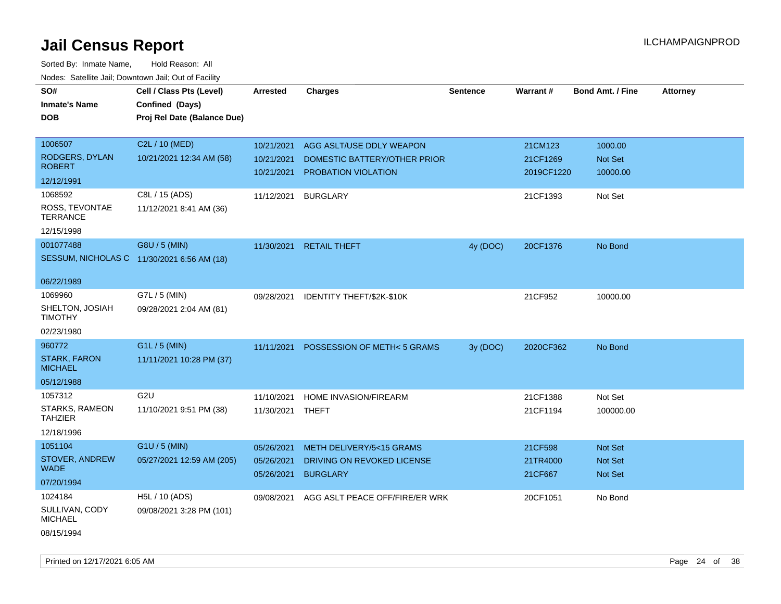| rougs. Calcinic Jan, Downtown Jan, Out of Facility |                                            |                  |                                      |                 |            |                         |                 |
|----------------------------------------------------|--------------------------------------------|------------------|--------------------------------------|-----------------|------------|-------------------------|-----------------|
| SO#                                                | Cell / Class Pts (Level)                   | <b>Arrested</b>  | <b>Charges</b>                       | <b>Sentence</b> | Warrant#   | <b>Bond Amt. / Fine</b> | <b>Attorney</b> |
| <b>Inmate's Name</b>                               | Confined (Days)                            |                  |                                      |                 |            |                         |                 |
| <b>DOB</b>                                         | Proj Rel Date (Balance Due)                |                  |                                      |                 |            |                         |                 |
|                                                    |                                            |                  |                                      |                 |            |                         |                 |
| 1006507                                            | C2L / 10 (MED)                             | 10/21/2021       | AGG ASLT/USE DDLY WEAPON             |                 | 21CM123    | 1000.00                 |                 |
| RODGERS, DYLAN                                     | 10/21/2021 12:34 AM (58)                   | 10/21/2021       | DOMESTIC BATTERY/OTHER PRIOR         |                 | 21CF1269   | Not Set                 |                 |
| <b>ROBERT</b>                                      |                                            | 10/21/2021       | PROBATION VIOLATION                  |                 | 2019CF1220 | 10000.00                |                 |
| 12/12/1991                                         |                                            |                  |                                      |                 |            |                         |                 |
| 1068592                                            | C8L / 15 (ADS)                             | 11/12/2021       | <b>BURGLARY</b>                      |                 | 21CF1393   | Not Set                 |                 |
| ROSS, TEVONTAE<br><b>TERRANCE</b>                  | 11/12/2021 8:41 AM (36)                    |                  |                                      |                 |            |                         |                 |
| 12/15/1998                                         |                                            |                  |                                      |                 |            |                         |                 |
| 001077488                                          | G8U / 5 (MIN)                              |                  | 11/30/2021 RETAIL THEFT              | 4y (DOC)        | 20CF1376   | No Bond                 |                 |
|                                                    | SESSUM, NICHOLAS C 11/30/2021 6:56 AM (18) |                  |                                      |                 |            |                         |                 |
| 06/22/1989                                         |                                            |                  |                                      |                 |            |                         |                 |
| 1069960                                            | G7L / 5 (MIN)                              | 09/28/2021       | IDENTITY THEFT/\$2K-\$10K            |                 | 21CF952    | 10000.00                |                 |
| SHELTON, JOSIAH<br><b>TIMOTHY</b>                  | 09/28/2021 2:04 AM (81)                    |                  |                                      |                 |            |                         |                 |
| 02/23/1980                                         |                                            |                  |                                      |                 |            |                         |                 |
| 960772                                             | G1L / 5 (MIN)                              | 11/11/2021       | <b>POSSESSION OF METH&lt;5 GRAMS</b> | 3y (DOC)        | 2020CF362  | No Bond                 |                 |
| <b>STARK, FARON</b><br><b>MICHAEL</b>              | 11/11/2021 10:28 PM (37)                   |                  |                                      |                 |            |                         |                 |
| 05/12/1988                                         |                                            |                  |                                      |                 |            |                         |                 |
| 1057312                                            | G <sub>2U</sub>                            | 11/10/2021       | HOME INVASION/FIREARM                |                 | 21CF1388   | Not Set                 |                 |
| STARKS, RAMEON<br><b>TAHZIER</b>                   | 11/10/2021 9:51 PM (38)                    | 11/30/2021 THEFT |                                      |                 | 21CF1194   | 100000.00               |                 |
| 12/18/1996                                         |                                            |                  |                                      |                 |            |                         |                 |
| 1051104                                            | $G1U / 5$ (MIN)                            | 05/26/2021       | METH DELIVERY/5<15 GRAMS             |                 | 21CF598    | <b>Not Set</b>          |                 |
| STOVER, ANDREW<br><b>WADE</b>                      | 05/27/2021 12:59 AM (205)                  | 05/26/2021       | DRIVING ON REVOKED LICENSE           |                 | 21TR4000   | Not Set                 |                 |
| 07/20/1994                                         |                                            | 05/26/2021       | <b>BURGLARY</b>                      |                 | 21CF667    | <b>Not Set</b>          |                 |
| 1024184                                            | H5L / 10 (ADS)                             | 09/08/2021       | AGG ASLT PEACE OFF/FIRE/ER WRK       |                 | 20CF1051   | No Bond                 |                 |
| SULLIVAN, CODY<br><b>MICHAEL</b>                   | 09/08/2021 3:28 PM (101)                   |                  |                                      |                 |            |                         |                 |
| 08/15/1994                                         |                                            |                  |                                      |                 |            |                         |                 |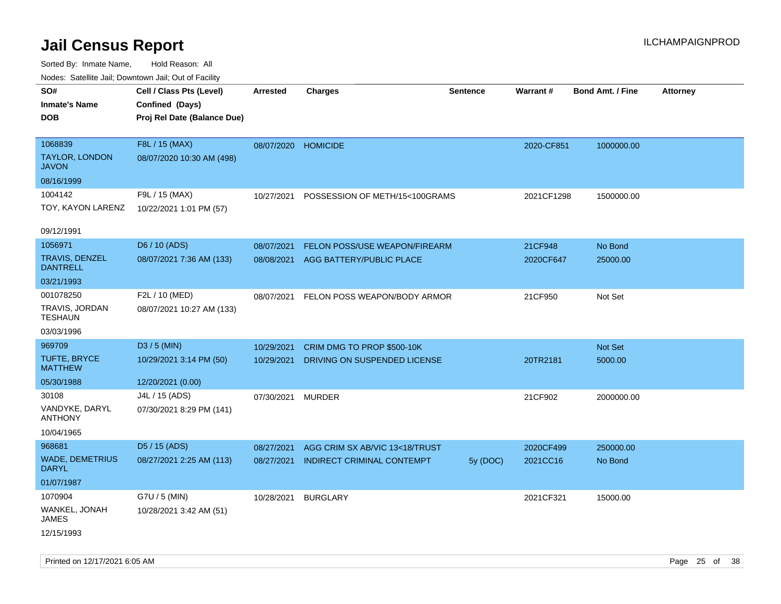| SO#                                      | Cell / Class Pts (Level)    | <b>Arrested</b> | <b>Charges</b>                    | <b>Sentence</b> | Warrant#   | <b>Bond Amt. / Fine</b> | <b>Attorney</b> |
|------------------------------------------|-----------------------------|-----------------|-----------------------------------|-----------------|------------|-------------------------|-----------------|
| <b>Inmate's Name</b>                     | Confined (Days)             |                 |                                   |                 |            |                         |                 |
| <b>DOB</b>                               | Proj Rel Date (Balance Due) |                 |                                   |                 |            |                         |                 |
|                                          |                             |                 |                                   |                 |            |                         |                 |
| 1068839                                  | F8L / 15 (MAX)              | 08/07/2020      | <b>HOMICIDE</b>                   |                 | 2020-CF851 | 1000000.00              |                 |
| <b>TAYLOR, LONDON</b><br><b>JAVON</b>    | 08/07/2020 10:30 AM (498)   |                 |                                   |                 |            |                         |                 |
| 08/16/1999                               |                             |                 |                                   |                 |            |                         |                 |
| 1004142                                  | F9L / 15 (MAX)              | 10/27/2021      | POSSESSION OF METH/15<100GRAMS    |                 | 2021CF1298 | 1500000.00              |                 |
| TOY, KAYON LARENZ                        | 10/22/2021 1:01 PM (57)     |                 |                                   |                 |            |                         |                 |
|                                          |                             |                 |                                   |                 |            |                         |                 |
| 09/12/1991                               |                             |                 |                                   |                 |            |                         |                 |
| 1056971                                  | D6 / 10 (ADS)               | 08/07/2021      | FELON POSS/USE WEAPON/FIREARM     |                 | 21CF948    | No Bond                 |                 |
| <b>TRAVIS, DENZEL</b><br><b>DANTRELL</b> | 08/07/2021 7:36 AM (133)    | 08/08/2021      | AGG BATTERY/PUBLIC PLACE          |                 | 2020CF647  | 25000.00                |                 |
| 03/21/1993                               |                             |                 |                                   |                 |            |                         |                 |
| 001078250                                | F2L / 10 (MED)              | 08/07/2021      | FELON POSS WEAPON/BODY ARMOR      |                 | 21CF950    | Not Set                 |                 |
| TRAVIS, JORDAN<br><b>TESHAUN</b>         | 08/07/2021 10:27 AM (133)   |                 |                                   |                 |            |                         |                 |
| 03/03/1996                               |                             |                 |                                   |                 |            |                         |                 |
| 969709                                   | D3 / 5 (MIN)                | 10/29/2021      | CRIM DMG TO PROP \$500-10K        |                 |            | Not Set                 |                 |
| <b>TUFTE, BRYCE</b><br><b>MATTHEW</b>    | 10/29/2021 3:14 PM (50)     | 10/29/2021      | DRIVING ON SUSPENDED LICENSE      |                 | 20TR2181   | 5000.00                 |                 |
| 05/30/1988                               | 12/20/2021 (0.00)           |                 |                                   |                 |            |                         |                 |
| 30108                                    | J4L / 15 (ADS)              | 07/30/2021      | <b>MURDER</b>                     |                 | 21CF902    | 2000000.00              |                 |
| VANDYKE, DARYL<br><b>ANTHONY</b>         | 07/30/2021 8:29 PM (141)    |                 |                                   |                 |            |                         |                 |
| 10/04/1965                               |                             |                 |                                   |                 |            |                         |                 |
| 968681                                   | D5 / 15 (ADS)               | 08/27/2021      | AGG CRIM SX AB/VIC 13<18/TRUST    |                 | 2020CF499  | 250000.00               |                 |
| <b>WADE, DEMETRIUS</b><br><b>DARYL</b>   | 08/27/2021 2:25 AM (113)    | 08/27/2021      | <b>INDIRECT CRIMINAL CONTEMPT</b> | 5y (DOC)        | 2021CC16   | No Bond                 |                 |
| 01/07/1987                               |                             |                 |                                   |                 |            |                         |                 |
| 1070904                                  | G7U / 5 (MIN)               | 10/28/2021      | <b>BURGLARY</b>                   |                 | 2021CF321  | 15000.00                |                 |
| WANKEL, JONAH<br>JAMES                   | 10/28/2021 3:42 AM (51)     |                 |                                   |                 |            |                         |                 |
| 12/15/1993                               |                             |                 |                                   |                 |            |                         |                 |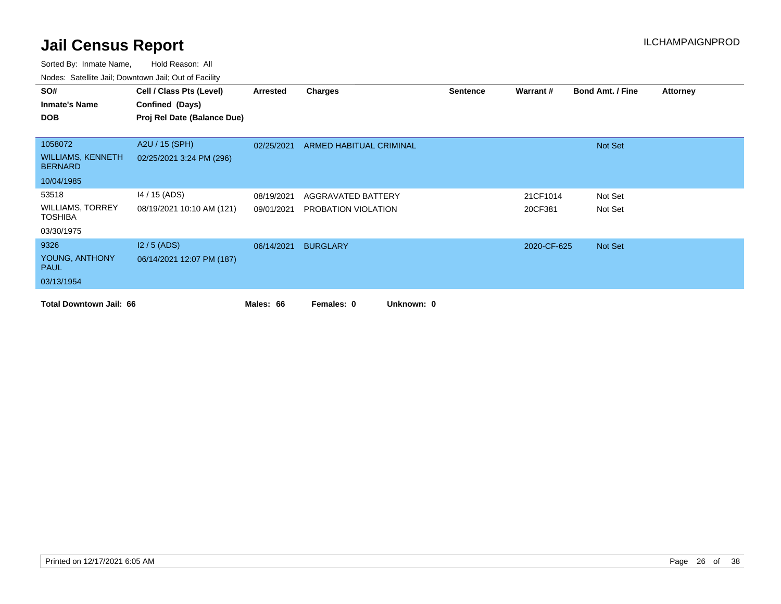| SO#                                        | Cell / Class Pts (Level)    | Arrested   | <b>Charges</b>           | <b>Sentence</b> | Warrant#    | <b>Bond Amt. / Fine</b> | <b>Attorney</b> |
|--------------------------------------------|-----------------------------|------------|--------------------------|-----------------|-------------|-------------------------|-----------------|
| <b>Inmate's Name</b>                       | Confined (Days)             |            |                          |                 |             |                         |                 |
| <b>DOB</b>                                 | Proj Rel Date (Balance Due) |            |                          |                 |             |                         |                 |
|                                            |                             |            |                          |                 |             |                         |                 |
| 1058072                                    | A2U / 15 (SPH)              | 02/25/2021 | ARMED HABITUAL CRIMINAL  |                 |             | Not Set                 |                 |
| <b>WILLIAMS, KENNETH</b><br><b>BERNARD</b> | 02/25/2021 3:24 PM (296)    |            |                          |                 |             |                         |                 |
| 10/04/1985                                 |                             |            |                          |                 |             |                         |                 |
| 53518                                      | 14 / 15 (ADS)               | 08/19/2021 | AGGRAVATED BATTERY       |                 | 21CF1014    | Not Set                 |                 |
| <b>WILLIAMS, TORREY</b><br><b>TOSHIBA</b>  | 08/19/2021 10:10 AM (121)   | 09/01/2021 | PROBATION VIOLATION      |                 | 20CF381     | Not Set                 |                 |
| 03/30/1975                                 |                             |            |                          |                 |             |                         |                 |
| 9326                                       | $12/5$ (ADS)                | 06/14/2021 | <b>BURGLARY</b>          |                 | 2020-CF-625 | Not Set                 |                 |
| YOUNG, ANTHONY<br><b>PAUL</b>              | 06/14/2021 12:07 PM (187)   |            |                          |                 |             |                         |                 |
| 03/13/1954                                 |                             |            |                          |                 |             |                         |                 |
| <b>Total Downtown Jail: 66</b>             |                             | Males: 66  | Unknown: 0<br>Females: 0 |                 |             |                         |                 |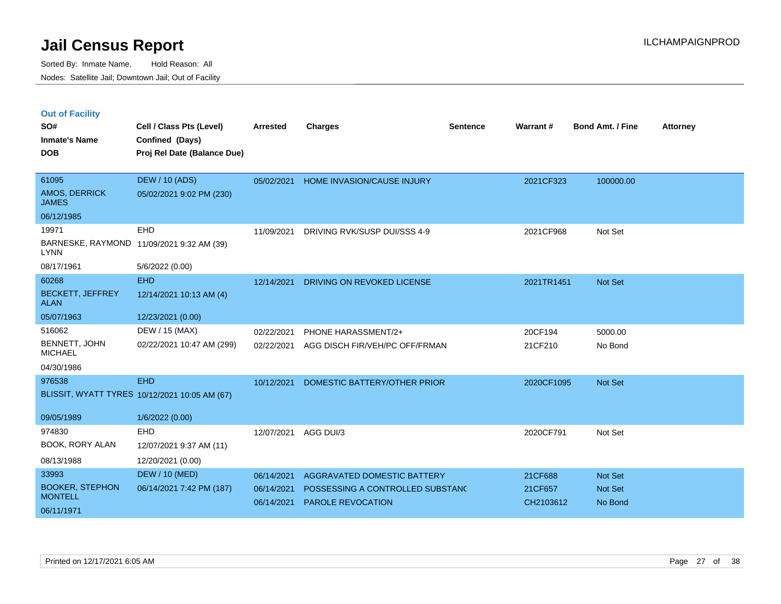|  | <b>Out of Facility</b> |  |
|--|------------------------|--|

| SO#<br><b>Inmate's Name</b><br><b>DOB</b>       | Cell / Class Pts (Level)<br>Confined (Days)<br>Proj Rel Date (Balance Due) | <b>Arrested</b>          | <b>Charges</b>                                        | <b>Sentence</b> | Warrant#             | <b>Bond Amt. / Fine</b> | <b>Attorney</b> |
|-------------------------------------------------|----------------------------------------------------------------------------|--------------------------|-------------------------------------------------------|-----------------|----------------------|-------------------------|-----------------|
| 61095<br>AMOS, DERRICK<br><b>JAMES</b>          | <b>DEW / 10 (ADS)</b><br>05/02/2021 9:02 PM (230)                          | 05/02/2021               | <b>HOME INVASION/CAUSE INJURY</b>                     |                 | 2021CF323            | 100000.00               |                 |
| 06/12/1985                                      |                                                                            |                          |                                                       |                 |                      |                         |                 |
| 19971<br><b>LYNN</b>                            | EHD<br>BARNESKE, RAYMOND 11/09/2021 9:32 AM (39)                           | 11/09/2021               | DRIVING RVK/SUSP DUI/SSS 4-9                          |                 | 2021CF968            | Not Set                 |                 |
| 08/17/1961                                      | 5/6/2022 (0.00)                                                            |                          |                                                       |                 |                      |                         |                 |
| 60268<br><b>BECKETT, JEFFREY</b><br><b>ALAN</b> | <b>EHD</b><br>12/14/2021 10:13 AM (4)                                      | 12/14/2021               | DRIVING ON REVOKED LICENSE                            |                 | 2021TR1451           | Not Set                 |                 |
| 05/07/1963                                      | 12/23/2021 (0.00)                                                          |                          |                                                       |                 |                      |                         |                 |
| 516062                                          | DEW / 15 (MAX)                                                             | 02/22/2021               | PHONE HARASSMENT/2+                                   |                 | 20CF194              | 5000.00                 |                 |
| BENNETT, JOHN<br><b>MICHAEL</b>                 | 02/22/2021 10:47 AM (299)                                                  | 02/22/2021               | AGG DISCH FIR/VEH/PC OFF/FRMAN                        |                 | 21CF210              | No Bond                 |                 |
| 04/30/1986                                      |                                                                            |                          |                                                       |                 |                      |                         |                 |
| 976538                                          | <b>EHD</b><br>BLISSIT, WYATT TYRES 10/12/2021 10:05 AM (67)                | 10/12/2021               | DOMESTIC BATTERY/OTHER PRIOR                          |                 | 2020CF1095           | Not Set                 |                 |
| 09/05/1989                                      | 1/6/2022 (0.00)                                                            |                          |                                                       |                 |                      |                         |                 |
| 974830<br>BOOK, RORY ALAN                       | <b>EHD</b><br>12/07/2021 9:37 AM (11)                                      | 12/07/2021               | AGG DUI/3                                             |                 | 2020CF791            | Not Set                 |                 |
| 08/13/1988                                      | 12/20/2021 (0.00)                                                          |                          |                                                       |                 |                      |                         |                 |
| 33993                                           | <b>DEW / 10 (MED)</b>                                                      | 06/14/2021               | AGGRAVATED DOMESTIC BATTERY                           |                 | 21CF688              | Not Set                 |                 |
| <b>BOOKER, STEPHON</b><br><b>MONTELL</b>        | 06/14/2021 7:42 PM (187)                                                   | 06/14/2021<br>06/14/2021 | POSSESSING A CONTROLLED SUBSTANC<br>PAROLE REVOCATION |                 | 21CF657<br>CH2103612 | Not Set<br>No Bond      |                 |
| 06/11/1971                                      |                                                                            |                          |                                                       |                 |                      |                         |                 |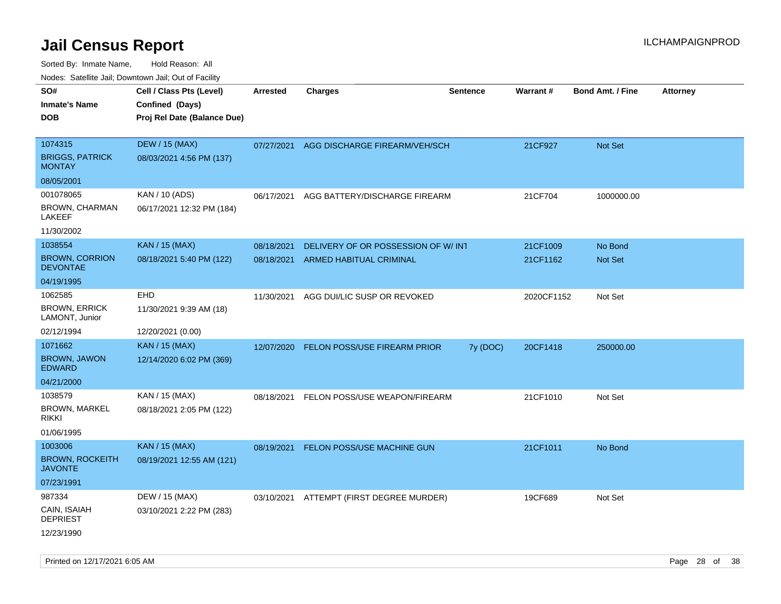| ivodes. Satellite Jali, Downtown Jali, Out of Facility |                             |            |                                    |                 |            |                         |                 |
|--------------------------------------------------------|-----------------------------|------------|------------------------------------|-----------------|------------|-------------------------|-----------------|
| SO#                                                    | Cell / Class Pts (Level)    | Arrested   | <b>Charges</b>                     | <b>Sentence</b> | Warrant#   | <b>Bond Amt. / Fine</b> | <b>Attorney</b> |
| <b>Inmate's Name</b>                                   | Confined (Days)             |            |                                    |                 |            |                         |                 |
| DOB                                                    | Proj Rel Date (Balance Due) |            |                                    |                 |            |                         |                 |
|                                                        |                             |            |                                    |                 |            |                         |                 |
| 1074315                                                | <b>DEW / 15 (MAX)</b>       | 07/27/2021 | AGG DISCHARGE FIREARM/VEH/SCH      |                 | 21CF927    | <b>Not Set</b>          |                 |
| <b>BRIGGS, PATRICK</b><br>MONTAY                       | 08/03/2021 4:56 PM (137)    |            |                                    |                 |            |                         |                 |
| 08/05/2001                                             |                             |            |                                    |                 |            |                         |                 |
| 001078065                                              | KAN / 10 (ADS)              | 06/17/2021 | AGG BATTERY/DISCHARGE FIREARM      |                 | 21CF704    | 1000000.00              |                 |
| BROWN, CHARMAN<br>LAKEEF                               | 06/17/2021 12:32 PM (184)   |            |                                    |                 |            |                         |                 |
| 11/30/2002                                             |                             |            |                                    |                 |            |                         |                 |
| 1038554                                                | <b>KAN / 15 (MAX)</b>       | 08/18/2021 | DELIVERY OF OR POSSESSION OF W/INT |                 | 21CF1009   | No Bond                 |                 |
| <b>BROWN, CORRION</b><br><b>DEVONTAE</b>               | 08/18/2021 5:40 PM (122)    | 08/18/2021 | <b>ARMED HABITUAL CRIMINAL</b>     |                 | 21CF1162   | <b>Not Set</b>          |                 |
| 04/19/1995                                             |                             |            |                                    |                 |            |                         |                 |
| 1062585                                                | <b>EHD</b>                  | 11/30/2021 | AGG DUI/LIC SUSP OR REVOKED        |                 | 2020CF1152 | Not Set                 |                 |
| <b>BROWN, ERRICK</b><br>LAMONT, Junior                 | 11/30/2021 9:39 AM (18)     |            |                                    |                 |            |                         |                 |
| 02/12/1994                                             | 12/20/2021 (0.00)           |            |                                    |                 |            |                         |                 |
| 1071662                                                | KAN / 15 (MAX)              | 12/07/2020 | FELON POSS/USE FIREARM PRIOR       | 7y (DOC)        | 20CF1418   | 250000.00               |                 |
| <b>BROWN, JAWON</b><br>EDWARD                          | 12/14/2020 6:02 PM (369)    |            |                                    |                 |            |                         |                 |
| 04/21/2000                                             |                             |            |                                    |                 |            |                         |                 |
| 1038579                                                | KAN / 15 (MAX)              | 08/18/2021 | FELON POSS/USE WEAPON/FIREARM      |                 | 21CF1010   | Not Set                 |                 |
| <b>BROWN, MARKEL</b><br>rikki                          | 08/18/2021 2:05 PM (122)    |            |                                    |                 |            |                         |                 |
| 01/06/1995                                             |                             |            |                                    |                 |            |                         |                 |
| 1003006                                                | <b>KAN / 15 (MAX)</b>       | 08/19/2021 | FELON POSS/USE MACHINE GUN         |                 | 21CF1011   | No Bond                 |                 |
| <b>BROWN, ROCKEITH</b><br>JAVONTE                      | 08/19/2021 12:55 AM (121)   |            |                                    |                 |            |                         |                 |
| 07/23/1991                                             |                             |            |                                    |                 |            |                         |                 |
| 987334                                                 | DEW / 15 (MAX)              | 03/10/2021 | ATTEMPT (FIRST DEGREE MURDER)      |                 | 19CF689    | Not Set                 |                 |
| CAIN, ISAIAH<br><b>DEPRIEST</b>                        | 03/10/2021 2:22 PM (283)    |            |                                    |                 |            |                         |                 |
| 12/23/1990                                             |                             |            |                                    |                 |            |                         |                 |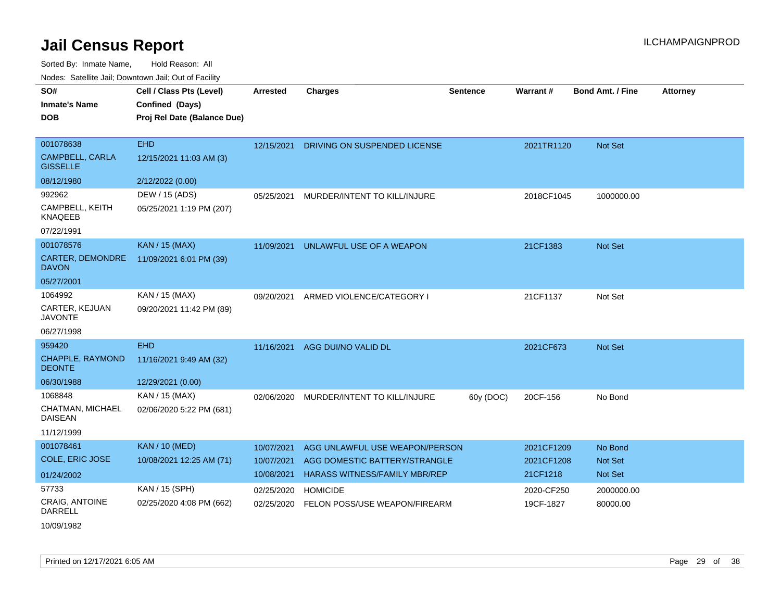| SO#                                       | Cell / Class Pts (Level)    | <b>Arrested</b> | <b>Charges</b>                       | <b>Sentence</b> | Warrant#   | <b>Bond Amt. / Fine</b> | <b>Attorney</b> |
|-------------------------------------------|-----------------------------|-----------------|--------------------------------------|-----------------|------------|-------------------------|-----------------|
| <b>Inmate's Name</b>                      | Confined (Days)             |                 |                                      |                 |            |                         |                 |
| <b>DOB</b>                                | Proj Rel Date (Balance Due) |                 |                                      |                 |            |                         |                 |
|                                           |                             |                 |                                      |                 |            |                         |                 |
| 001078638                                 | <b>EHD</b>                  | 12/15/2021      | DRIVING ON SUSPENDED LICENSE         |                 | 2021TR1120 | Not Set                 |                 |
| <b>CAMPBELL, CARLA</b><br><b>GISSELLE</b> | 12/15/2021 11:03 AM (3)     |                 |                                      |                 |            |                         |                 |
| 08/12/1980                                | 2/12/2022 (0.00)            |                 |                                      |                 |            |                         |                 |
| 992962                                    | DEW / 15 (ADS)              | 05/25/2021      | MURDER/INTENT TO KILL/INJURE         |                 | 2018CF1045 | 1000000.00              |                 |
| CAMPBELL, KEITH<br><b>KNAQEEB</b>         | 05/25/2021 1:19 PM (207)    |                 |                                      |                 |            |                         |                 |
| 07/22/1991                                |                             |                 |                                      |                 |            |                         |                 |
| 001078576                                 | <b>KAN / 15 (MAX)</b>       | 11/09/2021      | UNLAWFUL USE OF A WEAPON             |                 | 21CF1383   | <b>Not Set</b>          |                 |
| <b>CARTER, DEMONDRE</b><br><b>DAVON</b>   | 11/09/2021 6:01 PM (39)     |                 |                                      |                 |            |                         |                 |
| 05/27/2001                                |                             |                 |                                      |                 |            |                         |                 |
| 1064992                                   | KAN / 15 (MAX)              | 09/20/2021      | ARMED VIOLENCE/CATEGORY I            |                 | 21CF1137   | Not Set                 |                 |
| CARTER, KEJUAN<br><b>JAVONTE</b>          | 09/20/2021 11:42 PM (89)    |                 |                                      |                 |            |                         |                 |
| 06/27/1998                                |                             |                 |                                      |                 |            |                         |                 |
| 959420                                    | <b>EHD</b>                  | 11/16/2021      | AGG DUI/NO VALID DL                  |                 | 2021CF673  | <b>Not Set</b>          |                 |
| <b>CHAPPLE, RAYMOND</b><br><b>DEONTE</b>  | 11/16/2021 9:49 AM (32)     |                 |                                      |                 |            |                         |                 |
| 06/30/1988                                | 12/29/2021 (0.00)           |                 |                                      |                 |            |                         |                 |
| 1068848                                   | KAN / 15 (MAX)              | 02/06/2020      | MURDER/INTENT TO KILL/INJURE         | 60y (DOC)       | 20CF-156   | No Bond                 |                 |
| CHATMAN, MICHAEL<br><b>DAISEAN</b>        | 02/06/2020 5:22 PM (681)    |                 |                                      |                 |            |                         |                 |
| 11/12/1999                                |                             |                 |                                      |                 |            |                         |                 |
| 001078461                                 | <b>KAN / 10 (MED)</b>       | 10/07/2021      | AGG UNLAWFUL USE WEAPON/PERSON       |                 | 2021CF1209 | No Bond                 |                 |
| <b>COLE, ERIC JOSE</b>                    | 10/08/2021 12:25 AM (71)    | 10/07/2021      | AGG DOMESTIC BATTERY/STRANGLE        |                 | 2021CF1208 | <b>Not Set</b>          |                 |
| 01/24/2002                                |                             | 10/08/2021      | <b>HARASS WITNESS/FAMILY MBR/REP</b> |                 | 21CF1218   | <b>Not Set</b>          |                 |
| 57733                                     | KAN / 15 (SPH)              | 02/25/2020      | <b>HOMICIDE</b>                      |                 | 2020-CF250 | 2000000.00              |                 |
| CRAIG, ANTOINE<br><b>DARRELL</b>          | 02/25/2020 4:08 PM (662)    | 02/25/2020      | FELON POSS/USE WEAPON/FIREARM        |                 | 19CF-1827  | 80000.00                |                 |
| 10/09/1982                                |                             |                 |                                      |                 |            |                         |                 |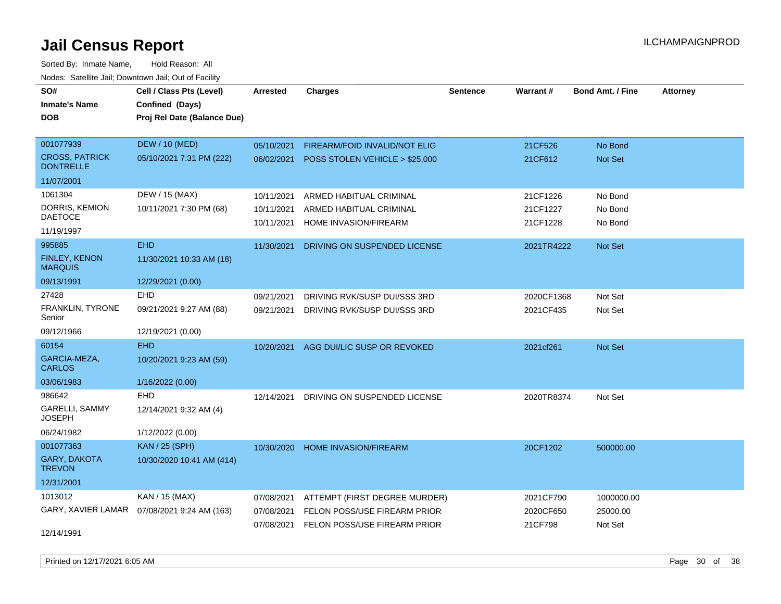Sorted By: Inmate Name, Hold Reason: All Nodes: Satellite Jail; Downtown Jail; Out of Facility

| SO#                                       | Cell / Class Pts (Level)                     | <b>Arrested</b> | <b>Charges</b>                            | <b>Sentence</b> | <b>Warrant#</b> | <b>Bond Amt. / Fine</b> | <b>Attorney</b> |
|-------------------------------------------|----------------------------------------------|-----------------|-------------------------------------------|-----------------|-----------------|-------------------------|-----------------|
| <b>Inmate's Name</b>                      | Confined (Days)                              |                 |                                           |                 |                 |                         |                 |
| DOB                                       | Proj Rel Date (Balance Due)                  |                 |                                           |                 |                 |                         |                 |
|                                           |                                              |                 |                                           |                 |                 |                         |                 |
| 001077939                                 | <b>DEW / 10 (MED)</b>                        | 05/10/2021      | FIREARM/FOID INVALID/NOT ELIG             |                 | 21CF526         | No Bond                 |                 |
| <b>CROSS, PATRICK</b><br><b>DONTRELLE</b> | 05/10/2021 7:31 PM (222)                     |                 | 06/02/2021 POSS STOLEN VEHICLE > \$25,000 |                 | 21CF612         | Not Set                 |                 |
| 11/07/2001                                |                                              |                 |                                           |                 |                 |                         |                 |
| 1061304                                   | DEW / 15 (MAX)                               | 10/11/2021      | ARMED HABITUAL CRIMINAL                   |                 | 21CF1226        | No Bond                 |                 |
| DORRIS, KEMION                            | 10/11/2021 7:30 PM (68)                      | 10/11/2021      | ARMED HABITUAL CRIMINAL                   |                 | 21CF1227        | No Bond                 |                 |
| <b>DAETOCE</b>                            |                                              | 10/11/2021      | HOME INVASION/FIREARM                     |                 | 21CF1228        | No Bond                 |                 |
| 11/19/1997                                |                                              |                 |                                           |                 |                 |                         |                 |
| 995885                                    | <b>EHD</b>                                   | 11/30/2021      | DRIVING ON SUSPENDED LICENSE              |                 | 2021TR4222      | <b>Not Set</b>          |                 |
| FINLEY, KENON<br><b>MARQUIS</b>           | 11/30/2021 10:33 AM (18)                     |                 |                                           |                 |                 |                         |                 |
| 09/13/1991                                | 12/29/2021 (0.00)                            |                 |                                           |                 |                 |                         |                 |
| 27428                                     | <b>EHD</b>                                   | 09/21/2021      | DRIVING RVK/SUSP DUI/SSS 3RD              |                 | 2020CF1368      | Not Set                 |                 |
| <b>FRANKLIN, TYRONE</b><br>Senior         | 09/21/2021 9:27 AM (88)                      | 09/21/2021      | DRIVING RVK/SUSP DUI/SSS 3RD              |                 | 2021CF435       | Not Set                 |                 |
| 09/12/1966                                | 12/19/2021 (0.00)                            |                 |                                           |                 |                 |                         |                 |
| 60154                                     | <b>EHD</b>                                   | 10/20/2021      | AGG DUI/LIC SUSP OR REVOKED               |                 | 2021cf261       | <b>Not Set</b>          |                 |
| GARCIA-MEZA,<br><b>CARLOS</b>             | 10/20/2021 9:23 AM (59)                      |                 |                                           |                 |                 |                         |                 |
| 03/06/1983                                | 1/16/2022 (0.00)                             |                 |                                           |                 |                 |                         |                 |
| 986642                                    | <b>EHD</b>                                   | 12/14/2021      | DRIVING ON SUSPENDED LICENSE              |                 | 2020TR8374      | Not Set                 |                 |
| GARELLI, SAMMY<br><b>JOSEPH</b>           | 12/14/2021 9:32 AM (4)                       |                 |                                           |                 |                 |                         |                 |
| 06/24/1982                                | 1/12/2022 (0.00)                             |                 |                                           |                 |                 |                         |                 |
| 001077363                                 | <b>KAN / 25 (SPH)</b>                        | 10/30/2020      | <b>HOME INVASION/FIREARM</b>              |                 | 20CF1202        | 500000.00               |                 |
| <b>GARY, DAKOTA</b><br><b>TREVON</b>      | 10/30/2020 10:41 AM (414)                    |                 |                                           |                 |                 |                         |                 |
| 12/31/2001                                |                                              |                 |                                           |                 |                 |                         |                 |
| 1013012                                   | KAN / 15 (MAX)                               | 07/08/2021      | ATTEMPT (FIRST DEGREE MURDER)             |                 | 2021CF790       | 1000000.00              |                 |
|                                           | GARY, XAVIER LAMAR  07/08/2021 9:24 AM (163) | 07/08/2021      | FELON POSS/USE FIREARM PRIOR              |                 | 2020CF650       | 25000.00                |                 |
|                                           |                                              | 07/08/2021      | <b>FELON POSS/USE FIREARM PRIOR</b>       |                 | 21CF798         | Not Set                 |                 |
| 12/14/1991                                |                                              |                 |                                           |                 |                 |                         |                 |

Printed on 12/17/2021 6:05 AM **Page 30** of 38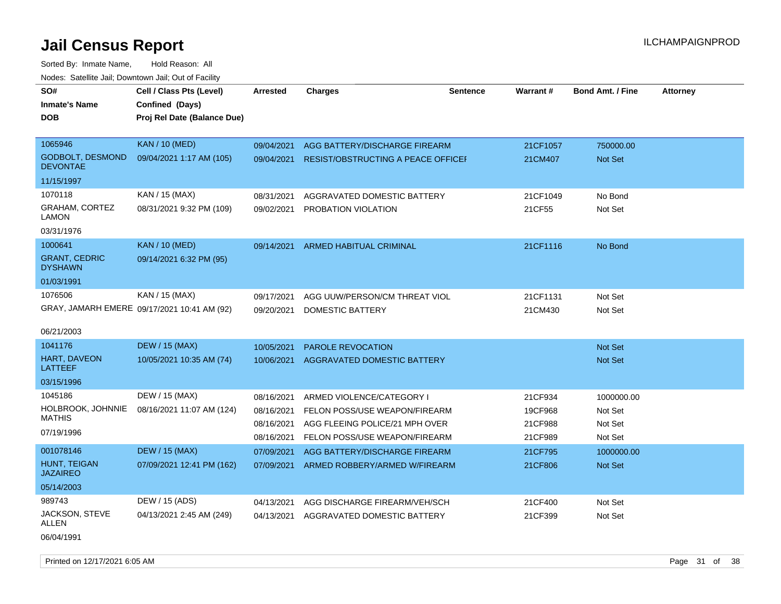| SO#                                        | Cell / Class Pts (Level)                       | Arrested   | <b>Charges</b>                            | <b>Sentence</b> | Warrant# | <b>Bond Amt. / Fine</b> | <b>Attorney</b> |
|--------------------------------------------|------------------------------------------------|------------|-------------------------------------------|-----------------|----------|-------------------------|-----------------|
| <b>Inmate's Name</b><br><b>DOB</b>         | Confined (Days)<br>Proj Rel Date (Balance Due) |            |                                           |                 |          |                         |                 |
|                                            |                                                |            |                                           |                 |          |                         |                 |
| 1065946                                    | <b>KAN / 10 (MED)</b>                          | 09/04/2021 | AGG BATTERY/DISCHARGE FIREARM             |                 | 21CF1057 | 750000.00               |                 |
| <b>GODBOLT, DESMOND</b><br><b>DEVONTAE</b> | 09/04/2021 1:17 AM (105)                       | 09/04/2021 | <b>RESIST/OBSTRUCTING A PEACE OFFICEF</b> |                 | 21CM407  | Not Set                 |                 |
| 11/15/1997                                 |                                                |            |                                           |                 |          |                         |                 |
| 1070118                                    | KAN / 15 (MAX)                                 | 08/31/2021 | AGGRAVATED DOMESTIC BATTERY               |                 | 21CF1049 | No Bond                 |                 |
| GRAHAM, CORTEZ<br>LAMON                    | 08/31/2021 9:32 PM (109)                       | 09/02/2021 | PROBATION VIOLATION                       |                 | 21CF55   | Not Set                 |                 |
| 03/31/1976                                 |                                                |            |                                           |                 |          |                         |                 |
| 1000641                                    | <b>KAN / 10 (MED)</b>                          | 09/14/2021 | ARMED HABITUAL CRIMINAL                   |                 | 21CF1116 | No Bond                 |                 |
| <b>GRANT, CEDRIC</b><br><b>DYSHAWN</b>     | 09/14/2021 6:32 PM (95)                        |            |                                           |                 |          |                         |                 |
| 01/03/1991                                 |                                                |            |                                           |                 |          |                         |                 |
| 1076506                                    | KAN / 15 (MAX)                                 | 09/17/2021 | AGG UUW/PERSON/CM THREAT VIOL             |                 | 21CF1131 | Not Set                 |                 |
|                                            | GRAY, JAMARH EMERE 09/17/2021 10:41 AM (92)    | 09/20/2021 | DOMESTIC BATTERY                          |                 | 21CM430  | Not Set                 |                 |
| 06/21/2003                                 |                                                |            |                                           |                 |          |                         |                 |
| 1041176                                    | <b>DEW / 15 (MAX)</b>                          | 10/05/2021 | <b>PAROLE REVOCATION</b>                  |                 |          | Not Set                 |                 |
| HART, DAVEON<br>LATTEEF                    | 10/05/2021 10:35 AM (74)                       | 10/06/2021 | <b>AGGRAVATED DOMESTIC BATTERY</b>        |                 |          | <b>Not Set</b>          |                 |
| 03/15/1996                                 |                                                |            |                                           |                 |          |                         |                 |
| 1045186                                    | DEW / 15 (MAX)                                 | 08/16/2021 | ARMED VIOLENCE/CATEGORY I                 |                 | 21CF934  | 1000000.00              |                 |
| HOLBROOK, JOHNNIE                          | 08/16/2021 11:07 AM (124)                      | 08/16/2021 | FELON POSS/USE WEAPON/FIREARM             |                 | 19CF968  | Not Set                 |                 |
| <b>MATHIS</b>                              |                                                | 08/16/2021 | AGG FLEEING POLICE/21 MPH OVER            |                 | 21CF988  | Not Set                 |                 |
| 07/19/1996                                 |                                                | 08/16/2021 | FELON POSS/USE WEAPON/FIREARM             |                 | 21CF989  | Not Set                 |                 |
| 001078146                                  | <b>DEW / 15 (MAX)</b>                          | 07/09/2021 | AGG BATTERY/DISCHARGE FIREARM             |                 | 21CF795  | 1000000.00              |                 |
| <b>HUNT, TEIGAN</b><br><b>JAZAIREO</b>     | 07/09/2021 12:41 PM (162)                      | 07/09/2021 | ARMED ROBBERY/ARMED W/FIREARM             |                 | 21CF806  | <b>Not Set</b>          |                 |
| 05/14/2003                                 |                                                |            |                                           |                 |          |                         |                 |
| 989743                                     | DEW / 15 (ADS)                                 | 04/13/2021 | AGG DISCHARGE FIREARM/VEH/SCH             |                 | 21CF400  | Not Set                 |                 |
| JACKSON, STEVE<br>ALLEN                    | 04/13/2021 2:45 AM (249)                       | 04/13/2021 | AGGRAVATED DOMESTIC BATTERY               |                 | 21CF399  | Not Set                 |                 |
| 06/04/1991                                 |                                                |            |                                           |                 |          |                         |                 |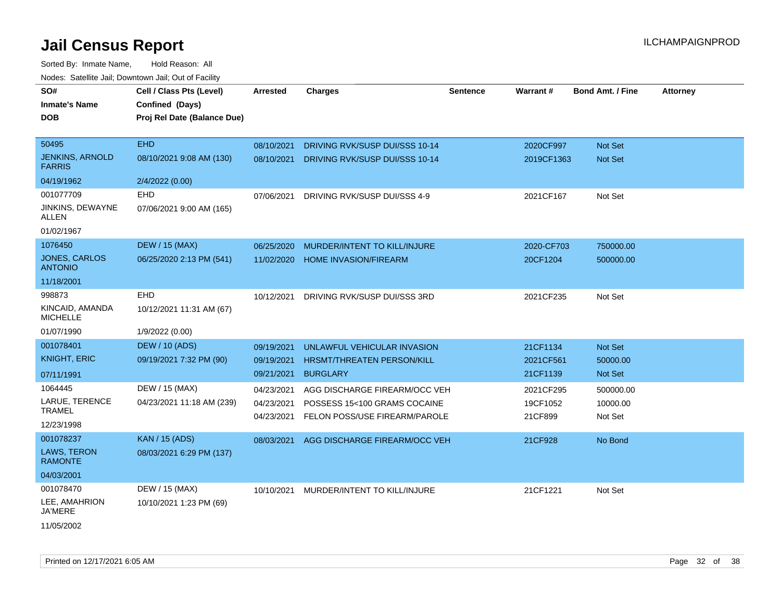Sorted By: Inmate Name, Hold Reason: All Nodes: Satellite Jail; Downtown Jail; Out of Facility

| roaco. Catolino cali, Downtown cali, Out of Fability |                                                                            |                 |                                         |          |                 |                         |                 |
|------------------------------------------------------|----------------------------------------------------------------------------|-----------------|-----------------------------------------|----------|-----------------|-------------------------|-----------------|
| SO#<br><b>Inmate's Name</b><br><b>DOB</b>            | Cell / Class Pts (Level)<br>Confined (Days)<br>Proj Rel Date (Balance Due) | <b>Arrested</b> | <b>Charges</b>                          | Sentence | <b>Warrant#</b> | <b>Bond Amt. / Fine</b> | <b>Attorney</b> |
|                                                      |                                                                            |                 |                                         |          |                 |                         |                 |
| 50495                                                | <b>EHD</b>                                                                 | 08/10/2021      | DRIVING RVK/SUSP DUI/SSS 10-14          |          | 2020CF997       | Not Set                 |                 |
| <b>JENKINS, ARNOLD</b><br><b>FARRIS</b>              | 08/10/2021 9:08 AM (130)                                                   | 08/10/2021      | DRIVING RVK/SUSP DUI/SSS 10-14          |          | 2019CF1363      | Not Set                 |                 |
| 04/19/1962                                           | 2/4/2022 (0.00)                                                            |                 |                                         |          |                 |                         |                 |
| 001077709                                            | EHD                                                                        |                 | 07/06/2021 DRIVING RVK/SUSP DUI/SSS 4-9 |          | 2021CF167       | Not Set                 |                 |
| JINKINS, DEWAYNE<br>ALLEN                            | 07/06/2021 9:00 AM (165)                                                   |                 |                                         |          |                 |                         |                 |
| 01/02/1967                                           |                                                                            |                 |                                         |          |                 |                         |                 |
| 1076450                                              | <b>DEW / 15 (MAX)</b>                                                      | 06/25/2020      | MURDER/INTENT TO KILL/INJURE            |          | 2020-CF703      | 750000.00               |                 |
| <b>JONES, CARLOS</b><br><b>ANTONIO</b>               | 06/25/2020 2:13 PM (541)                                                   | 11/02/2020      | <b>HOME INVASION/FIREARM</b>            |          | 20CF1204        | 500000.00               |                 |
| 11/18/2001                                           |                                                                            |                 |                                         |          |                 |                         |                 |
| 998873                                               | EHD                                                                        | 10/12/2021      | DRIVING RVK/SUSP DUI/SSS 3RD            |          | 2021CF235       | Not Set                 |                 |
| KINCAID, AMANDA<br><b>MICHELLE</b>                   | 10/12/2021 11:31 AM (67)                                                   |                 |                                         |          |                 |                         |                 |
| 01/07/1990                                           | 1/9/2022 (0.00)                                                            |                 |                                         |          |                 |                         |                 |
| 001078401                                            | <b>DEW / 10 (ADS)</b>                                                      | 09/19/2021      | UNLAWFUL VEHICULAR INVASION             |          | 21CF1134        | Not Set                 |                 |
| <b>KNIGHT, ERIC</b>                                  | 09/19/2021 7:32 PM (90)                                                    | 09/19/2021      | HRSMT/THREATEN PERSON/KILL              |          | 2021CF561       | 50000.00                |                 |
| 07/11/1991                                           |                                                                            | 09/21/2021      | <b>BURGLARY</b>                         |          | 21CF1139        | <b>Not Set</b>          |                 |
| 1064445                                              | DEW / 15 (MAX)                                                             | 04/23/2021      | AGG DISCHARGE FIREARM/OCC VEH           |          | 2021CF295       | 500000.00               |                 |
| LARUE, TERENCE                                       | 04/23/2021 11:18 AM (239)                                                  | 04/23/2021      | POSSESS 15<100 GRAMS COCAINE            |          | 19CF1052        | 10000.00                |                 |
| <b>TRAMEL</b>                                        |                                                                            | 04/23/2021      | FELON POSS/USE FIREARM/PAROLE           |          | 21CF899         | Not Set                 |                 |
| 12/23/1998                                           |                                                                            |                 |                                         |          |                 |                         |                 |
| 001078237                                            | <b>KAN / 15 (ADS)</b>                                                      | 08/03/2021      | AGG DISCHARGE FIREARM/OCC VEH           |          | 21CF928         | No Bond                 |                 |
| LAWS, TERON<br><b>RAMONTE</b>                        | 08/03/2021 6:29 PM (137)                                                   |                 |                                         |          |                 |                         |                 |
| 04/03/2001                                           |                                                                            |                 |                                         |          |                 |                         |                 |
| 001078470                                            | DEW / 15 (MAX)                                                             | 10/10/2021      | MURDER/INTENT TO KILL/INJURE            |          | 21CF1221        | Not Set                 |                 |
| LEE, AMAHRION<br><b>JA'MERE</b>                      | 10/10/2021 1:23 PM (69)                                                    |                 |                                         |          |                 |                         |                 |
| 11/05/2002                                           |                                                                            |                 |                                         |          |                 |                         |                 |

Printed on 12/17/2021 6:05 AM Page 32 of 38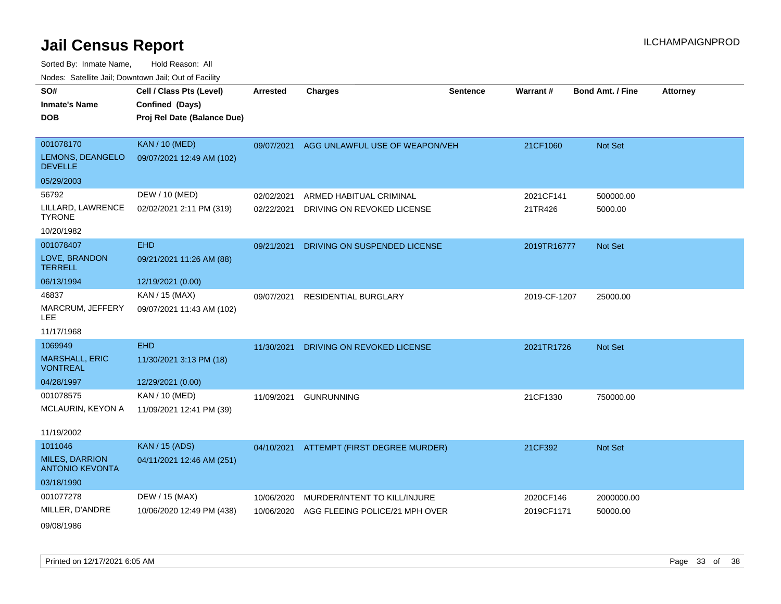| SO#                                             | Cell / Class Pts (Level)    | <b>Arrested</b> | <b>Charges</b>                           | <b>Sentence</b> | Warrant #    | <b>Bond Amt. / Fine</b> | <b>Attorney</b> |
|-------------------------------------------------|-----------------------------|-----------------|------------------------------------------|-----------------|--------------|-------------------------|-----------------|
| <b>Inmate's Name</b>                            | Confined (Days)             |                 |                                          |                 |              |                         |                 |
| <b>DOB</b>                                      | Proj Rel Date (Balance Due) |                 |                                          |                 |              |                         |                 |
|                                                 |                             |                 |                                          |                 |              |                         |                 |
| 001078170                                       | <b>KAN / 10 (MED)</b>       | 09/07/2021      | AGG UNLAWFUL USE OF WEAPON/VEH           |                 | 21CF1060     | Not Set                 |                 |
| LEMONS, DEANGELO<br><b>DEVELLE</b>              | 09/07/2021 12:49 AM (102)   |                 |                                          |                 |              |                         |                 |
| 05/29/2003                                      |                             |                 |                                          |                 |              |                         |                 |
| 56792                                           | DEW / 10 (MED)              | 02/02/2021      | ARMED HABITUAL CRIMINAL                  |                 | 2021CF141    | 500000.00               |                 |
| LILLARD, LAWRENCE<br><b>TYRONE</b>              | 02/02/2021 2:11 PM (319)    | 02/22/2021      | DRIVING ON REVOKED LICENSE               |                 | 21TR426      | 5000.00                 |                 |
| 10/20/1982                                      |                             |                 |                                          |                 |              |                         |                 |
| 001078407                                       | <b>EHD</b>                  | 09/21/2021      | DRIVING ON SUSPENDED LICENSE             |                 | 2019TR16777  | Not Set                 |                 |
| LOVE, BRANDON<br><b>TERRELL</b>                 | 09/21/2021 11:26 AM (88)    |                 |                                          |                 |              |                         |                 |
| 06/13/1994                                      | 12/19/2021 (0.00)           |                 |                                          |                 |              |                         |                 |
| 46837                                           | KAN / 15 (MAX)              | 09/07/2021      | <b>RESIDENTIAL BURGLARY</b>              |                 | 2019-CF-1207 | 25000.00                |                 |
| MARCRUM, JEFFERY<br><b>LEE</b>                  | 09/07/2021 11:43 AM (102)   |                 |                                          |                 |              |                         |                 |
| 11/17/1968                                      |                             |                 |                                          |                 |              |                         |                 |
| 1069949                                         | <b>EHD</b>                  | 11/30/2021      | DRIVING ON REVOKED LICENSE               |                 | 2021TR1726   | Not Set                 |                 |
| <b>MARSHALL, ERIC</b><br><b>VONTREAL</b>        | 11/30/2021 3:13 PM (18)     |                 |                                          |                 |              |                         |                 |
| 04/28/1997                                      | 12/29/2021 (0.00)           |                 |                                          |                 |              |                         |                 |
| 001078575                                       | KAN / 10 (MED)              | 11/09/2021      | <b>GUNRUNNING</b>                        |                 | 21CF1330     | 750000.00               |                 |
| MCLAURIN, KEYON A                               | 11/09/2021 12:41 PM (39)    |                 |                                          |                 |              |                         |                 |
| 11/19/2002                                      |                             |                 |                                          |                 |              |                         |                 |
| 1011046                                         | <b>KAN / 15 (ADS)</b>       |                 | 04/10/2021 ATTEMPT (FIRST DEGREE MURDER) |                 | 21CF392      | Not Set                 |                 |
| <b>MILES, DARRION</b><br><b>ANTONIO KEVONTA</b> | 04/11/2021 12:46 AM (251)   |                 |                                          |                 |              |                         |                 |
| 03/18/1990                                      |                             |                 |                                          |                 |              |                         |                 |
| 001077278                                       | DEW / 15 (MAX)              | 10/06/2020      | MURDER/INTENT TO KILL/INJURE             |                 | 2020CF146    | 2000000.00              |                 |
| MILLER, D'ANDRE                                 | 10/06/2020 12:49 PM (438)   | 10/06/2020      | AGG FLEEING POLICE/21 MPH OVER           |                 | 2019CF1171   | 50000.00                |                 |
| 09/08/1986                                      |                             |                 |                                          |                 |              |                         |                 |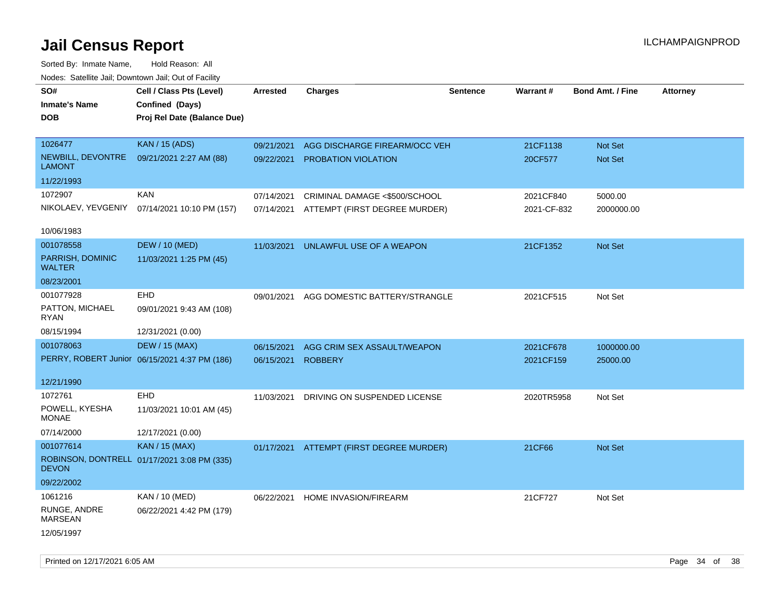| rouco. Calcinic Jan, Downtown Jan, Out of Facility |                                               |                 |                                          |                 |             |                         |                 |
|----------------------------------------------------|-----------------------------------------------|-----------------|------------------------------------------|-----------------|-------------|-------------------------|-----------------|
| SO#<br><b>Inmate's Name</b>                        | Cell / Class Pts (Level)<br>Confined (Days)   | <b>Arrested</b> | <b>Charges</b>                           | <b>Sentence</b> | Warrant#    | <b>Bond Amt. / Fine</b> | <b>Attorney</b> |
| <b>DOB</b>                                         | Proj Rel Date (Balance Due)                   |                 |                                          |                 |             |                         |                 |
|                                                    |                                               |                 |                                          |                 |             |                         |                 |
| 1026477                                            | <b>KAN / 15 (ADS)</b>                         | 09/21/2021      | AGG DISCHARGE FIREARM/OCC VEH            |                 | 21CF1138    | <b>Not Set</b>          |                 |
| NEWBILL, DEVONTRE<br><b>LAMONT</b>                 | 09/21/2021 2:27 AM (88)                       | 09/22/2021      | PROBATION VIOLATION                      |                 | 20CF577     | Not Set                 |                 |
| 11/22/1993                                         |                                               |                 |                                          |                 |             |                         |                 |
| 1072907                                            | <b>KAN</b>                                    | 07/14/2021      | CRIMINAL DAMAGE <\$500/SCHOOL            |                 | 2021CF840   | 5000.00                 |                 |
| NIKOLAEV, YEVGENIY                                 | 07/14/2021 10:10 PM (157)                     | 07/14/2021      | ATTEMPT (FIRST DEGREE MURDER)            |                 | 2021-CF-832 | 2000000.00              |                 |
| 10/06/1983                                         |                                               |                 |                                          |                 |             |                         |                 |
| 001078558                                          | <b>DEW / 10 (MED)</b>                         | 11/03/2021      | UNLAWFUL USE OF A WEAPON                 |                 | 21CF1352    | Not Set                 |                 |
| PARRISH, DOMINIC<br><b>WALTER</b>                  | 11/03/2021 1:25 PM (45)                       |                 |                                          |                 |             |                         |                 |
| 08/23/2001                                         |                                               |                 |                                          |                 |             |                         |                 |
| 001077928                                          | <b>EHD</b>                                    | 09/01/2021      | AGG DOMESTIC BATTERY/STRANGLE            |                 | 2021CF515   | Not Set                 |                 |
| PATTON, MICHAEL<br>RYAN                            | 09/01/2021 9:43 AM (108)                      |                 |                                          |                 |             |                         |                 |
| 08/15/1994                                         | 12/31/2021 (0.00)                             |                 |                                          |                 |             |                         |                 |
| 001078063                                          | <b>DEW / 15 (MAX)</b>                         | 06/15/2021      | AGG CRIM SEX ASSAULT/WEAPON              |                 | 2021CF678   | 1000000.00              |                 |
|                                                    | PERRY, ROBERT Junior 06/15/2021 4:37 PM (186) | 06/15/2021      | <b>ROBBERY</b>                           |                 | 2021CF159   | 25000.00                |                 |
| 12/21/1990                                         |                                               |                 |                                          |                 |             |                         |                 |
| 1072761                                            | EHD                                           | 11/03/2021      | DRIVING ON SUSPENDED LICENSE             |                 | 2020TR5958  | Not Set                 |                 |
| POWELL, KYESHA<br><b>MONAE</b>                     | 11/03/2021 10:01 AM (45)                      |                 |                                          |                 |             |                         |                 |
| 07/14/2000                                         | 12/17/2021 (0.00)                             |                 |                                          |                 |             |                         |                 |
| 001077614                                          | <b>KAN / 15 (MAX)</b>                         |                 | 01/17/2021 ATTEMPT (FIRST DEGREE MURDER) |                 | 21CF66      | Not Set                 |                 |
| <b>DEVON</b>                                       | ROBINSON, DONTRELL 01/17/2021 3:08 PM (335)   |                 |                                          |                 |             |                         |                 |
| 09/22/2002                                         |                                               |                 |                                          |                 |             |                         |                 |
| 1061216                                            | KAN / 10 (MED)                                | 06/22/2021      | HOME INVASION/FIREARM                    |                 | 21CF727     | Not Set                 |                 |
| RUNGE, ANDRE<br><b>MARSEAN</b>                     | 06/22/2021 4:42 PM (179)                      |                 |                                          |                 |             |                         |                 |
| 12/05/1997                                         |                                               |                 |                                          |                 |             |                         |                 |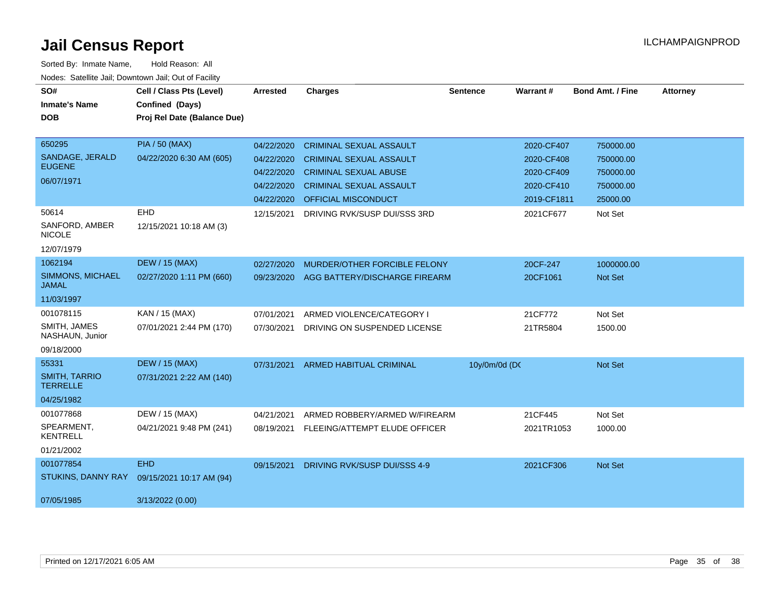| SO#                                     | Cell / Class Pts (Level)    | <b>Arrested</b> | <b>Charges</b>                 | <b>Sentence</b> | Warrant#    | <b>Bond Amt. / Fine</b> | <b>Attorney</b> |
|-----------------------------------------|-----------------------------|-----------------|--------------------------------|-----------------|-------------|-------------------------|-----------------|
| <b>Inmate's Name</b>                    | Confined (Days)             |                 |                                |                 |             |                         |                 |
| <b>DOB</b>                              | Proj Rel Date (Balance Due) |                 |                                |                 |             |                         |                 |
|                                         |                             |                 |                                |                 |             |                         |                 |
| 650295                                  | <b>PIA / 50 (MAX)</b>       | 04/22/2020      | <b>CRIMINAL SEXUAL ASSAULT</b> |                 | 2020-CF407  | 750000.00               |                 |
| SANDAGE, JERALD                         | 04/22/2020 6:30 AM (605)    | 04/22/2020      | <b>CRIMINAL SEXUAL ASSAULT</b> |                 | 2020-CF408  | 750000.00               |                 |
| <b>EUGENE</b>                           |                             | 04/22/2020      | <b>CRIMINAL SEXUAL ABUSE</b>   |                 | 2020-CF409  | 750000.00               |                 |
| 06/07/1971                              |                             | 04/22/2020      | <b>CRIMINAL SEXUAL ASSAULT</b> |                 | 2020-CF410  | 750000.00               |                 |
|                                         |                             | 04/22/2020      | OFFICIAL MISCONDUCT            |                 | 2019-CF1811 | 25000.00                |                 |
| 50614                                   | EHD                         | 12/15/2021      | DRIVING RVK/SUSP DUI/SSS 3RD   |                 | 2021CF677   | Not Set                 |                 |
| SANFORD, AMBER<br><b>NICOLE</b>         | 12/15/2021 10:18 AM (3)     |                 |                                |                 |             |                         |                 |
| 12/07/1979                              |                             |                 |                                |                 |             |                         |                 |
| 1062194                                 | <b>DEW / 15 (MAX)</b>       | 02/27/2020      | MURDER/OTHER FORCIBLE FELONY   |                 | 20CF-247    | 1000000.00              |                 |
| <b>SIMMONS, MICHAEL</b><br>JAMAL        | 02/27/2020 1:11 PM (660)    | 09/23/2020      | AGG BATTERY/DISCHARGE FIREARM  |                 | 20CF1061    | <b>Not Set</b>          |                 |
| 11/03/1997                              |                             |                 |                                |                 |             |                         |                 |
| 001078115                               | KAN / 15 (MAX)              | 07/01/2021      | ARMED VIOLENCE/CATEGORY I      |                 | 21CF772     | Not Set                 |                 |
| SMITH, JAMES<br>NASHAUN, Junior         | 07/01/2021 2:44 PM (170)    | 07/30/2021      | DRIVING ON SUSPENDED LICENSE   |                 | 21TR5804    | 1500.00                 |                 |
| 09/18/2000                              |                             |                 |                                |                 |             |                         |                 |
| 55331                                   | <b>DEW / 15 (MAX)</b>       | 07/31/2021      | <b>ARMED HABITUAL CRIMINAL</b> | 10y/0m/0d (DC   |             | Not Set                 |                 |
| <b>SMITH, TARRIO</b><br><b>TERRELLE</b> | 07/31/2021 2:22 AM (140)    |                 |                                |                 |             |                         |                 |
| 04/25/1982                              |                             |                 |                                |                 |             |                         |                 |
| 001077868                               | DEW / 15 (MAX)              | 04/21/2021      | ARMED ROBBERY/ARMED W/FIREARM  |                 | 21CF445     | Not Set                 |                 |
| SPEARMENT,<br><b>KENTRELL</b>           | 04/21/2021 9:48 PM (241)    | 08/19/2021      | FLEEING/ATTEMPT ELUDE OFFICER  |                 | 2021TR1053  | 1000.00                 |                 |
| 01/21/2002                              |                             |                 |                                |                 |             |                         |                 |
| 001077854                               | <b>EHD</b>                  | 09/15/2021      | DRIVING RVK/SUSP DUI/SSS 4-9   |                 | 2021CF306   | Not Set                 |                 |
| STUKINS, DANNY RAY                      | 09/15/2021 10:17 AM (94)    |                 |                                |                 |             |                         |                 |
| 07/05/1985                              | 3/13/2022 (0.00)            |                 |                                |                 |             |                         |                 |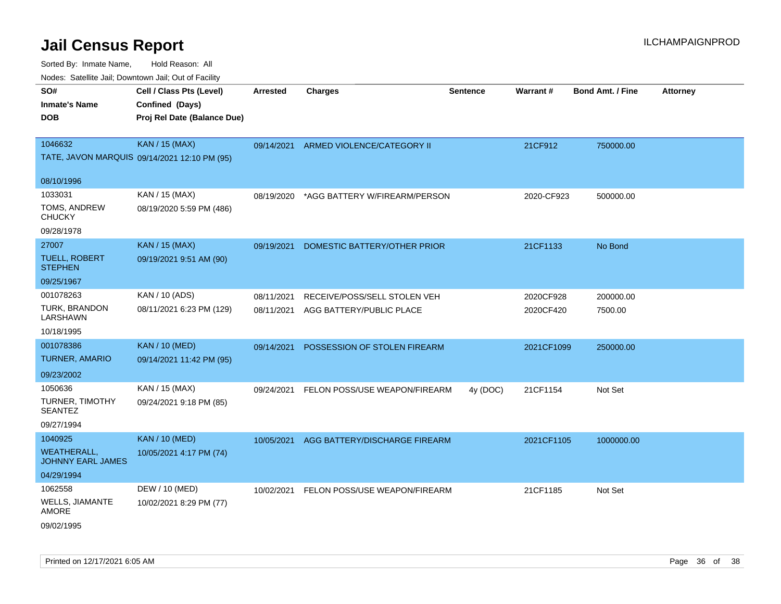| SO#<br><b>Inmate's Name</b><br><b>DOB</b> | Cell / Class Pts (Level)<br>Confined (Days)<br>Proj Rel Date (Balance Due) | <b>Arrested</b> | Charges                       | <b>Sentence</b> | Warrant#   | <b>Bond Amt. / Fine</b> | <b>Attorney</b> |
|-------------------------------------------|----------------------------------------------------------------------------|-----------------|-------------------------------|-----------------|------------|-------------------------|-----------------|
| 1046632                                   | <b>KAN / 15 (MAX)</b><br>TATE, JAVON MARQUIS 09/14/2021 12:10 PM (95)      | 09/14/2021      | ARMED VIOLENCE/CATEGORY II    |                 | 21CF912    | 750000.00               |                 |
| 08/10/1996                                |                                                                            |                 |                               |                 |            |                         |                 |
| 1033031                                   | KAN / 15 (MAX)                                                             | 08/19/2020      | *AGG BATTERY W/FIREARM/PERSON |                 | 2020-CF923 | 500000.00               |                 |
| TOMS, ANDREW<br><b>CHUCKY</b>             | 08/19/2020 5:59 PM (486)                                                   |                 |                               |                 |            |                         |                 |
| 09/28/1978                                |                                                                            |                 |                               |                 |            |                         |                 |
| 27007                                     | <b>KAN / 15 (MAX)</b>                                                      | 09/19/2021      | DOMESTIC BATTERY/OTHER PRIOR  |                 | 21CF1133   | No Bond                 |                 |
| <b>TUELL, ROBERT</b><br><b>STEPHEN</b>    | 09/19/2021 9:51 AM (90)                                                    |                 |                               |                 |            |                         |                 |
| 09/25/1967                                |                                                                            |                 |                               |                 |            |                         |                 |
| 001078263                                 | KAN / 10 (ADS)                                                             | 08/11/2021      | RECEIVE/POSS/SELL STOLEN VEH  |                 | 2020CF928  | 200000.00               |                 |
| <b>TURK, BRANDON</b><br>LARSHAWN          | 08/11/2021 6:23 PM (129)                                                   | 08/11/2021      | AGG BATTERY/PUBLIC PLACE      |                 | 2020CF420  | 7500.00                 |                 |
| 10/18/1995                                |                                                                            |                 |                               |                 |            |                         |                 |
| 001078386                                 | <b>KAN / 10 (MED)</b>                                                      | 09/14/2021      | POSSESSION OF STOLEN FIREARM  |                 | 2021CF1099 | 250000.00               |                 |
| <b>TURNER, AMARIO</b>                     | 09/14/2021 11:42 PM (95)                                                   |                 |                               |                 |            |                         |                 |
| 09/23/2002                                |                                                                            |                 |                               |                 |            |                         |                 |
| 1050636                                   | KAN / 15 (MAX)                                                             | 09/24/2021      | FELON POSS/USE WEAPON/FIREARM | 4y (DOC)        | 21CF1154   | Not Set                 |                 |
| <b>TURNER, TIMOTHY</b><br><b>SEANTEZ</b>  | 09/24/2021 9:18 PM (85)                                                    |                 |                               |                 |            |                         |                 |
| 09/27/1994                                |                                                                            |                 |                               |                 |            |                         |                 |
| 1040925                                   | KAN / 10 (MED)                                                             | 10/05/2021      | AGG BATTERY/DISCHARGE FIREARM |                 | 2021CF1105 | 1000000.00              |                 |
| <b>WEATHERALL,</b><br>JOHNNY EARL JAMES   | 10/05/2021 4:17 PM (74)                                                    |                 |                               |                 |            |                         |                 |
| 04/29/1994                                |                                                                            |                 |                               |                 |            |                         |                 |
| 1062558                                   | DEW / 10 (MED)                                                             | 10/02/2021      | FELON POSS/USE WEAPON/FIREARM |                 | 21CF1185   | Not Set                 |                 |
| WELLS, JIAMANTE<br><b>AMORE</b>           | 10/02/2021 8:29 PM (77)                                                    |                 |                               |                 |            |                         |                 |
| 09/02/1995                                |                                                                            |                 |                               |                 |            |                         |                 |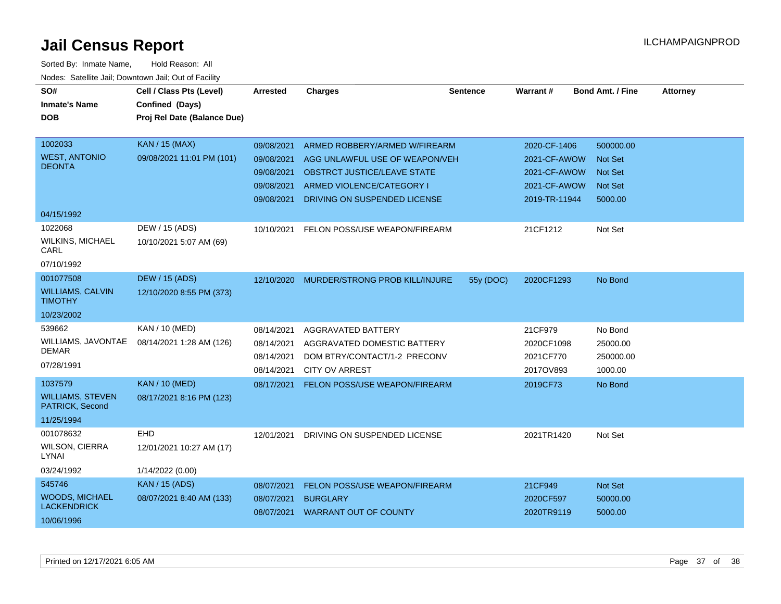| SO#                                        | Cell / Class Pts (Level)    | <b>Arrested</b> | <b>Charges</b>                     | <b>Sentence</b> | Warrant#      | <b>Bond Amt. / Fine</b> | <b>Attorney</b> |
|--------------------------------------------|-----------------------------|-----------------|------------------------------------|-----------------|---------------|-------------------------|-----------------|
| <b>Inmate's Name</b>                       | Confined (Days)             |                 |                                    |                 |               |                         |                 |
| <b>DOB</b>                                 | Proj Rel Date (Balance Due) |                 |                                    |                 |               |                         |                 |
|                                            |                             |                 |                                    |                 |               |                         |                 |
| 1002033                                    | <b>KAN / 15 (MAX)</b>       | 09/08/2021      | ARMED ROBBERY/ARMED W/FIREARM      |                 | 2020-CF-1406  | 500000.00               |                 |
| <b>WEST, ANTONIO</b>                       | 09/08/2021 11:01 PM (101)   | 09/08/2021      | AGG UNLAWFUL USE OF WEAPON/VEH     |                 | 2021-CF-AWOW  | <b>Not Set</b>          |                 |
| <b>DEONTA</b>                              |                             | 09/08/2021      | <b>OBSTRCT JUSTICE/LEAVE STATE</b> |                 | 2021-CF-AWOW  | <b>Not Set</b>          |                 |
|                                            |                             | 09/08/2021      | ARMED VIOLENCE/CATEGORY I          |                 | 2021-CF-AWOW  | <b>Not Set</b>          |                 |
|                                            |                             | 09/08/2021      | DRIVING ON SUSPENDED LICENSE       |                 | 2019-TR-11944 | 5000.00                 |                 |
| 04/15/1992                                 |                             |                 |                                    |                 |               |                         |                 |
| 1022068                                    | DEW / 15 (ADS)              | 10/10/2021      | FELON POSS/USE WEAPON/FIREARM      |                 | 21CF1212      | Not Set                 |                 |
| <b>WILKINS, MICHAEL</b><br>CARL            | 10/10/2021 5:07 AM (69)     |                 |                                    |                 |               |                         |                 |
| 07/10/1992                                 |                             |                 |                                    |                 |               |                         |                 |
| 001077508                                  | <b>DEW / 15 (ADS)</b>       | 12/10/2020      | MURDER/STRONG PROB KILL/INJURE     | 55y (DOC)       | 2020CF1293    | No Bond                 |                 |
| <b>WILLIAMS, CALVIN</b><br><b>TIMOTHY</b>  | 12/10/2020 8:55 PM (373)    |                 |                                    |                 |               |                         |                 |
| 10/23/2002                                 |                             |                 |                                    |                 |               |                         |                 |
| 539662                                     | KAN / 10 (MED)              | 08/14/2021      | AGGRAVATED BATTERY                 |                 | 21CF979       | No Bond                 |                 |
| WILLIAMS, JAVONTAE                         | 08/14/2021 1:28 AM (126)    | 08/14/2021      | AGGRAVATED DOMESTIC BATTERY        |                 | 2020CF1098    | 25000.00                |                 |
| <b>DEMAR</b>                               |                             | 08/14/2021      | DOM BTRY/CONTACT/1-2 PRECONV       |                 | 2021CF770     | 250000.00               |                 |
| 07/28/1991                                 |                             | 08/14/2021      | <b>CITY OV ARREST</b>              |                 | 2017OV893     | 1000.00                 |                 |
| 1037579                                    | <b>KAN / 10 (MED)</b>       | 08/17/2021      | FELON POSS/USE WEAPON/FIREARM      |                 | 2019CF73      | No Bond                 |                 |
| <b>WILLIAMS, STEVEN</b><br>PATRICK, Second | 08/17/2021 8:16 PM (123)    |                 |                                    |                 |               |                         |                 |
| 11/25/1994                                 |                             |                 |                                    |                 |               |                         |                 |
| 001078632                                  | <b>EHD</b>                  | 12/01/2021      | DRIVING ON SUSPENDED LICENSE       |                 | 2021TR1420    | Not Set                 |                 |
| <b>WILSON, CIERRA</b><br>LYNAI             | 12/01/2021 10:27 AM (17)    |                 |                                    |                 |               |                         |                 |
| 03/24/1992                                 | 1/14/2022 (0.00)            |                 |                                    |                 |               |                         |                 |
| 545746                                     | <b>KAN</b> / 15 (ADS)       | 08/07/2021      | FELON POSS/USE WEAPON/FIREARM      |                 | 21CF949       | <b>Not Set</b>          |                 |
| <b>WOODS, MICHAEL</b>                      | 08/07/2021 8:40 AM (133)    | 08/07/2021      | <b>BURGLARY</b>                    |                 | 2020CF597     | 50000.00                |                 |
| <b>LACKENDRICK</b>                         |                             |                 | 08/07/2021 WARRANT OUT OF COUNTY   |                 | 2020TR9119    | 5000.00                 |                 |
| 10/06/1996                                 |                             |                 |                                    |                 |               |                         |                 |